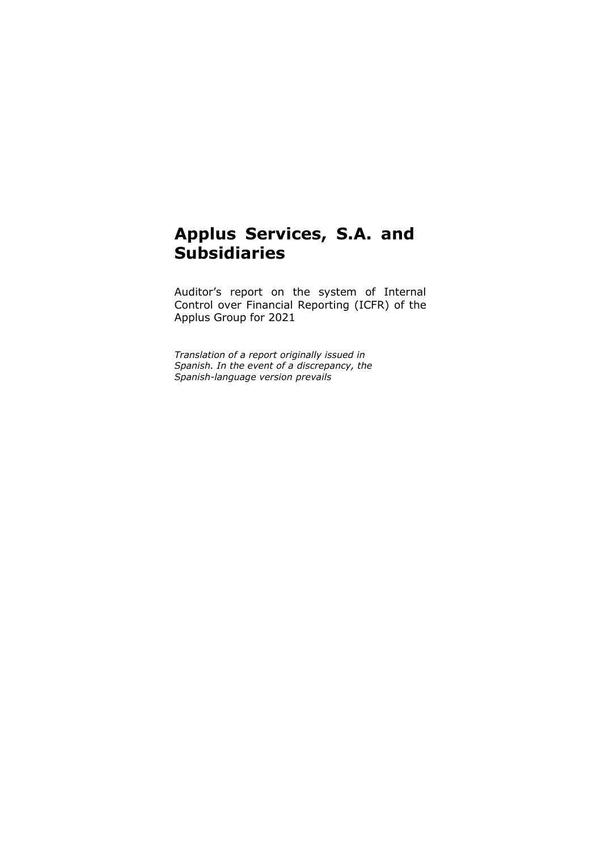# **Applus Services, S.A. and Subsidiaries**

Auditor's report on the system of Internal Control over Financial Reporting (ICFR) of the Applus Group for 2021

*Translation of a report originally issued in Spanish. In the event of a discrepancy, the Spanish-language version prevails*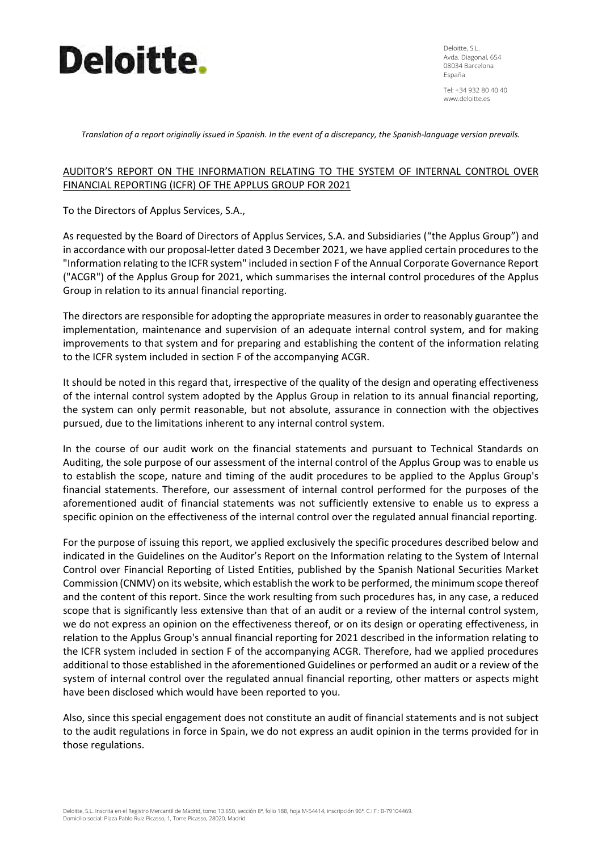

Deloitte, S.L. Avda. Diagonal, 654 08034 Barcelona España

Tel: +34 932 80 40 40 www.deloitte.es

Translation of a report originally issued in Spanish. In the event of a discrepancy, the Spanish-language version prevails.

## AUDITOR'S REPORT ON THE INFORMATION RELATING TO THE SYSTEM OF INTERNAL CONTROL OVER FINANCIAL REPORTING (ICFR) OF THE APPLUS GROUP FOR 2021

To the Directors of Applus Services, S.A.,

As requested by the Board of Directors of Applus Services, S.A. and Subsidiaries ("the Applus Group") and in accordance with our proposal-letter dated 3 December 2021, we have applied certain procedures to the "Information relating to the ICFR system" included in section F of the Annual Corporate Governance Report ("ACGR") of the Applus Group for 2021, which summarises the internal control procedures of the Applus Group in relation to its annual financial reporting.

The directors are responsible for adopting the appropriate measures in order to reasonably guarantee the implementation, maintenance and supervision of an adequate internal control system, and for making improvements to that system and for preparing and establishing the content of the information relating to the ICFR system included in section F of the accompanying ACGR.

It should be noted in this regard that, irrespective of the quality of the design and operating effectiveness of the internal control system adopted by the Applus Group in relation to its annual financial reporting, the system can only permit reasonable, but not absolute, assurance in connection with the objectives pursued, due to the limitations inherent to any internal control system.

In the course of our audit work on the financial statements and pursuant to Technical Standards on Auditing, the sole purpose of our assessment of the internal control of the Applus Group was to enable us to establish the scope, nature and timing of the audit procedures to be applied to the Applus Group's financial statements. Therefore, our assessment of internal control performed for the purposes of the aforementioned audit of financial statements was not sufficiently extensive to enable us to express a specific opinion on the effectiveness of the internal control over the regulated annual financial reporting.

For the purpose of issuing this report, we applied exclusively the specific procedures described below and indicated in the Guidelines on the Auditor's Report on the Information relating to the System of Internal Control over Financial Reporting of Listed Entities, published by the Spanish National Securities Market Commission (CNMV) on its website, which establish the work to be performed, the minimum scope thereof and the content of this report. Since the work resulting from such procedures has, in any case, a reduced scope that is significantly less extensive than that of an audit or a review of the internal control system, we do not express an opinion on the effectiveness thereof, or on its design or operating effectiveness, in relation to the Applus Group's annual financial reporting for 2021 described in the information relating to the ICFR system included in section F of the accompanying ACGR. Therefore, had we applied procedures additional to those established in the aforementioned Guidelines or performed an audit or a review of the system of internal control over the regulated annual financial reporting, other matters or aspects might have been disclosed which would have been reported to you.

Also, since this special engagement does not constitute an audit of financial statements and is not subject to the audit regulations in force in Spain, we do not express an audit opinion in the terms provided for in those regulations.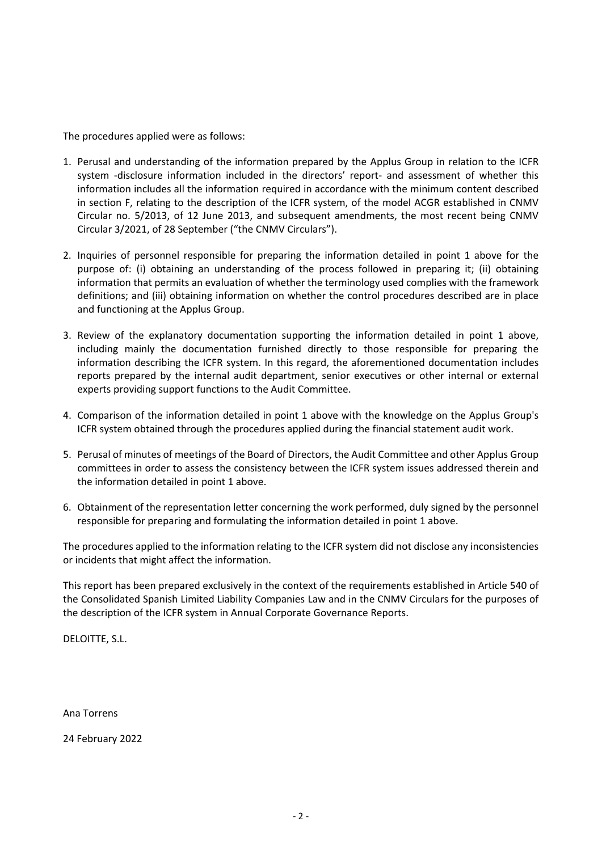The procedures applied were as follows:

- 1. Perusal and understanding of the information prepared by the Applus Group in relation to the ICFR system -disclosure information included in the directors' report- and assessment of whether this information includes all the information required in accordance with the minimum content described in section F, relating to the description of the ICFR system, of the model ACGR established in CNMV Circular no. 5/2013, of 12 June 2013, and subsequent amendments, the most recent being CNMV Circular 3/2021, of 28 September ("the CNMV Circulars").
- 2. Inquiries of personnel responsible for preparing the information detailed in point 1 above for the purpose of: (i) obtaining an understanding of the process followed in preparing it; (ii) obtaining information that permits an evaluation of whether the terminology used complies with the framework definitions; and (iii) obtaining information on whether the control procedures described are in place and functioning at the Applus Group.
- 3. Review of the explanatory documentation supporting the information detailed in point 1 above, including mainly the documentation furnished directly to those responsible for preparing the information describing the ICFR system. In this regard, the aforementioned documentation includes reports prepared by the internal audit department, senior executives or other internal or external experts providing support functions to the Audit Committee.
- 4. Comparison of the information detailed in point 1 above with the knowledge on the Applus Group's ICFR system obtained through the procedures applied during the financial statement audit work.
- 5. Perusal of minutes of meetings of the Board of Directors, the Audit Committee and other Applus Group committees in order to assess the consistency between the ICFR system issues addressed therein and the information detailed in point 1 above.
- 6. Obtainment of the representation letter concerning the work performed, duly signed by the personnel responsible for preparing and formulating the information detailed in point 1 above.

The procedures applied to the information relating to the ICFR system did not disclose any inconsistencies or incidents that might affect the information.

This report has been prepared exclusively in the context of the requirements established in Article 540 of the Consolidated Spanish Limited Liability Companies Law and in the CNMV Circulars for the purposes of the description of the ICFR system in Annual Corporate Governance Reports.

DELOITTE, S.L.

Ana Torrens

24 February 2022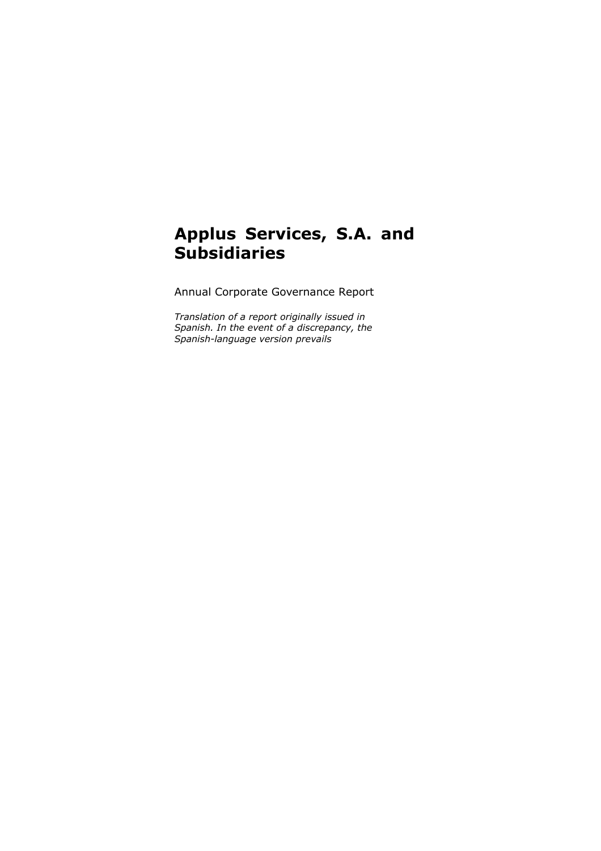## **Applus Services, S.A. and Subsidiaries**

Annual Corporate Governance Report

*Translation of a report originally issued in Spanish. In the event of a discrepancy, the Spanish-language version prevails*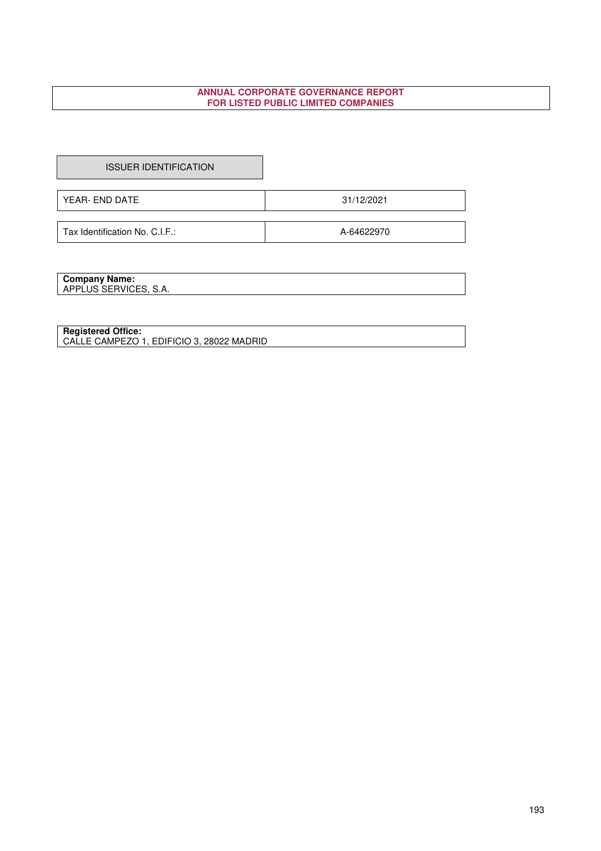## **ANNUAL CORPORATE GOVERNANCE REPORT FOR LISTED PUBLIC LIMITED COMPANIES**

ISSUER IDENTIFICATION

YEAR- END DATE 31/12/2021

Tax Identification No. C.I.F.: A-64622970

**Company Name:**  APPLUS SERVICES, S.A.

**Registered Office:** 

CALLE CAMPEZO 1, EDIFICIO 3, 28022 MADRID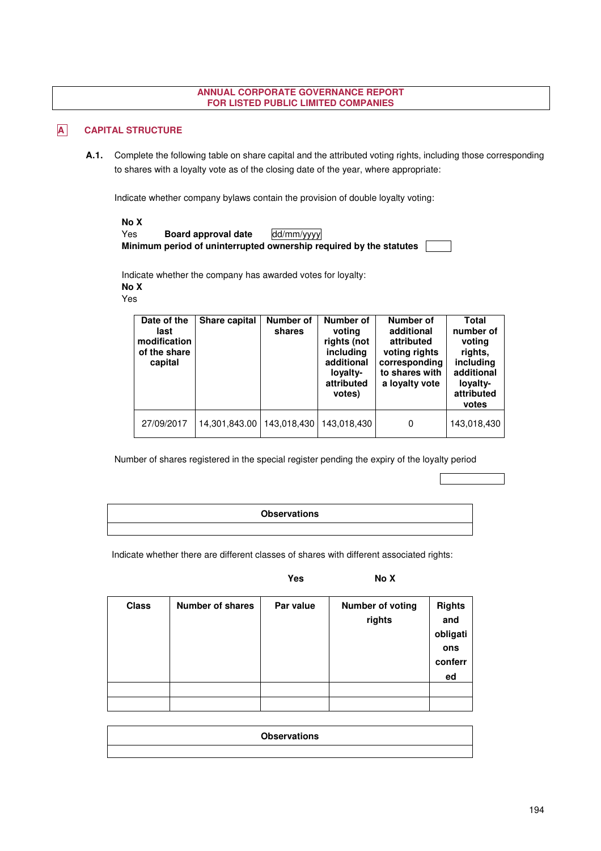#### **ANNUAL CORPORATE GOVERNANCE REPORT FOR LISTED PUBLIC LIMITED COMPANIES**

## **A** CAPITAL STRUCTURE

**A.1.** Complete the following table on share capital and the attributed voting rights, including those corresponding to shares with a loyalty vote as of the closing date of the year, where appropriate:

Indicate whether company bylaws contain the provision of double loyalty voting:

| No X |                     |                                                                    |  |
|------|---------------------|--------------------------------------------------------------------|--|
| Yes  | Board approval date | dd/mm/yyyy                                                         |  |
|      |                     | Minimum period of uninterrupted ownership required by the statutes |  |

Indicate whether the company has awarded votes for loyalty: **No X**  Yes

| Date of the<br>last<br>modification<br>of the share<br>capital | Share capital | <b>Number of</b><br>shares | Number of<br>voting<br>rights (not<br>including<br>additional<br>lovalty-<br>attributed<br>votes) | Number of<br>additional<br>attributed<br>voting rights<br>corresponding<br>to shares with<br>a lovalty vote | Total<br>number of<br>voting<br>rights.<br>including<br>additional<br>loyalty-<br>attributed<br>votes |
|----------------------------------------------------------------|---------------|----------------------------|---------------------------------------------------------------------------------------------------|-------------------------------------------------------------------------------------------------------------|-------------------------------------------------------------------------------------------------------|
| 27/09/2017                                                     | 14,301,843.00 | 143,018,430                | 143,018,430                                                                                       | 0                                                                                                           | 143,018,430                                                                                           |

Number of shares registered in the special register pending the expiry of the loyalty period

| <b>Observations</b> |
|---------------------|
|                     |

Indicate whether there are different classes of shares with different associated rights:

Yes No X

| <b>Class</b> | <b>Number of shares</b> | Par value | <b>Number of voting</b><br>rights | <b>Rights</b><br>and<br>obligati<br>ons<br>conferr<br>ed |
|--------------|-------------------------|-----------|-----------------------------------|----------------------------------------------------------|
|              |                         |           |                                   |                                                          |
|              |                         |           |                                   |                                                          |

| <b>Observations</b> |  |
|---------------------|--|
|                     |  |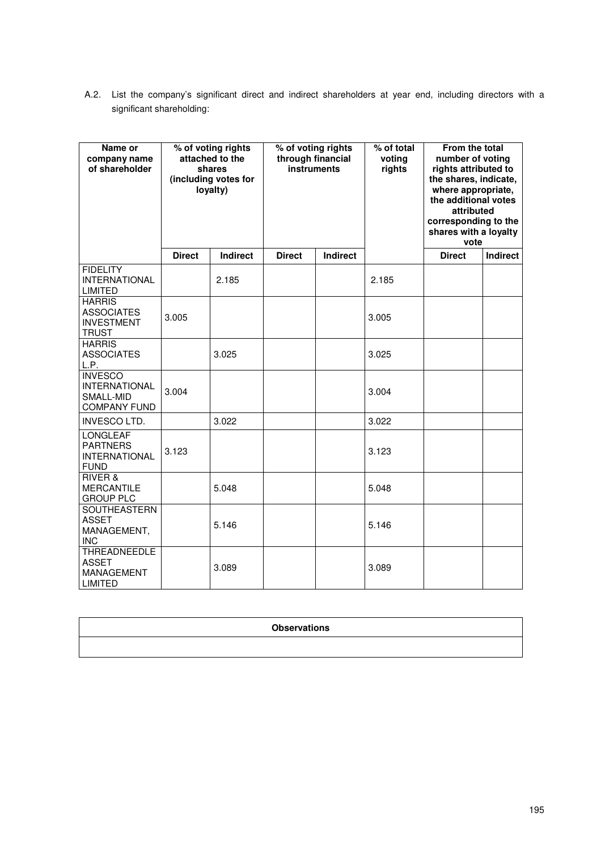A.2. List the company's significant direct and indirect shareholders at year end, including directors with a significant shareholding:

| Name or<br>company name<br>of shareholder                                  |               | % of voting rights<br>attached to the<br>shares<br>(including votes for<br>loyalty) | % of voting rights<br>through financial<br>instruments |          | % of total<br>voting<br>rights | From the total<br>number of voting<br>rights attributed to<br>the shares, indicate,<br>where appropriate,<br>the additional votes<br>attributed<br>corresponding to the<br>shares with a loyalty<br>vote |          |
|----------------------------------------------------------------------------|---------------|-------------------------------------------------------------------------------------|--------------------------------------------------------|----------|--------------------------------|----------------------------------------------------------------------------------------------------------------------------------------------------------------------------------------------------------|----------|
|                                                                            | <b>Direct</b> | Indirect                                                                            | <b>Direct</b>                                          | Indirect |                                | <b>Direct</b>                                                                                                                                                                                            | Indirect |
| <b>FIDELITY</b><br><b>INTERNATIONAL</b><br><b>LIMITED</b>                  |               | 2.185                                                                               |                                                        |          | 2.185                          |                                                                                                                                                                                                          |          |
| <b>HARRIS</b><br><b>ASSOCIATES</b><br><b>INVESTMENT</b><br><b>TRUST</b>    | 3.005         |                                                                                     |                                                        |          | 3.005                          |                                                                                                                                                                                                          |          |
| <b>HARRIS</b><br><b>ASSOCIATES</b><br>L.P.                                 |               | 3.025                                                                               |                                                        |          | 3.025                          |                                                                                                                                                                                                          |          |
| <b>INVESCO</b><br><b>INTERNATIONAL</b><br>SMALL-MID<br><b>COMPANY FUND</b> | 3.004         |                                                                                     |                                                        |          | 3.004                          |                                                                                                                                                                                                          |          |
| <b>INVESCO LTD.</b>                                                        |               | 3.022                                                                               |                                                        |          | 3.022                          |                                                                                                                                                                                                          |          |
| LONGLEAF<br><b>PARTNERS</b><br><b>INTERNATIONAL</b><br><b>FUND</b>         | 3.123         |                                                                                     |                                                        |          | 3.123                          |                                                                                                                                                                                                          |          |
| <b>RIVER &amp;</b><br><b>MERCANTILE</b><br><b>GROUP PLC</b>                |               | 5.048                                                                               |                                                        |          | 5.048                          |                                                                                                                                                                                                          |          |
| SOUTHEASTERN<br><b>ASSET</b><br>MANAGEMENT,<br><b>INC</b>                  |               | 5.146                                                                               |                                                        |          | 5.146                          |                                                                                                                                                                                                          |          |
| <b>THREADNEEDLE</b><br><b>ASSET</b><br><b>MANAGEMENT</b><br><b>LIMITED</b> |               | 3.089                                                                               |                                                        |          | 3.089                          |                                                                                                                                                                                                          |          |

| <b>Observations</b> |
|---------------------|
|                     |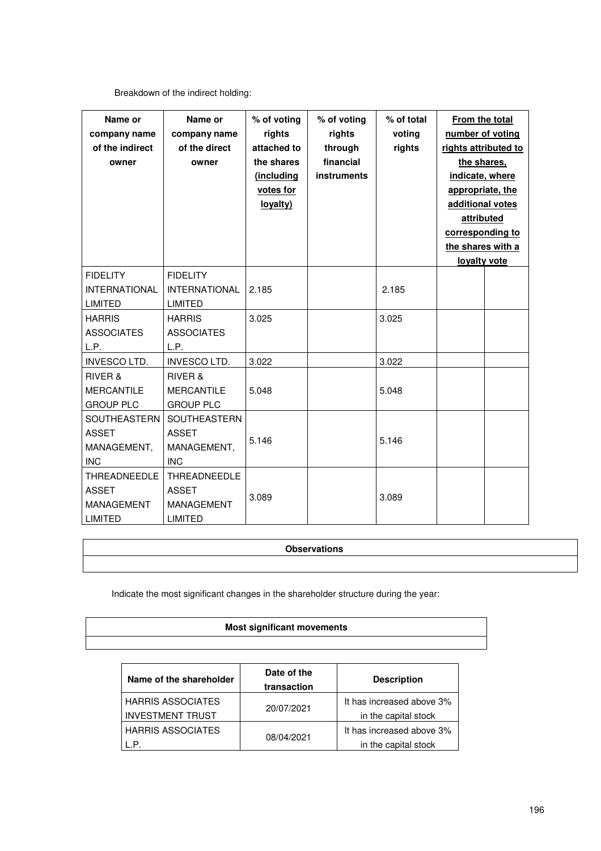## Breakdown of the indirect holding:

| Name or<br>company name<br>of the indirect<br>owner                        | Name or<br>company name<br>of the direct<br>owner                   | % of voting<br>rights<br>attached to<br>the shares<br>(including<br>votes for<br>loyalty) | % of voting<br>rights<br>through<br>financial<br>instruments | % of total<br>voting<br>rights | From the total<br>number of voting<br>rights attributed to<br>the shares.<br>indicate, where<br>appropriate, the<br>additional votes<br>attributed<br>corresponding to<br>the shares with a<br>loyalty vote |  |
|----------------------------------------------------------------------------|---------------------------------------------------------------------|-------------------------------------------------------------------------------------------|--------------------------------------------------------------|--------------------------------|-------------------------------------------------------------------------------------------------------------------------------------------------------------------------------------------------------------|--|
| <b>FIDELITY</b><br><b>INTERNATIONAL</b><br><b>LIMITED</b>                  | <b>FIDELITY</b><br><b>INTERNATIONAL</b><br><b>LIMITED</b>           | 2.185                                                                                     |                                                              | 2.185                          |                                                                                                                                                                                                             |  |
| <b>HARRIS</b><br><b>ASSOCIATES</b><br>L.P.                                 | <b>HARRIS</b><br><b>ASSOCIATES</b><br>L.P.                          | 3.025                                                                                     |                                                              | 3.025                          |                                                                                                                                                                                                             |  |
| <b>INVESCO LTD.</b>                                                        | <b>INVESCO LTD.</b>                                                 | 3.022                                                                                     |                                                              | 3.022                          |                                                                                                                                                                                                             |  |
| RIVER &<br><b>MERCANTILE</b><br><b>GROUP PLC</b>                           | RIVER &<br><b>MERCANTILE</b><br><b>GROUP PLC</b>                    | 5.048                                                                                     |                                                              | 5.048                          |                                                                                                                                                                                                             |  |
| SOUTHEASTERN<br><b>ASSET</b><br>MANAGEMENT,<br><b>INC</b>                  | SOUTHEASTERN<br><b>ASSET</b><br>MANAGEMENT,<br><b>INC</b>           | 5.146                                                                                     |                                                              | 5.146                          |                                                                                                                                                                                                             |  |
| <b>THREADNEEDLE</b><br><b>ASSET</b><br><b>MANAGEMENT</b><br><b>LIMITED</b> | THREADNEEDLE<br><b>ASSET</b><br><b>MANAGEMENT</b><br><b>LIMITED</b> | 3.089                                                                                     |                                                              | 3.089                          |                                                                                                                                                                                                             |  |

## **Observations**

## Indicate the most significant changes in the shareholder structure during the year:

| <b>Most significant movements</b> |  |
|-----------------------------------|--|
|                                   |  |

| Name of the shareholder  | Date of the<br>transaction | <b>Description</b>        |
|--------------------------|----------------------------|---------------------------|
| <b>HARRIS ASSOCIATES</b> |                            | It has increased above 3% |
| <b>INVESTMENT TRUST</b>  | 20/07/2021                 | in the capital stock      |
| <b>HARRIS ASSOCIATES</b> |                            | It has increased above 3% |
|                          | 08/04/2021                 | in the capital stock      |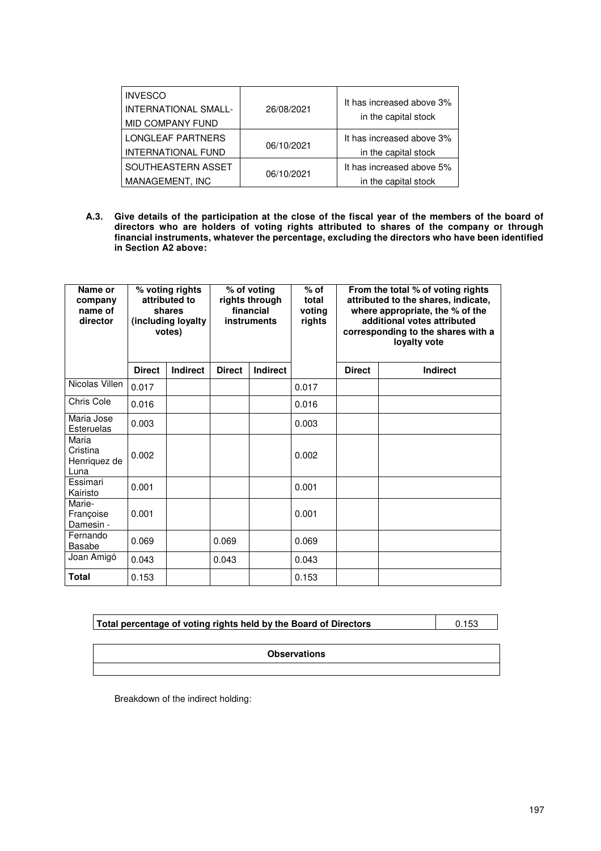| <b>INVESCO</b><br><b>INTERNATIONAL SMALL-</b><br><b>MID COMPANY FUND</b> | 26/08/2021 | It has increased above 3%<br>in the capital stock |
|--------------------------------------------------------------------------|------------|---------------------------------------------------|
| <b>LONGLEAF PARTNERS</b><br><b>INTERNATIONAL FUND</b>                    | 06/10/2021 | It has increased above 3%<br>in the capital stock |
| SOUTHEASTERN ASSET<br>MANAGEMENT, INC                                    | 06/10/2021 | It has increased above 5%<br>in the capital stock |

**A.3. Give details of the participation at the close of the fiscal year of the members of the board of directors who are holders of voting rights attributed to shares of the company or through financial instruments, whatever the percentage, excluding the directors who have been identified in Section A2 above:**

| Name or<br>company<br>name of<br>director | % voting rights<br>attributed to<br>shares<br>(including loyalty<br>votes) |                 | % of voting<br>rights through<br>financial<br>instruments |                 | $%$ of<br>total<br>voting<br>rights |               | From the total % of voting rights<br>attributed to the shares, indicate,<br>where appropriate, the % of the<br>additional votes attributed<br>corresponding to the shares with a<br>loyalty vote |
|-------------------------------------------|----------------------------------------------------------------------------|-----------------|-----------------------------------------------------------|-----------------|-------------------------------------|---------------|--------------------------------------------------------------------------------------------------------------------------------------------------------------------------------------------------|
|                                           | <b>Direct</b>                                                              | <b>Indirect</b> | <b>Direct</b>                                             | <b>Indirect</b> |                                     | <b>Direct</b> | <b>Indirect</b>                                                                                                                                                                                  |
| Nicolas Villen                            | 0.017                                                                      |                 |                                                           |                 | 0.017                               |               |                                                                                                                                                                                                  |
| Chris Cole                                | 0.016                                                                      |                 |                                                           |                 | 0.016                               |               |                                                                                                                                                                                                  |
| Maria Jose<br>Esteruelas                  | 0.003                                                                      |                 |                                                           |                 | 0.003                               |               |                                                                                                                                                                                                  |
| Maria<br>Cristina<br>Henriquez de<br>Luna | 0.002                                                                      |                 |                                                           |                 | 0.002                               |               |                                                                                                                                                                                                  |
| Essimari<br>Kairisto                      | 0.001                                                                      |                 |                                                           |                 | 0.001                               |               |                                                                                                                                                                                                  |
| Marie-<br>Françoise<br>Damesin -          | 0.001                                                                      |                 |                                                           |                 | 0.001                               |               |                                                                                                                                                                                                  |
| Fernando<br><b>Basabe</b>                 | 0.069                                                                      |                 | 0.069                                                     |                 | 0.069                               |               |                                                                                                                                                                                                  |
| Joan Amigó                                | 0.043                                                                      |                 | 0.043                                                     |                 | 0.043                               |               |                                                                                                                                                                                                  |
| <b>Total</b>                              | 0.153                                                                      |                 |                                                           |                 | 0.153                               |               |                                                                                                                                                                                                  |

| Total percentage of voting rights held by the Board of Directors | 0.153 |
|------------------------------------------------------------------|-------|

**Observations** 

Breakdown of the indirect holding: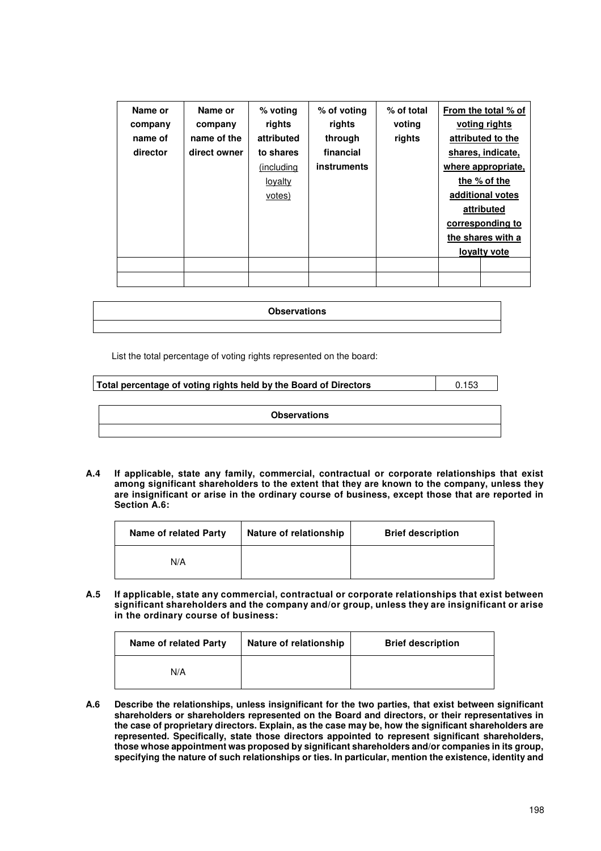| Name or  | Name or      | % voting       | % of voting | % of total | From the total % of |
|----------|--------------|----------------|-------------|------------|---------------------|
| company  | company      | rights         | rights      | voting     | voting rights       |
| name of  | name of the  | attributed     | through     | rights     | attributed to the   |
| director | direct owner | to shares      | financial   |            | shares, indicate,   |
|          |              | (including)    | instruments |            | where appropriate,  |
|          |              | <u>loyalty</u> |             |            | the % of the        |
|          |              | votes)         |             |            | additional votes    |
|          |              |                |             |            | attributed          |
|          |              |                |             |            | corresponding to    |
|          |              |                |             |            | the shares with a   |
|          |              |                |             |            | lovalty vote        |
|          |              |                |             |            |                     |
|          |              |                |             |            |                     |

| <b>Observations</b> |
|---------------------|
|                     |

List the total percentage of voting rights represented on the board:

**Total percentage of voting rights held by the Board of Directors**  $\vert$  0.153

**Observations** 

**A.4 If applicable, state any family, commercial, contractual or corporate relationships that exist among significant shareholders to the extent that they are known to the company, unless they are insignificant or arise in the ordinary course of business, except those that are reported in Section A.6:**

| <b>Name of related Party</b> | Nature of relationship | <b>Brief description</b> |
|------------------------------|------------------------|--------------------------|
| N/A                          |                        |                          |

**A.5 If applicable, state any commercial, contractual or corporate relationships that exist between significant shareholders and the company and/or group, unless they are insignificant or arise in the ordinary course of business:** 

| Name of related Party | Nature of relationship | <b>Brief description</b> |
|-----------------------|------------------------|--------------------------|
| N/A                   |                        |                          |

**A.6 Describe the relationships, unless insignificant for the two parties, that exist between significant shareholders or shareholders represented on the Board and directors, or their representatives in the case of proprietary directors. Explain, as the case may be, how the significant shareholders are represented. Specifically, state those directors appointed to represent significant shareholders, those whose appointment was proposed by significant shareholders and/or companies in its group, specifying the nature of such relationships or ties. In particular, mention the existence, identity and**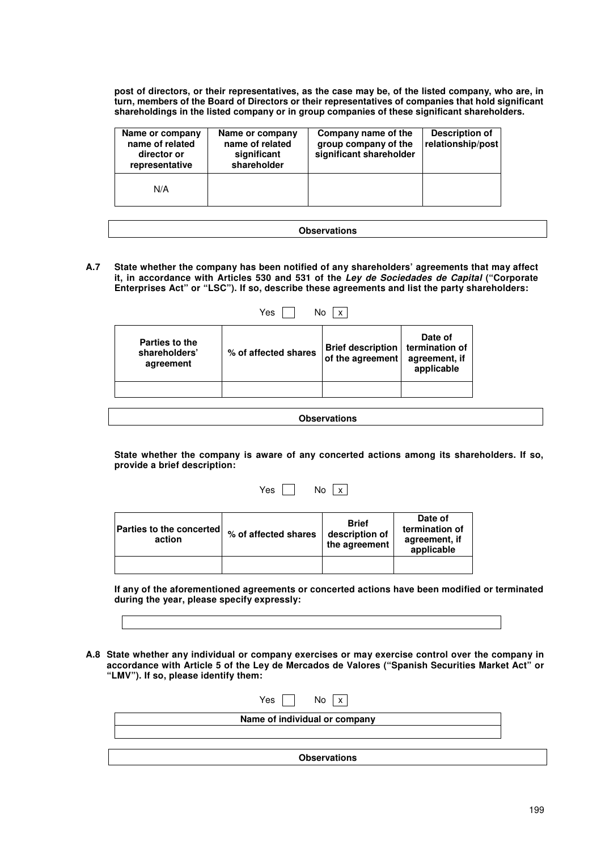**post of directors, or their representatives, as the case may be, of the listed company, who are, in turn, members of the Board of Directors or their representatives of companies that hold significant shareholdings in the listed company or in group companies of these significant shareholders.** 

| Name or company<br>name of related<br>director or<br>representative | Name or company<br>name of related<br>significant<br>shareholder | Company name of the<br>group company of the<br>significant shareholder | Description of<br>relationship/post |
|---------------------------------------------------------------------|------------------------------------------------------------------|------------------------------------------------------------------------|-------------------------------------|
| N/A                                                                 |                                                                  |                                                                        |                                     |

|--|

**A.7 State whether the company has been notified of any shareholders' agreements that may affect it, in accordance with Articles 530 and 531 of the Ley de Sociedades de Capital ("Corporate Enterprises Act" or "LSC"). If so, describe these agreements and list the party shareholders:** 

| Yes<br>x                                     |                      |                                              |                                                          |
|----------------------------------------------|----------------------|----------------------------------------------|----------------------------------------------------------|
| Parties to the<br>shareholders'<br>agreement | % of affected shares | <b>Brief description</b><br>of the agreement | Date of<br>termination of<br>agreement, if<br>applicable |
|                                              |                      |                                              |                                                          |

**Observations** 

**State whether the company is aware of any concerted actions among its shareholders. If so, provide a brief description:** 

Yes  $\Box$  No  $\boxed{x}$ 

| <b>Parties to the concerted</b><br>action | % of affected shares | <b>Brief</b><br>description of<br>the agreement | Date of<br>termination of<br>agreement, if<br>applicable |
|-------------------------------------------|----------------------|-------------------------------------------------|----------------------------------------------------------|
|                                           |                      |                                                 |                                                          |

**If any of the aforementioned agreements or concerted actions have been modified or terminated during the year, please specify expressly:** 

**A.8 State whether any individual or company exercises or may exercise control over the company in accordance with Article 5 of the Ley de Mercados de Valores ("Spanish Securities Market Act" or "LMV"). If so, please identify them:** 

| Yes $\vert$ $\vert$<br>No < x |  |
|-------------------------------|--|
| Name of individual or company |  |
|                               |  |
|                               |  |
| <b>Observations</b>           |  |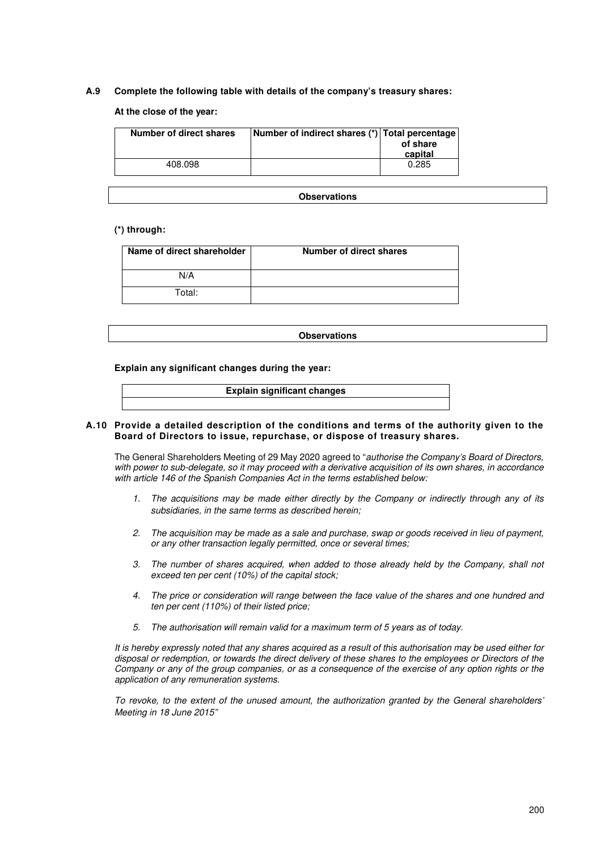## **A.9 Complete the following table with details of the company's treasury shares:**

#### **At the close of the year:**

| <b>Number of direct shares</b> | Number of indirect shares (*) Total percentage | of share<br>capital |
|--------------------------------|------------------------------------------------|---------------------|
| 408.098                        |                                                | 0.285               |

**Observations** 

#### **(\*) through:**

| Name of direct shareholder | <b>Number of direct shares</b> |
|----------------------------|--------------------------------|
| N/A                        |                                |
| Total:                     |                                |

**Observations** 

**Explain any significant changes during the year:** 

**Explain significant changes** 

#### **A.10 Provide a detailed description of the conditions and terms of the authority given to the Board of Directors to issue, repurchase, or dispose of treasury shares.**

The General Shareholders Meeting of 29 May 2020 agreed to "authorise the Company's Board of Directors, with power to sub-delegate, so it may proceed with a derivative acquisition of its own shares, in accordance with article 146 of the Spanish Companies Act in the terms established below:

- 1. The acquisitions may be made either directly by the Company or indirectly through any of its subsidiaries, in the same terms as described herein;
- 2. The acquisition may be made as a sale and purchase, swap or goods received in lieu of payment, or any other transaction legally permitted, once or several times;
- 3. The number of shares acquired, when added to those already held by the Company, shall not exceed ten per cent (10%) of the capital stock;
- 4. The price or consideration will range between the face value of the shares and one hundred and ten per cent (110%) of their listed price;
- 5. The authorisation will remain valid for a maximum term of 5 years as of today.

It is hereby expressly noted that any shares acquired as a result of this authorisation may be used either for disposal or redemption, or towards the direct delivery of these shares to the employees or Directors of the Company or any of the group companies, or as a consequence of the exercise of any option rights or the application of any remuneration systems.

To revoke, to the extent of the unused amount, the authorization granted by the General shareholders' Meeting in 18 June 2015"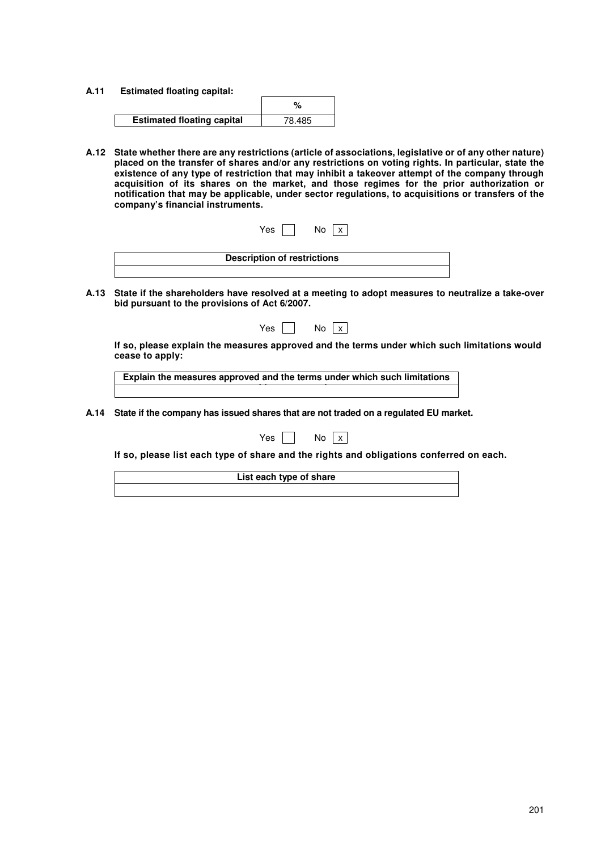**A.11 Estimated floating capital:** 

| <b>Estimated floating capital</b> | 78.485 |
|-----------------------------------|--------|

**A.12 State whether there are any restrictions (article of associations, legislative or of any other nature) placed on the transfer of shares and/or any restrictions on voting rights. In particular, state the existence of any type of restriction that may inhibit a takeover attempt of the company through acquisition of its shares on the market, and those regimes for the prior authorization or notification that may be applicable, under sector regulations, to acquisitions or transfers of the company's financial instruments.** 

| Yes<br>No                          |  |
|------------------------------------|--|
| <b>Description of restrictions</b> |  |

**A.13 State if the shareholders have resolved at a meeting to adopt measures to neutralize a take-over bid pursuant to the provisions of Act 6/2007.**

| Yes |  |
|-----|--|
| No  |  |

**If so, please explain the measures approved and the terms under which such limitations would cease to apply:** 

**Explain the measures approved and the terms under which such limitations would consider the cease to apply** 

**A.14 State if the company has issued shares that are not traded on a regulated EU market.** 

| ◡<br>ρq | N٥ |  |  |
|---------|----|--|--|
|---------|----|--|--|

 **If so, please list each type of share and the rights and obligations conferred on each.** 

**List each type of share**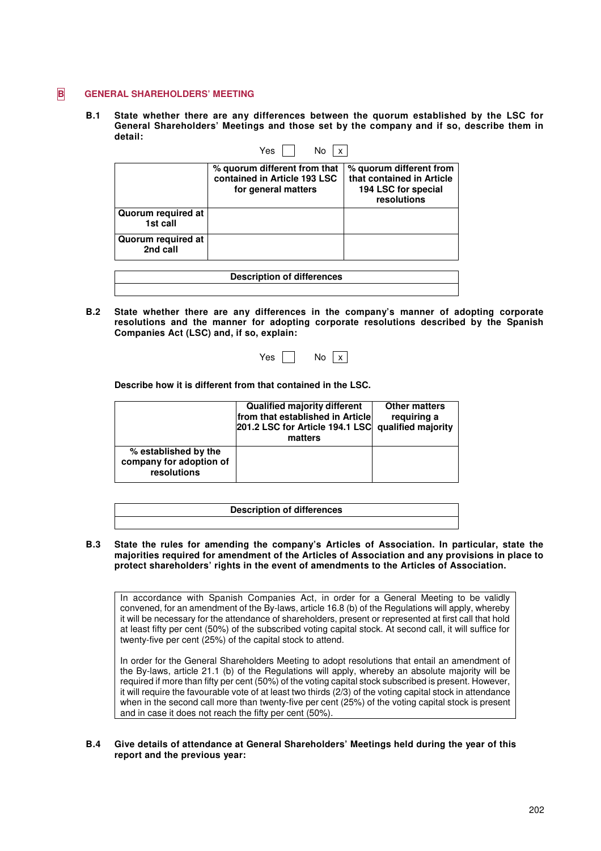#### **B** GENERAL SHAREHOLDERS' MEETING

**B.1 State whether there are any differences between the quorum established by the LSC for General Shareholders' Meetings and those set by the company and if so, describe them in detail:**

|                                | Yes<br>No                                                                           |                                                                                            |
|--------------------------------|-------------------------------------------------------------------------------------|--------------------------------------------------------------------------------------------|
|                                | % quorum different from that<br>contained in Article 193 LSC<br>for general matters | % quorum different from<br>that contained in Article<br>194 LSC for special<br>resolutions |
| Quorum required at<br>1st call |                                                                                     |                                                                                            |
| Quorum required at<br>2nd call |                                                                                     |                                                                                            |
|                                | <b>Description of differences</b>                                                   |                                                                                            |

**B.2 State whether there are any differences in the company's manner of adopting corporate resolutions and the manner for adopting corporate resolutions described by the Spanish Companies Act (LSC) and, if so, explain:** 

| Y<br>es | N٥ | X |
|---------|----|---|
|---------|----|---|

**Describe how it is different from that contained in the LSC.** 

|                                                                | <b>Qualified majority different</b><br>from that established in Article<br>201.2 LSC for Article 194.1 LSC qualified majority<br>matters | <b>Other matters</b><br>requiring a |
|----------------------------------------------------------------|------------------------------------------------------------------------------------------------------------------------------------------|-------------------------------------|
| % established by the<br>company for adoption of<br>resolutions |                                                                                                                                          |                                     |

| <b>Description of differences</b> |  |
|-----------------------------------|--|
|                                   |  |

**B.3 State the rules for amending the company's Articles of Association. In particular, state the majorities required for amendment of the Articles of Association and any provisions in place to protect shareholders' rights in the event of amendments to the Articles of Association.** 

In accordance with Spanish Companies Act, in order for a General Meeting to be validly convened, for an amendment of the By-laws, article 16.8 (b) of the Regulations will apply, whereby it will be necessary for the attendance of shareholders, present or represented at first call that hold at least fifty per cent (50%) of the subscribed voting capital stock. At second call, it will suffice for twenty-five per cent (25%) of the capital stock to attend.

In order for the General Shareholders Meeting to adopt resolutions that entail an amendment of the By-laws, article 21.1 (b) of the Regulations will apply, whereby an absolute majority will be required if more than fifty per cent (50%) of the voting capital stock subscribed is present. However, it will require the favourable vote of at least two thirds (2/3) of the voting capital stock in attendance when in the second call more than twenty-five per cent (25%) of the voting capital stock is present and in case it does not reach the fifty per cent (50%)

#### **B.4 Give details of attendance at General Shareholders' Meetings held during the year of this report and the previous year:**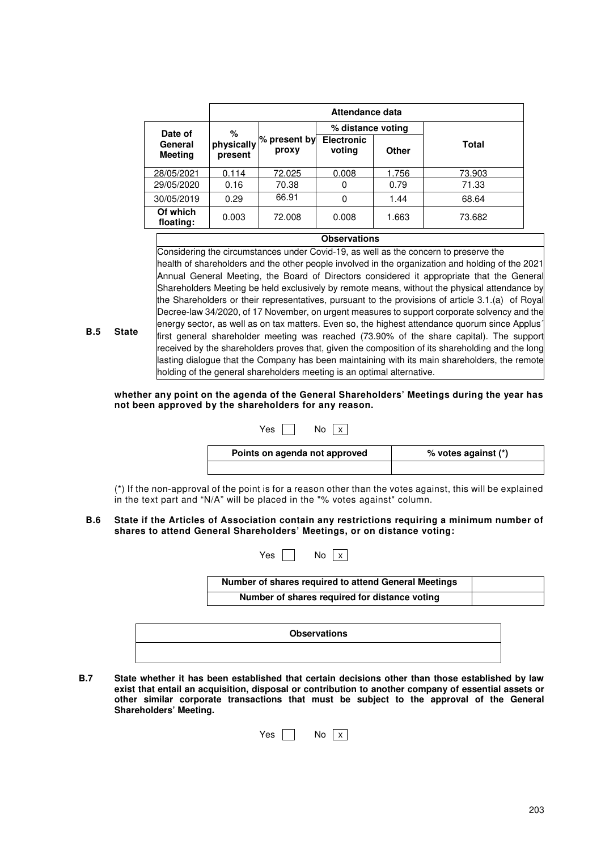|                           | Attendance data       |                         |                             |       |              |
|---------------------------|-----------------------|-------------------------|-----------------------------|-------|--------------|
| Date of                   | %                     |                         | % distance voting           |       |              |
| General<br><b>Meeting</b> | physically<br>present | $%$ present by<br>proxy | <b>Electronic</b><br>voting | Other | <b>Total</b> |
| 28/05/2021                | 0.114                 | 72.025                  | 0.008                       | 1.756 | 73.903       |
| 29/05/2020                | 0.16                  | 70.38                   | 0                           | 0.79  | 71.33        |
| 30/05/2019                | 0.29                  | 66.91                   | 0                           | 1.44  | 68.64        |
| Of which<br>floating:     | 0.003                 | 72.008                  | 0.008                       | 1.663 | 73.682       |

## **Observations**

Considering the circumstances under Covid-19, as well as the concern to preserve the health of shareholders and the other people involved in the organization and holding of the 2021 Annual General Meeting, the Board of Directors considered it appropriate that the General Shareholders Meeting be held exclusively by remote means, without the physical attendance by the Shareholders or their representatives, pursuant to the provisions of article 3.1.(a) of Royal Decree-law 34/2020, of 17 November, on urgent measures to support corporate solvency and the energy sector, as well as on tax matters. Even so, the highest attendance quorum since Applus´ first general shareholder meeting was reached (73.90% of the share capital). The support received by the shareholders proves that, given the composition of its shareholding and the long lasting dialogue that the Company has been maintaining with its main shareholders, the remote holding of the general shareholders meeting is an optimal alternative.

**whether any point on the agenda of the General Shareholders' Meetings during the year has not been approved by the shareholders for any reason.** 

**B.5 State** 

| Yes.<br>No                    |                     |
|-------------------------------|---------------------|
| Points on agenda not approved | % votes against (*) |
|                               |                     |

(\*) If the non-approval of the point is for a reason other than the votes against, this will be explained in the text part and "N/A" will be placed in the "% votes against" column.

#### **B.6 State if the Articles of Association contain any restrictions requiring a minimum number of shares to attend General Shareholders' Meetings, or on distance voting:**

| Yes l | No <sub>x</sub>                                      |
|-------|------------------------------------------------------|
|       | Number of shares required to attend General Meetings |
|       | Number of shares required for distance voting        |

| <b>Observations</b> |
|---------------------|
|                     |
|                     |

**B.7 State whether it has been established that certain decisions other than those established by law exist that entail an acquisition, disposal or contribution to another company of essential assets or other similar corporate transactions that must be subject to the approval of the General Shareholders' Meeting.** 

| es | No | X |  |
|----|----|---|--|
|    |    |   |  |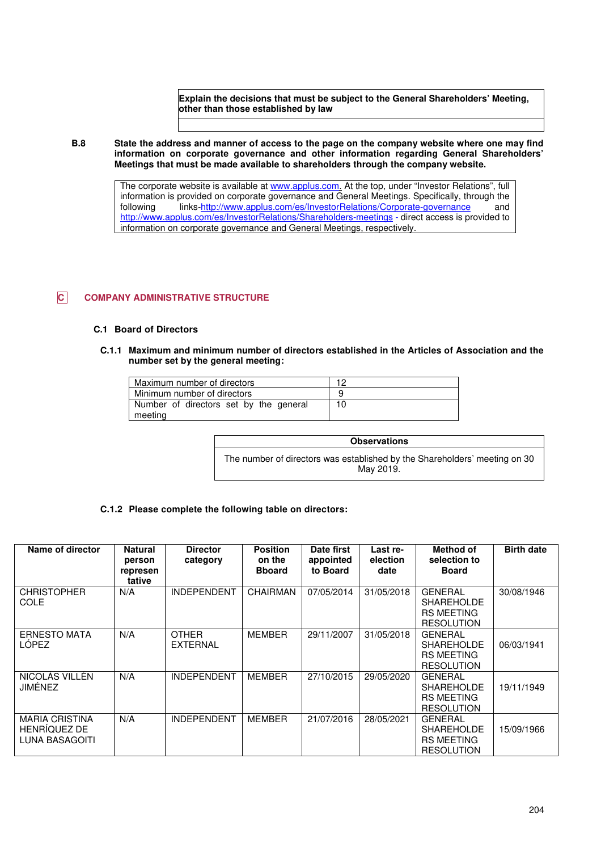**Explain the decisions that must be subject to the General Shareholders' Meeting, other than those established by law** 

**B.8 State the address and manner of access to the page on the company website where one may find information on corporate governance and other information regarding General Shareholders' Meetings that must be made available to shareholders through the company website.** 

> The corporate website is available at www.applus.com. At the top, under "Investor Relations", full information is provided on corporate governance and General Meetings. Specifically, through the following links-http://www.applus.com/es/InvestorRelations/Corporate-governance and http://www.applus.com/es/InvestorRelations/Shareholders-meetings - direct access is provided to information on corporate governance and General Meetings, respectively.

## **C COMPANY ADMINISTRATIVE STRUCTURE**

#### **C.1 Board of Directors**

**C.1.1 Maximum and minimum number of directors established in the Articles of Association and the number set by the general meeting:** 

| Maximum number of directors                       | 1 ר |
|---------------------------------------------------|-----|
| Minimum number of directors                       |     |
| Number of directors set by the general<br>meeting | 10  |

| <b>Observations</b>                                                                     |
|-----------------------------------------------------------------------------------------|
| The number of directors was established by the Shareholders' meeting on 30<br>May 2019. |

#### **C.1.2 Please complete the following table on directors:**

| Name of director                                        | <b>Natural</b><br>person<br>represen<br>tative | <b>Director</b><br>category     | <b>Position</b><br>on the<br><b>B</b> board | Date first<br>appointed<br>to Board | Last re-<br>election<br>date | Method of<br>selection to<br><b>Board</b>                                     | <b>Birth date</b> |
|---------------------------------------------------------|------------------------------------------------|---------------------------------|---------------------------------------------|-------------------------------------|------------------------------|-------------------------------------------------------------------------------|-------------------|
| <b>CHRISTOPHER</b><br><b>COLE</b>                       | N/A                                            | <b>INDEPENDENT</b>              | <b>CHAIRMAN</b>                             | 07/05/2014                          | 31/05/2018                   | <b>GENERAL</b><br><b>SHAREHOLDE</b><br><b>RS MEETING</b><br><b>RESOLUTION</b> | 30/08/1946        |
| <b>ERNESTO MATA</b><br><b>LÓPEZ</b>                     | N/A                                            | <b>OTHER</b><br><b>EXTERNAL</b> | <b>MEMBER</b>                               | 29/11/2007                          | 31/05/2018                   | <b>GENERAL</b><br><b>SHAREHOLDE</b><br><b>RS MEETING</b><br><b>RESOLUTION</b> | 06/03/1941        |
| NICOLÁS VILLÉN<br>JIMÉNEZ                               | N/A                                            | <b>INDEPENDENT</b>              | <b>MEMBER</b>                               | 27/10/2015                          | 29/05/2020                   | <b>GENERAL</b><br><b>SHAREHOLDE</b><br><b>RS MEETING</b><br><b>RESOLUTION</b> | 19/11/1949        |
| <b>MARIA CRISTINA</b><br>HENRÍQUEZ DE<br>LUNA BASAGOITI | N/A                                            | <b>INDEPENDENT</b>              | <b>MEMBER</b>                               | 21/07/2016                          | 28/05/2021                   | <b>GENERAL</b><br><b>SHAREHOLDE</b><br><b>RS MEETING</b><br><b>RESOLUTION</b> | 15/09/1966        |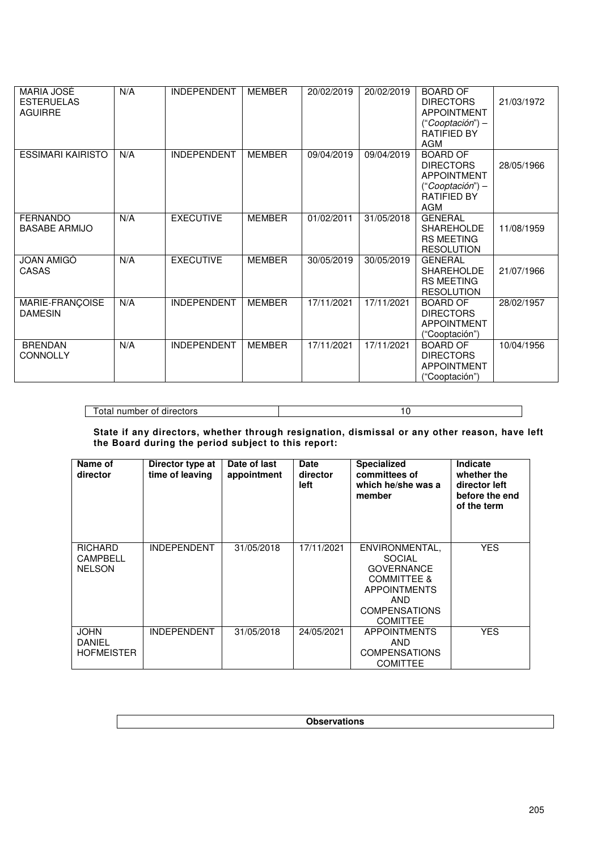| MARIA JOSÉ<br><b>ESTERUELAS</b><br><b>AGUIRRE</b> | N/A | <b>INDEPENDENT</b> | <b>MEMBER</b> | 20/02/2019 | 20/02/2019 | <b>BOARD OF</b><br><b>DIRECTORS</b><br><b>APPOINTMENT</b><br>$("Cooptación") -$<br><b>RATIFIED BY</b><br><b>AGM</b> | 21/03/1972 |
|---------------------------------------------------|-----|--------------------|---------------|------------|------------|---------------------------------------------------------------------------------------------------------------------|------------|
| <b>ESSIMARI KAIRISTO</b>                          | N/A | <b>INDEPENDENT</b> | <b>MEMBER</b> | 09/04/2019 | 09/04/2019 | <b>BOARD OF</b><br><b>DIRECTORS</b><br><b>APPOINTMENT</b><br>$("Cooptación") -$<br><b>RATIFIED BY</b><br><b>AGM</b> | 28/05/1966 |
| <b>FERNANDO</b><br><b>BASABE ARMIJO</b>           | N/A | <b>EXECUTIVE</b>   | <b>MEMBER</b> | 01/02/2011 | 31/05/2018 | <b>GENERAL</b><br><b>SHAREHOLDE</b><br><b>RS MEETING</b><br><b>RESOLUTION</b>                                       | 11/08/1959 |
| <b>JOAN AMIGÓ</b><br><b>CASAS</b>                 | N/A | <b>EXECUTIVE</b>   | <b>MEMBER</b> | 30/05/2019 | 30/05/2019 | <b>GENERAL</b><br><b>SHAREHOLDE</b><br><b>RS MEETING</b><br><b>RESOLUTION</b>                                       | 21/07/1966 |
| MARIE-FRANÇOISE<br><b>DAMESIN</b>                 | N/A | <b>INDEPENDENT</b> | <b>MEMBER</b> | 17/11/2021 | 17/11/2021 | <b>BOARD OF</b><br><b>DIRECTORS</b><br><b>APPOINTMENT</b><br>("Cooptación")                                         | 28/02/1957 |
| <b>BRENDAN</b><br><b>CONNOLLY</b>                 | N/A | <b>INDEPENDENT</b> | <b>MEMBER</b> | 17/11/2021 | 17/11/2021 | <b>BOARD OF</b><br><b>DIRECTORS</b><br><b>APPOINTMENT</b><br>("Cooptación")                                         | 10/04/1956 |

Total number of directors 10

**State if any directors, whether through resignation, dismissal or any other reason, have left the Board during the period subject to this report:** 

| Name of<br>director                         | Director type at<br>time of leaving | Date of last<br>appointment | <b>Date</b><br>director<br>left | <b>Specialized</b><br>committees of<br>which he/she was a<br>member                                                                                     | Indicate<br>whether the<br>director left<br>before the end<br>of the term |
|---------------------------------------------|-------------------------------------|-----------------------------|---------------------------------|---------------------------------------------------------------------------------------------------------------------------------------------------------|---------------------------------------------------------------------------|
| <b>RICHARD</b><br>CAMPBELL<br><b>NELSON</b> | <b>INDEPENDENT</b>                  | 31/05/2018                  | 17/11/2021                      | ENVIRONMENTAL,<br><b>SOCIAL</b><br><b>GOVERNANCE</b><br><b>COMMITTEE &amp;</b><br><b>APPOINTMENTS</b><br>AND<br><b>COMPENSATIONS</b><br><b>COMITTEE</b> | <b>YES</b>                                                                |
| <b>JOHN</b><br>DANIEL<br><b>HOFMEISTER</b>  | <b>INDEPENDENT</b>                  | 31/05/2018                  | 24/05/2021                      | <b>APPOINTMENTS</b><br>AND<br><b>COMPENSATIONS</b><br><b>COMITTEE</b>                                                                                   | <b>YES</b>                                                                |

**Observations**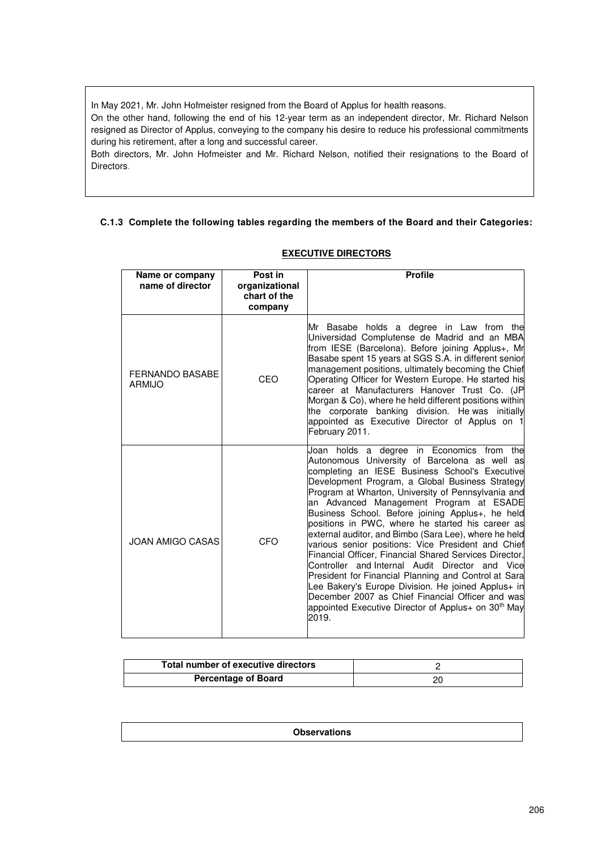In May 2021, Mr. John Hofmeister resigned from the Board of Applus for health reasons.

On the other hand, following the end of his 12-year term as an independent director, Mr. Richard Nelson resigned as Director of Applus, conveying to the company his desire to reduce his professional commitments during his retirement, after a long and successful career.

Both directors, Mr. John Hofmeister and Mr. Richard Nelson, notified their resignations to the Board of Directors.

## **C.1.3 Complete the following tables regarding the members of the Board and their Categories:**

| Name or company<br>name of director | Post in<br>organizational<br>chart of the<br>company | <b>Profile</b>                                                                                                                                                                                                                                                                                                                                                                                                                                                                                                                                                                                                                                                                                                                                                                                                                                                                        |
|-------------------------------------|------------------------------------------------------|---------------------------------------------------------------------------------------------------------------------------------------------------------------------------------------------------------------------------------------------------------------------------------------------------------------------------------------------------------------------------------------------------------------------------------------------------------------------------------------------------------------------------------------------------------------------------------------------------------------------------------------------------------------------------------------------------------------------------------------------------------------------------------------------------------------------------------------------------------------------------------------|
| <b>FERNANDO BASABE</b><br>ARMIJO    | CEO                                                  | Mr Basabe holds a degree in Law from the<br>Universidad Complutense de Madrid and an MBA<br>from IESE (Barcelona). Before joining Applus+, Mr<br>Basabe spent 15 years at SGS S.A. in different senior<br>management positions, ultimately becoming the Chief<br>Operating Officer for Western Europe. He started his<br>career at Manufacturers Hanover Trust Co. (JP<br>Morgan & Co), where he held different positions within<br>the corporate banking division. Hewas initially<br>appointed as Executive Director of Applus on 1<br>February 2011.                                                                                                                                                                                                                                                                                                                               |
| <b>JOAN AMIGO CASAS</b>             | CFO                                                  | Joan holds a degree in Economics from<br>the<br>Autonomous University of Barcelona as well as<br>completing an IESE Business School's Executive<br>Development Program, a Global Business Strategy<br>Program at Wharton, University of Pennsylvania and<br>an Advanced Management Program at ESADE<br>Business School. Before joining Applus+, he held<br>positions in PWC, where he started his career as<br>external auditor, and Bimbo (Sara Lee), where he held<br>various senior positions: Vice President and Chief<br>Financial Officer, Financial Shared Services Director,<br>Controller and Internal Audit Director and Vice<br>President for Financial Planning and Control at Sara<br>Lee Bakery's Europe Division. He joined Applus+ in<br>December 2007 as Chief Financial Officer and was<br>appointed Executive Director of Applus+ on 30 <sup>th</sup> May<br>2019. |

## **EXECUTIVE DIRECTORS**

| Total number of executive directors |  |
|-------------------------------------|--|
| <b>Percentage of Board</b>          |  |

**Observations**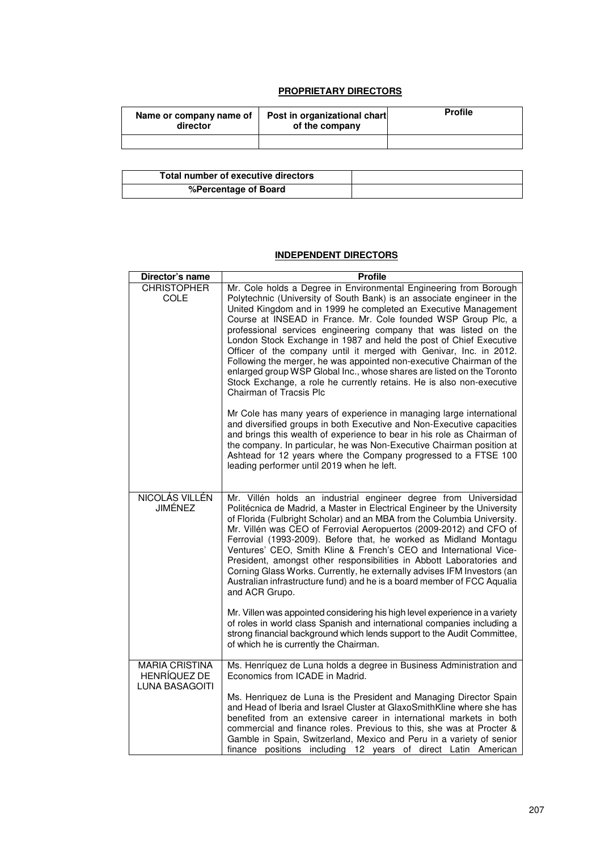## **PROPRIETARY DIRECTORS**

| Name or company name of<br>director | Post in organizational chart<br>of the company | <b>Profile</b> |
|-------------------------------------|------------------------------------------------|----------------|
|                                     |                                                |                |

| Total number of executive directors |  |
|-------------------------------------|--|
| %Percentage of Board                |  |

## **INDEPENDENT DIRECTORS**

| Director's name                                                       | <b>Profile</b>                                                                                                                                                                                                                                                                                                                                                                                                                                                                                                                                                                                                                                                                                                                                        |
|-----------------------------------------------------------------------|-------------------------------------------------------------------------------------------------------------------------------------------------------------------------------------------------------------------------------------------------------------------------------------------------------------------------------------------------------------------------------------------------------------------------------------------------------------------------------------------------------------------------------------------------------------------------------------------------------------------------------------------------------------------------------------------------------------------------------------------------------|
| <b>CHRISTOPHER</b><br><b>COLE</b>                                     | Mr. Cole holds a Degree in Environmental Engineering from Borough<br>Polytechnic (University of South Bank) is an associate engineer in the<br>United Kingdom and in 1999 he completed an Executive Management<br>Course at INSEAD in France. Mr. Cole founded WSP Group Plc, a<br>professional services engineering company that was listed on the<br>London Stock Exchange in 1987 and held the post of Chief Executive<br>Officer of the company until it merged with Genivar, Inc. in 2012.<br>Following the merger, he was appointed non-executive Chairman of the<br>enlarged group WSP Global Inc., whose shares are listed on the Toronto<br>Stock Exchange, a role he currently retains. He is also non-executive<br>Chairman of Tracsis Plc |
|                                                                       | Mr Cole has many years of experience in managing large international<br>and diversified groups in both Executive and Non-Executive capacities<br>and brings this wealth of experience to bear in his role as Chairman of<br>the company. In particular, he was Non-Executive Chairman position at<br>Ashtead for 12 years where the Company progressed to a FTSE 100<br>leading performer until 2019 when he left.                                                                                                                                                                                                                                                                                                                                    |
| NICOLÁS VILLÉN<br><b>JIMÉNEZ</b>                                      | Mr. Villén holds an industrial engineer degree from Universidad<br>Politécnica de Madrid, a Master in Electrical Engineer by the University<br>of Florida (Fulbright Scholar) and an MBA from the Columbia University.<br>Mr. Villén was CEO of Ferrovial Aeropuertos (2009-2012) and CFO of<br>Ferrovial (1993-2009). Before that, he worked as Midland Montagu<br>Ventures' CEO, Smith Kline & French's CEO and International Vice-<br>President, amongst other responsibilities in Abbott Laboratories and<br>Corning Glass Works. Currently, he externally advises IFM Investors (an<br>Australian infrastructure fund) and he is a board member of FCC Aqualia<br>and ACR Grupo.                                                                 |
|                                                                       | Mr. Villen was appointed considering his high level experience in a variety<br>of roles in world class Spanish and international companies including a<br>strong financial background which lends support to the Audit Committee,<br>of which he is currently the Chairman.                                                                                                                                                                                                                                                                                                                                                                                                                                                                           |
| <b>MARIA CRISTINA</b><br><b>HENRÍQUEZ DE</b><br><b>LUNA BASAGOITI</b> | Ms. Henríquez de Luna holds a degree in Business Administration and<br>Economics from ICADE in Madrid.<br>Ms. Henriquez de Luna is the President and Managing Director Spain<br>and Head of Iberia and Israel Cluster at GlaxoSmithKline where she has<br>benefited from an extensive career in international markets in both<br>commercial and finance roles. Previous to this, she was at Procter &<br>Gamble in Spain, Switzerland, Mexico and Peru in a variety of senior<br>finance positions including 12 years of direct Latin American                                                                                                                                                                                                        |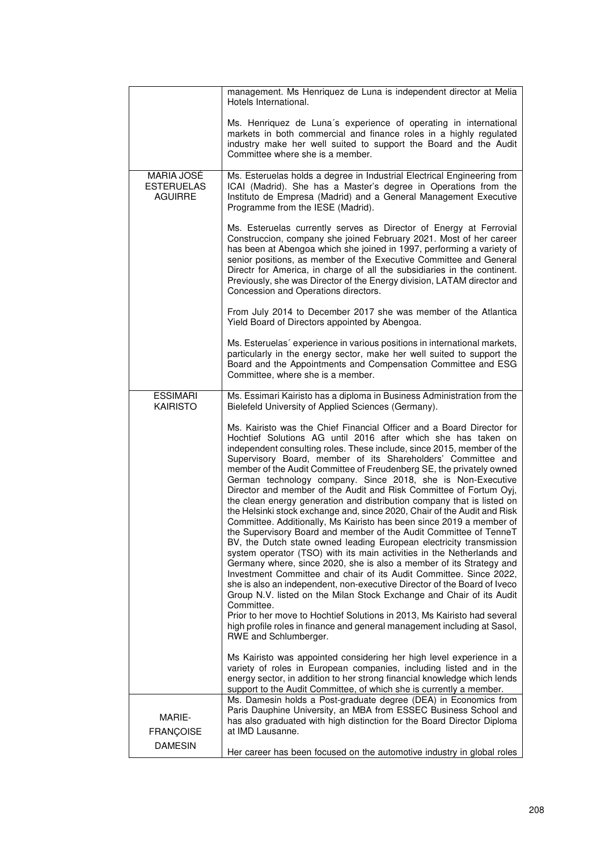|                                                   | management. Ms Henriquez de Luna is independent director at Melia<br>Hotels International.                                                                                                                                                                                                                                                                                                                                                                                                                                                                                                                                                                                                                                                                                                                                                                                                                                                                                                                                                                                                                                                                                                                                                                                                                                                                                                                                                       |
|---------------------------------------------------|--------------------------------------------------------------------------------------------------------------------------------------------------------------------------------------------------------------------------------------------------------------------------------------------------------------------------------------------------------------------------------------------------------------------------------------------------------------------------------------------------------------------------------------------------------------------------------------------------------------------------------------------------------------------------------------------------------------------------------------------------------------------------------------------------------------------------------------------------------------------------------------------------------------------------------------------------------------------------------------------------------------------------------------------------------------------------------------------------------------------------------------------------------------------------------------------------------------------------------------------------------------------------------------------------------------------------------------------------------------------------------------------------------------------------------------------------|
|                                                   | Ms. Henriquez de Luna's experience of operating in international<br>markets in both commercial and finance roles in a highly regulated<br>industry make her well suited to support the Board and the Audit<br>Committee where she is a member.                                                                                                                                                                                                                                                                                                                                                                                                                                                                                                                                                                                                                                                                                                                                                                                                                                                                                                                                                                                                                                                                                                                                                                                                   |
| MARIA JOSÉ<br><b>ESTERUELAS</b><br><b>AGUIRRE</b> | Ms. Esteruelas holds a degree in Industrial Electrical Engineering from<br>ICAI (Madrid). She has a Master's degree in Operations from the<br>Instituto de Empresa (Madrid) and a General Management Executive<br>Programme from the IESE (Madrid).                                                                                                                                                                                                                                                                                                                                                                                                                                                                                                                                                                                                                                                                                                                                                                                                                                                                                                                                                                                                                                                                                                                                                                                              |
|                                                   | Ms. Esteruelas currently serves as Director of Energy at Ferrovial<br>Construccion, company she joined February 2021. Most of her career<br>has been at Abengoa which she joined in 1997, performing a variety of<br>senior positions, as member of the Executive Committee and General<br>Directr for America, in charge of all the subsidiaries in the continent.<br>Previously, she was Director of the Energy division, LATAM director and<br>Concession and Operations directors.                                                                                                                                                                                                                                                                                                                                                                                                                                                                                                                                                                                                                                                                                                                                                                                                                                                                                                                                                           |
|                                                   | From July 2014 to December 2017 she was member of the Atlantica<br>Yield Board of Directors appointed by Abengoa.                                                                                                                                                                                                                                                                                                                                                                                                                                                                                                                                                                                                                                                                                                                                                                                                                                                                                                                                                                                                                                                                                                                                                                                                                                                                                                                                |
|                                                   | Ms. Esteruelas' experience in various positions in international markets,<br>particularly in the energy sector, make her well suited to support the<br>Board and the Appointments and Compensation Committee and ESG<br>Committee, where she is a member.                                                                                                                                                                                                                                                                                                                                                                                                                                                                                                                                                                                                                                                                                                                                                                                                                                                                                                                                                                                                                                                                                                                                                                                        |
| <b>ESSIMARI</b><br><b>KAIRISTO</b>                | Ms. Essimari Kairisto has a diploma in Business Administration from the<br>Bielefeld University of Applied Sciences (Germany).                                                                                                                                                                                                                                                                                                                                                                                                                                                                                                                                                                                                                                                                                                                                                                                                                                                                                                                                                                                                                                                                                                                                                                                                                                                                                                                   |
|                                                   | Ms. Kairisto was the Chief Financial Officer and a Board Director for<br>Hochtief Solutions AG until 2016 after which she has taken on<br>independent consulting roles. These include, since 2015, member of the<br>Supervisory Board, member of its Shareholders' Committee and<br>member of the Audit Committee of Freudenberg SE, the privately owned<br>German technology company. Since 2018, she is Non-Executive<br>Director and member of the Audit and Risk Committee of Fortum Oyj,<br>the clean energy generation and distribution company that is listed on<br>the Helsinki stock exchange and, since 2020, Chair of the Audit and Risk<br>Committee. Additionally, Ms Kairisto has been since 2019 a member of<br>the Supervisory Board and member of the Audit Committee of TenneT<br>BV, the Dutch state owned leading European electricity transmission<br>system operator (TSO) with its main activities in the Netherlands and<br>Germany where, since 2020, she is also a member of its Strategy and<br>Investment Committee and chair of its Audit Committee. Since 2022,<br>she is also an independent, non-executive Director of the Board of Iveco<br>Group N.V. listed on the Milan Stock Exchange and Chair of its Audit<br>Committee.<br>Prior to her move to Hochtief Solutions in 2013, Ms Kairisto had several<br>high profile roles in finance and general management including at Sasol,<br>RWE and Schlumberger. |
|                                                   | Ms Kairisto was appointed considering her high level experience in a<br>variety of roles in European companies, including listed and in the<br>energy sector, in addition to her strong financial knowledge which lends<br>support to the Audit Committee, of which she is currently a member.                                                                                                                                                                                                                                                                                                                                                                                                                                                                                                                                                                                                                                                                                                                                                                                                                                                                                                                                                                                                                                                                                                                                                   |
| <b>MARIE-</b><br><b>FRANÇOISE</b>                 | Ms. Damesin holds a Post-graduate degree (DEA) in Economics from<br>Paris Dauphine University, an MBA from ESSEC Business School and<br>has also graduated with high distinction for the Board Director Diploma<br>at IMD Lausanne.                                                                                                                                                                                                                                                                                                                                                                                                                                                                                                                                                                                                                                                                                                                                                                                                                                                                                                                                                                                                                                                                                                                                                                                                              |
| <b>DAMESIN</b>                                    | Her career has been focused on the automotive industry in global roles                                                                                                                                                                                                                                                                                                                                                                                                                                                                                                                                                                                                                                                                                                                                                                                                                                                                                                                                                                                                                                                                                                                                                                                                                                                                                                                                                                           |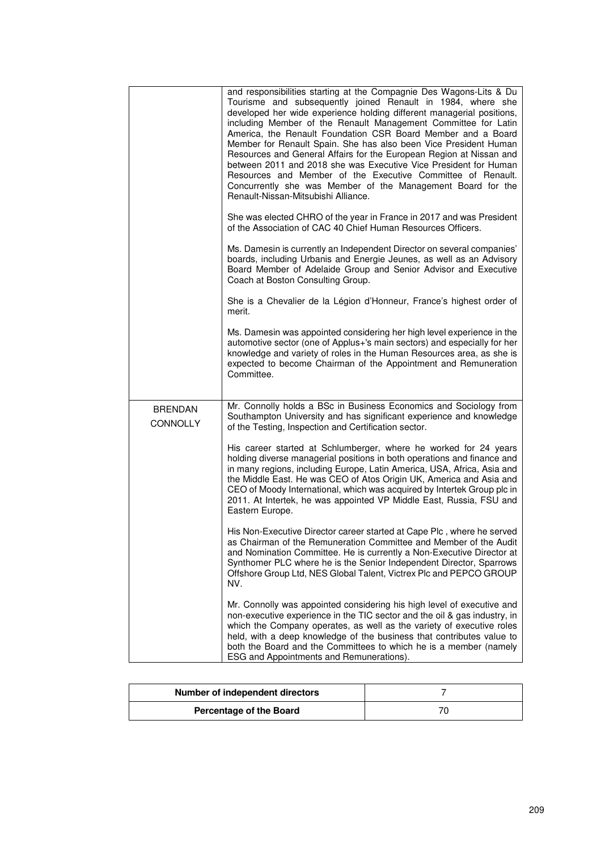|                                   | and responsibilities starting at the Compagnie Des Wagons-Lits & Du<br>Tourisme and subsequently joined Renault in 1984, where she<br>developed her wide experience holding different managerial positions,<br>including Member of the Renault Management Committee for Latin<br>America, the Renault Foundation CSR Board Member and a Board<br>Member for Renault Spain. She has also been Vice President Human<br>Resources and General Affairs for the European Region at Nissan and<br>between 2011 and 2018 she was Executive Vice President for Human<br>Resources and Member of the Executive Committee of Renault.<br>Concurrently she was Member of the Management Board for the<br>Renault-Nissan-Mitsubishi Alliance. |
|-----------------------------------|-----------------------------------------------------------------------------------------------------------------------------------------------------------------------------------------------------------------------------------------------------------------------------------------------------------------------------------------------------------------------------------------------------------------------------------------------------------------------------------------------------------------------------------------------------------------------------------------------------------------------------------------------------------------------------------------------------------------------------------|
|                                   | She was elected CHRO of the year in France in 2017 and was President<br>of the Association of CAC 40 Chief Human Resources Officers.                                                                                                                                                                                                                                                                                                                                                                                                                                                                                                                                                                                              |
|                                   | Ms. Damesin is currently an Independent Director on several companies'<br>boards, including Urbanis and Energie Jeunes, as well as an Advisory<br>Board Member of Adelaide Group and Senior Advisor and Executive<br>Coach at Boston Consulting Group.                                                                                                                                                                                                                                                                                                                                                                                                                                                                            |
|                                   | She is a Chevalier de la Légion d'Honneur, France's highest order of<br>merit.                                                                                                                                                                                                                                                                                                                                                                                                                                                                                                                                                                                                                                                    |
|                                   | Ms. Damesin was appointed considering her high level experience in the<br>automotive sector (one of Applus+'s main sectors) and especially for her<br>knowledge and variety of roles in the Human Resources area, as she is<br>expected to become Chairman of the Appointment and Remuneration<br>Committee.                                                                                                                                                                                                                                                                                                                                                                                                                      |
| <b>BRENDAN</b><br><b>CONNOLLY</b> | Mr. Connolly holds a BSc in Business Economics and Sociology from<br>Southampton University and has significant experience and knowledge<br>of the Testing, Inspection and Certification sector.                                                                                                                                                                                                                                                                                                                                                                                                                                                                                                                                  |
|                                   | His career started at Schlumberger, where he worked for 24 years<br>holding diverse managerial positions in both operations and finance and<br>in many regions, including Europe, Latin America, USA, Africa, Asia and<br>the Middle East. He was CEO of Atos Origin UK, America and Asia and<br>CEO of Moody International, which was acquired by Intertek Group plc in<br>2011. At Intertek, he was appointed VP Middle East, Russia, FSU and<br>Eastern Europe.                                                                                                                                                                                                                                                                |
|                                   | His Non-Executive Director career started at Cape Plc, where he served<br>as Chairman of the Remuneration Committee and Member of the Audit<br>and Nomination Committee. He is currently a Non-Executive Director at<br>Synthomer PLC where he is the Senior Independent Director, Sparrows<br>Offshore Group Ltd, NES Global Talent, Victrex Plc and PEPCO GROUP<br>NV.                                                                                                                                                                                                                                                                                                                                                          |
|                                   | Mr. Connolly was appointed considering his high level of executive and<br>non-executive experience in the TIC sector and the oil & gas industry, in<br>which the Company operates, as well as the variety of executive roles<br>held, with a deep knowledge of the business that contributes value to<br>both the Board and the Committees to which he is a member (namely<br>ESG and Appointments and Remunerations).                                                                                                                                                                                                                                                                                                            |

| Number of independent directors |  |
|---------------------------------|--|
| Percentage of the Board         |  |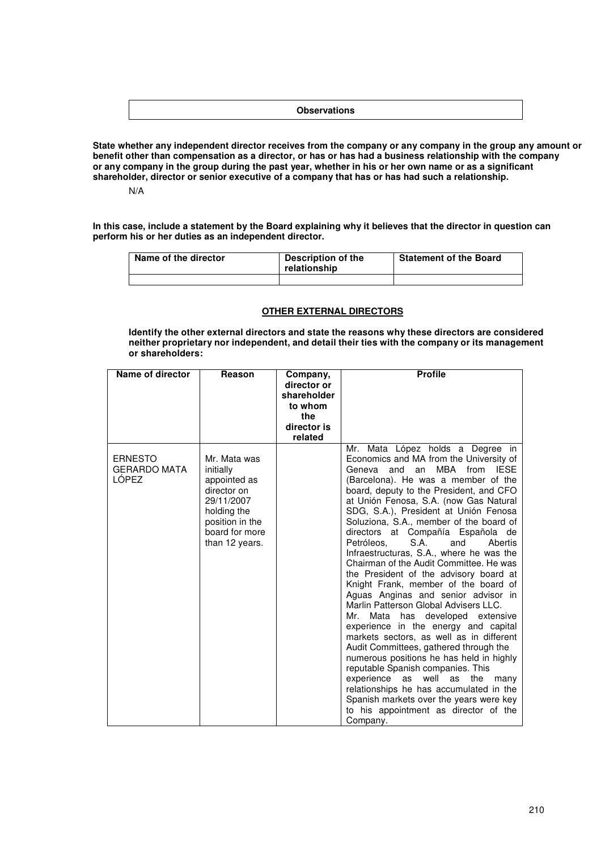#### **Observations**

**State whether any independent director receives from the company or any company in the group any amount or benefit other than compensation as a director, or has or has had a business relationship with the company or any company in the group during the past year, whether in his or her own name or as a significant shareholder, director or senior executive of a company that has or has had such a relationship.** 

N/A

**In this case, include a statement by the Board explaining why it believes that the director in question can perform his or her duties as an independent director.**

| Name of the director | Description of the<br>relationship | <b>Statement of the Board</b> |
|----------------------|------------------------------------|-------------------------------|
|                      |                                    |                               |

### **OTHER EXTERNAL DIRECTORS**

**Identify the other external directors and state the reasons why these directors are considered neither proprietary nor independent, and detail their ties with the company or its management or shareholders:** 

| Name of director                               | Reason                                                                                                                                       | Company,<br>director or<br>shareholder<br>to whom<br>the<br>director is<br>related | <b>Profile</b>                                                                                                                                                                                                                                                                                                                                                                                                                                                                                                                                                                                                                                                                                                                                                                                                                                                                                                                                                                                                                                                                                                                     |
|------------------------------------------------|----------------------------------------------------------------------------------------------------------------------------------------------|------------------------------------------------------------------------------------|------------------------------------------------------------------------------------------------------------------------------------------------------------------------------------------------------------------------------------------------------------------------------------------------------------------------------------------------------------------------------------------------------------------------------------------------------------------------------------------------------------------------------------------------------------------------------------------------------------------------------------------------------------------------------------------------------------------------------------------------------------------------------------------------------------------------------------------------------------------------------------------------------------------------------------------------------------------------------------------------------------------------------------------------------------------------------------------------------------------------------------|
| <b>ERNESTO</b><br><b>GERARDO MATA</b><br>LÓPEZ | Mr. Mata was<br>initially<br>appointed as<br>director on<br>29/11/2007<br>holding the<br>position in the<br>board for more<br>than 12 years. |                                                                                    | Mr. Mata López holds a Degree in<br>Economics and MA from the University of<br>MBA<br>from<br><b>IESE</b><br>and<br>Geneva<br>an<br>(Barcelona). He was a member of the<br>board, deputy to the President, and CFO<br>at Unión Fenosa, S.A. (now Gas Natural<br>SDG, S.A.), President at Unión Fenosa<br>Soluziona, S.A., member of the board of<br>directors at Compañía Española de<br>Petróleos.<br>S.A.<br>Abertis<br>and<br>Infraestructuras, S.A., where he was the<br>Chairman of the Audit Committee. He was<br>the President of the advisory board at<br>Knight Frank, member of the board of<br>Aguas Anginas and senior advisor in<br>Marlin Patterson Global Advisers LLC.<br>Mata has developed extensive<br>Mr.<br>experience in the energy and capital<br>markets sectors, as well as in different<br>Audit Committees, gathered through the<br>numerous positions he has held in highly<br>reputable Spanish companies. This<br>experience as well<br>as<br>the<br>many<br>relationships he has accumulated in the<br>Spanish markets over the years were key<br>to his appointment as director of the<br>Company. |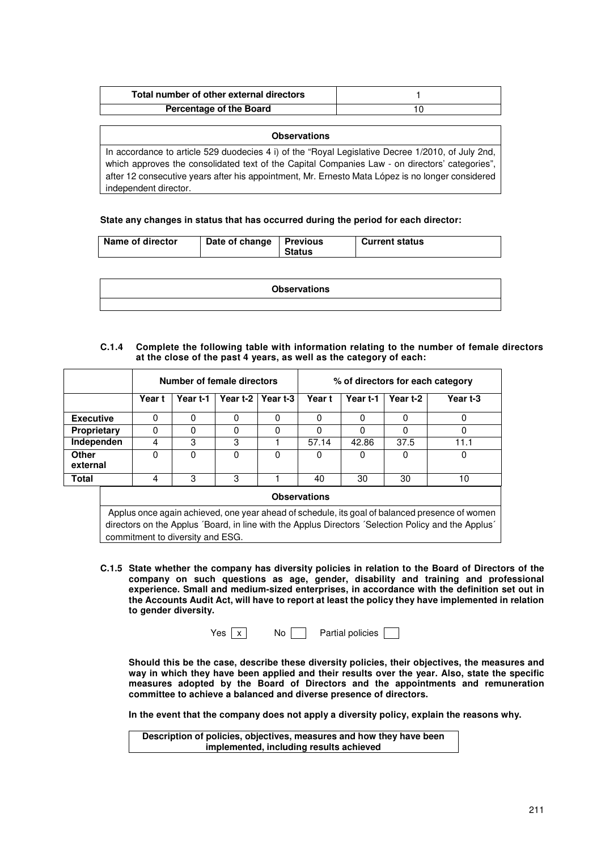| Total number of other external directors |  |
|------------------------------------------|--|
| <b>Percentage of the Board</b>           |  |

**Observations**  In accordance to article 529 duodecies 4 i) of the "Royal Legislative Decree 1/2010, of July 2nd, which approves the consolidated text of the Capital Companies Law - on directors' categories", after 12 consecutive years after his appointment, Mr. Ernesto Mata López is no longer considered independent director.

#### **State any changes in status that has occurred during the period for each director:**

| <b>Observations</b> |
|---------------------|
|                     |

#### **C.1.4 Complete the following table with information relating to the number of female directors at the close of the past 4 years, as well as the category of each:**

|                    |                                                                                                                                                                                                                                           | Number of female directors |          |          |          |          |          |          | % of directors for each category |
|--------------------|-------------------------------------------------------------------------------------------------------------------------------------------------------------------------------------------------------------------------------------------|----------------------------|----------|----------|----------|----------|----------|----------|----------------------------------|
|                    |                                                                                                                                                                                                                                           | Year t                     | Year t-1 | Year t-2 | Year t-3 | Year t   | Year t-1 | Year t-2 | Year t-3                         |
| <b>Executive</b>   |                                                                                                                                                                                                                                           | 0                          | 0        | 0        | 0        | 0        | 0        | 0        | $\Omega$                         |
| <b>Proprietary</b> |                                                                                                                                                                                                                                           | 0                          | 0        | 0        | 0        | $\Omega$ | 0        | $\Omega$ | $\Omega$                         |
| Independen         |                                                                                                                                                                                                                                           | 4                          | 3        | 3        |          | 57.14    | 42.86    | 37.5     | 11.1                             |
| Other<br>external  |                                                                                                                                                                                                                                           | 0                          | 0        | 0        | 0        | 0        | O        | $\Omega$ | 0                                |
| <b>Total</b>       |                                                                                                                                                                                                                                           | 4                          | 3        | 3        |          | 40       | 30       | 30       | 10                               |
|                    | <b>Observations</b>                                                                                                                                                                                                                       |                            |          |          |          |          |          |          |                                  |
|                    | Applus once again achieved, one year ahead of schedule, its goal of balanced presence of women<br>directors on the Applus 'Board, in line with the Applus Directors 'Selection Policy and the Applus'<br>commitment to diversity and ESG. |                            |          |          |          |          |          |          |                                  |

**C.1.5 State whether the company has diversity policies in relation to the Board of Directors of the company on such questions as age, gender, disability and training and professional experience. Small and medium-sized enterprises, in accordance with the definition set out in the Accounts Audit Act, will have to report at least the policy they have implemented in relation to gender diversity.**

| res |  | No |  |
|-----|--|----|--|
|-----|--|----|--|

Partial policies

**Should this be the case, describe these diversity policies, their objectives, the measures and way in which they have been applied and their results over the year. Also, state the specific measures adopted by the Board of Directors and the appointments and remuneration committee to achieve a balanced and diverse presence of directors.** 

**In the event that the company does not apply a diversity policy, explain the reasons why.** 

**Description of policies, objectives, measures and how they have been implemented, including results achieved**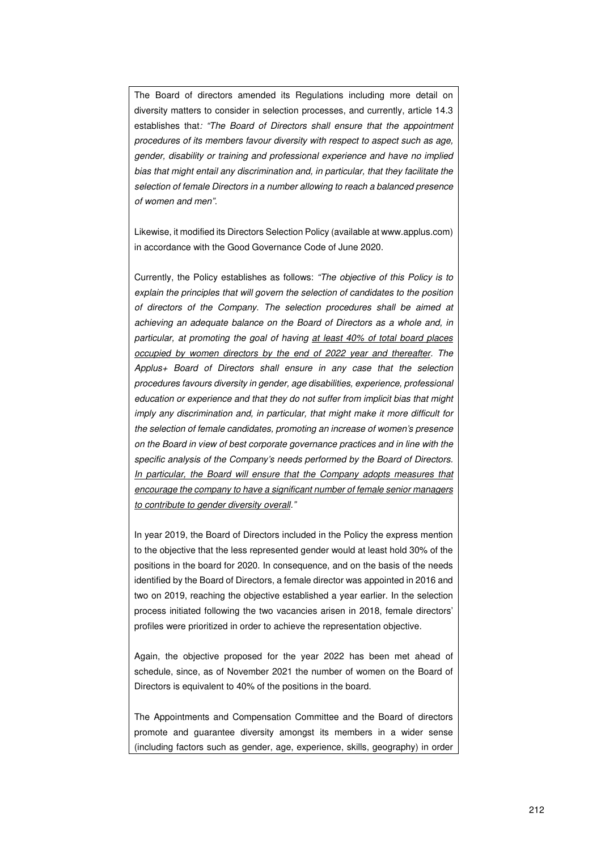The Board of directors amended its Regulations including more detail on diversity matters to consider in selection processes, and currently, article 14.3 establishes that: "The Board of Directors shall ensure that the appointment procedures of its members favour diversity with respect to aspect such as age, gender, disability or training and professional experience and have no implied bias that might entail any discrimination and, in particular, that they facilitate the selection of female Directors in a number allowing to reach a balanced presence of women and men".

Likewise, it modified its Directors Selection Policy (available at www.applus.com) in accordance with the Good Governance Code of June 2020.

Currently, the Policy establishes as follows: "The objective of this Policy is to explain the principles that will govern the selection of candidates to the position of directors of the Company. The selection procedures shall be aimed at achieving an adequate balance on the Board of Directors as a whole and, in particular, at promoting the goal of having at least 40% of total board places occupied by women directors by the end of 2022 year and thereafter. The Applus+ Board of Directors shall ensure in any case that the selection procedures favours diversity in gender, age disabilities, experience, professional education or experience and that they do not suffer from implicit bias that might imply any discrimination and, in particular, that might make it more difficult for the selection of female candidates, promoting an increase of women's presence on the Board in view of best corporate governance practices and in line with the specific analysis of the Company's needs performed by the Board of Directors. In particular, the Board will ensure that the Company adopts measures that encourage the company to have a significant number of female senior managers to contribute to gender diversity overall."

In year 2019, the Board of Directors included in the Policy the express mention to the objective that the less represented gender would at least hold 30% of the positions in the board for 2020. In consequence, and on the basis of the needs identified by the Board of Directors, a female director was appointed in 2016 and two on 2019, reaching the objective established a year earlier. In the selection process initiated following the two vacancies arisen in 2018, female directors' profiles were prioritized in order to achieve the representation objective.

Again, the objective proposed for the year 2022 has been met ahead of schedule, since, as of November 2021 the number of women on the Board of Directors is equivalent to 40% of the positions in the board.

The Appointments and Compensation Committee and the Board of directors promote and guarantee diversity amongst its members in a wider sense (including factors such as gender, age, experience, skills, geography) in order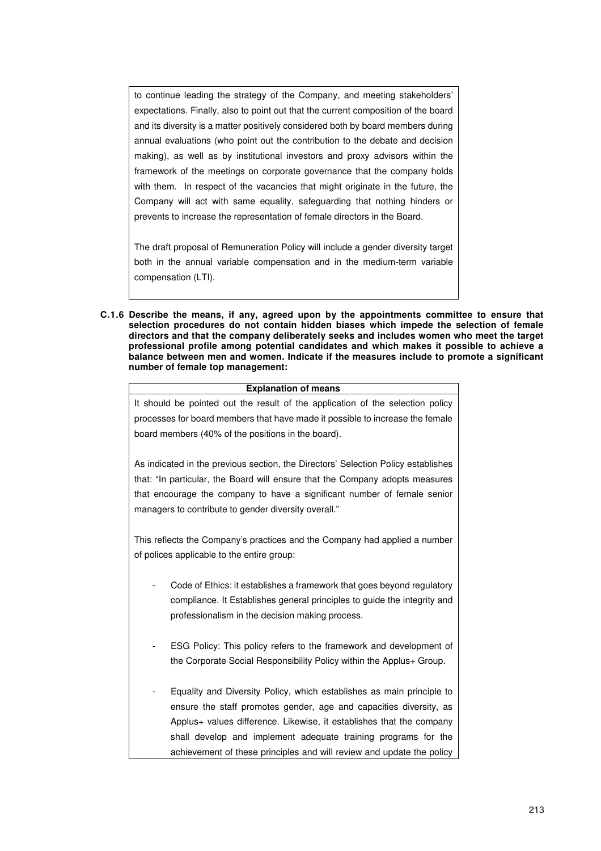to continue leading the strategy of the Company, and meeting stakeholders' expectations. Finally, also to point out that the current composition of the board and its diversity is a matter positively considered both by board members during annual evaluations (who point out the contribution to the debate and decision making), as well as by institutional investors and proxy advisors within the framework of the meetings on corporate governance that the company holds with them. In respect of the vacancies that might originate in the future, the Company will act with same equality, safeguarding that nothing hinders or prevents to increase the representation of female directors in the Board.

The draft proposal of Remuneration Policy will include a gender diversity target both in the annual variable compensation and in the medium-term variable compensation (LTI).

**C.1.6 Describe the means, if any, agreed upon by the appointments committee to ensure that selection procedures do not contain hidden biases which impede the selection of female directors and that the company deliberately seeks and includes women who meet the target professional profile among potential candidates and which makes it possible to achieve a balance between men and women. Indicate if the measures include to promote a significant number of female top management:**

| <b>Explanation of means</b>                                                       |
|-----------------------------------------------------------------------------------|
| It should be pointed out the result of the application of the selection policy    |
| processes for board members that have made it possible to increase the female     |
| board members (40% of the positions in the board).                                |
|                                                                                   |
| As indicated in the previous section, the Directors' Selection Policy establishes |
| that: "In particular, the Board will ensure that the Company adopts measures      |
| that encourage the company to have a significant number of female senior          |
| managers to contribute to gender diversity overall."                              |
|                                                                                   |
| This reflects the Company's practices and the Company had applied a number        |
| of polices applicable to the entire group:                                        |
|                                                                                   |
| Code of Ethics: it establishes a framework that goes beyond regulatory            |
| compliance. It Establishes general principles to guide the integrity and          |
| professionalism in the decision making process.                                   |
|                                                                                   |
|                                                                                   |
| ESG Policy: This policy refers to the framework and development of                |
| the Corporate Social Responsibility Policy within the Applus+ Group.              |
|                                                                                   |
| Equality and Diversity Policy, which establishes as main principle to             |
| ensure the staff promotes gender, age and capacities diversity, as                |
| Applus + values difference. Likewise, it establishes that the company             |
| shall develop and implement adequate training programs for the                    |
| achievement of these principles and will review and update the policy             |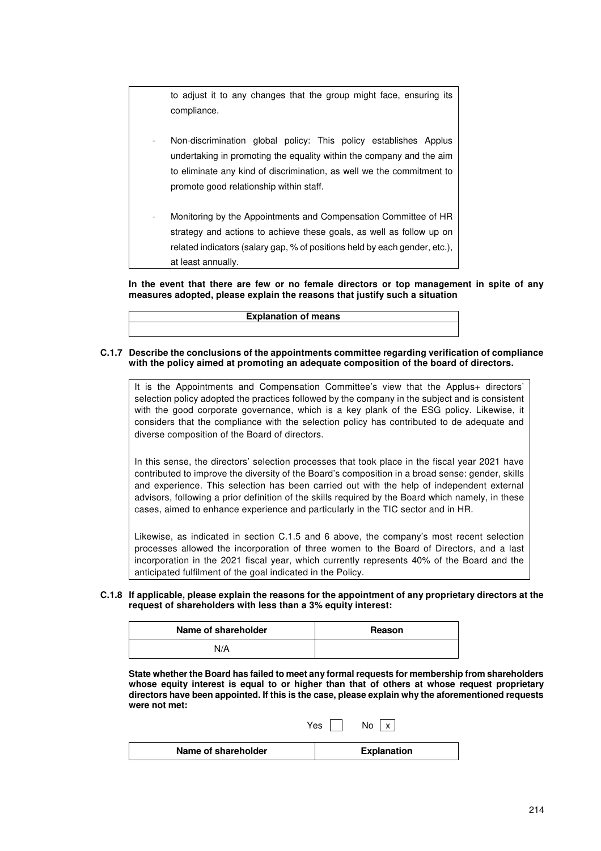to adjust it to any changes that the group might face, ensuring its compliance.

- Non-discrimination global policy: This policy establishes Applus undertaking in promoting the equality within the company and the aim to eliminate any kind of discrimination, as well we the commitment to promote good relationship within staff.
- Monitoring by the Appointments and Compensation Committee of HR strategy and actions to achieve these goals, as well as follow up on related indicators (salary gap, % of positions held by each gender, etc.), at least annually.

**In the event that there are few or no female directors or top management in spite of any measures adopted, please explain the reasons that justify such a situation** 

**Explanation of means**

#### **C.1.7 Describe the conclusions of the appointments committee regarding verification of compliance with the policy aimed at promoting an adequate composition of the board of directors.**

It is the Appointments and Compensation Committee's view that the Applus+ directors' selection policy adopted the practices followed by the company in the subject and is consistent with the good corporate governance, which is a key plank of the ESG policy. Likewise, it considers that the compliance with the selection policy has contributed to de adequate and diverse composition of the Board of directors.

In this sense, the directors' selection processes that took place in the fiscal year 2021 have contributed to improve the diversity of the Board's composition in a broad sense: gender, skills and experience. This selection has been carried out with the help of independent external advisors, following a prior definition of the skills required by the Board which namely, in these cases, aimed to enhance experience and particularly in the TIC sector and in HR.

Likewise, as indicated in section C.1.5 and 6 above, the company's most recent selection processes allowed the incorporation of three women to the Board of Directors, and a last incorporation in the 2021 fiscal year, which currently represents 40% of the Board and the anticipated fulfilment of the goal indicated in the Policy.

#### **C.1.8 If applicable, please explain the reasons for the appointment of any proprietary directors at the request of shareholders with less than a 3% equity interest:**

| Name of shareholder | Reason |
|---------------------|--------|
| N/A                 |        |

**State whether the Board has failed to meet any formal requests for membership from shareholders whose equity interest is equal to or higher than that of others at whose request proprietary directors have been appointed. If this is the case, please explain why the aforementioned requests were not met:** 

|                     | Yes<br>No          |
|---------------------|--------------------|
| Name of shareholder | <b>Explanation</b> |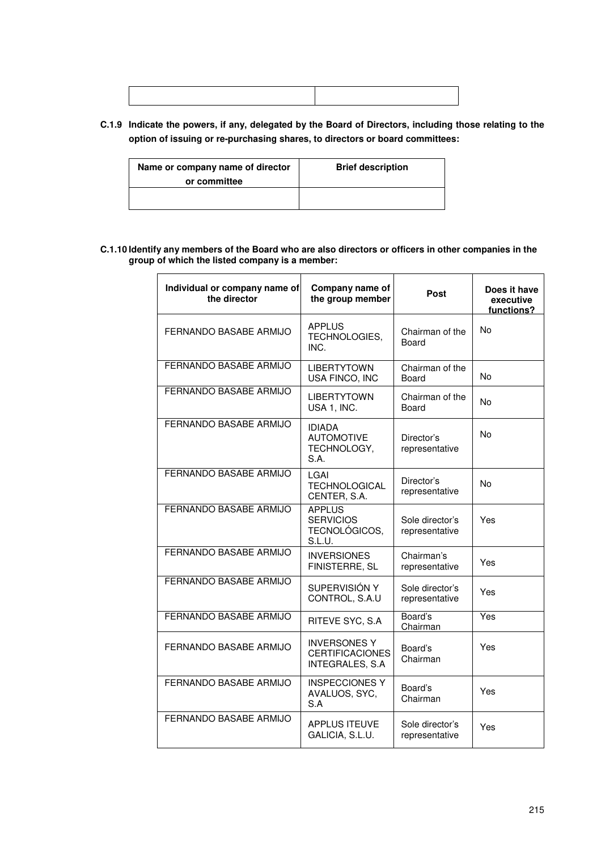## **C.1.9 Indicate the powers, if any, delegated by the Board of Directors, including those relating to the option of issuing or re-purchasing shares, to directors or board committees:**

| Name or company name of director<br>or committee | <b>Brief description</b> |
|--------------------------------------------------|--------------------------|
|                                                  |                          |

#### **C.1.10 Identify any members of the Board who are also directors or officers in other companies in the group of which the listed company is a member:**

| Individual or company name of<br>the director | Company name of<br>the group member                               | Post                              | Does it have<br>executive<br>functions? |
|-----------------------------------------------|-------------------------------------------------------------------|-----------------------------------|-----------------------------------------|
| FERNANDO BASABE ARMIJO                        | <b>APPLUS</b><br>TECHNOLOGIES,<br>INC.                            | Chairman of the<br>Board          | No                                      |
| FERNANDO BASABE ARMIJO                        | <b>LIBERTYTOWN</b><br>USA FINCO, INC                              | Chairman of the<br>Board          | No                                      |
| <b>FERNANDO BASABE ARMIJO</b>                 | <b>LIBERTYTOWN</b><br>USA 1, INC.                                 | Chairman of the<br>Board          | No                                      |
| FERNANDO BASABE ARMIJO                        | <b>IDIADA</b><br><b>AUTOMOTIVE</b><br>TECHNOLOGY,<br>S.A.         | Director's<br>representative      | No                                      |
| FERNANDO BASABE ARMIJO                        | LGAI<br><b>TECHNOLOGICAL</b><br>CENTER, S.A.                      | Director's<br>representative      | No                                      |
| FERNANDO BASABE ARMIJO                        | <b>APPLUS</b><br><b>SERVICIOS</b><br>TECNOLÓGICOS,<br>S.L.U.      | Sole director's<br>representative | Yes                                     |
| <b>FERNANDO BASABE ARMIJO</b>                 | <b>INVERSIONES</b><br>FINISTERRE, SL                              | Chairman's<br>representative      | Yes                                     |
| FERNANDO BASABE ARMIJO                        | SUPERVISIÓN Y<br>CONTROL, S.A.U                                   | Sole director's<br>representative | Yes                                     |
| <b>FERNANDO BASABE ARMIJO</b>                 | RITEVE SYC, S.A                                                   | Board's<br>Chairman               | Yes                                     |
| FERNANDO BASABE ARMIJO                        | <b>INVERSONES Y</b><br><b>CERTIFICACIONES</b><br>INTEGRALES, S.A. | Board's<br>Chairman               | Yes                                     |
| FERNANDO BASABE ARMIJO                        | <b>INSPECCIONES Y</b><br>AVALUOS, SYC,<br>S.A                     | Board's<br>Chairman               | Yes                                     |
| FERNANDO BASABE ARMIJO                        | <b>APPLUS ITEUVE</b><br>GALICIA, S.L.U.                           | Sole director's<br>representative | Yes                                     |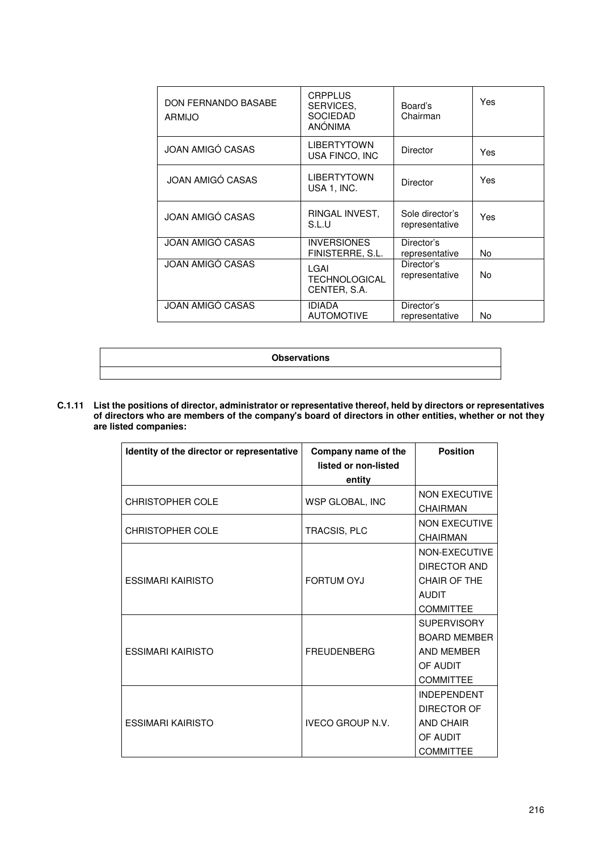| DON FERNANDO BASABE<br>ARMIJO | <b>CRPPLUS</b><br>SERVICES.<br><b>SOCIEDAD</b><br>ANÓNIMA | Board's<br>Chairman               | Yes |
|-------------------------------|-----------------------------------------------------------|-----------------------------------|-----|
| <b>JOAN AMIGÓ CASAS</b>       | <b>LIBERTYTOWN</b><br>USA FINCO, INC                      | <b>Director</b>                   | Yes |
| JOAN AMIGÓ CASAS              | <b>LIBERTYTOWN</b><br>USA 1, INC.                         | Director                          | Yes |
| <b>JOAN AMIGÓ CASAS</b>       | RINGAL INVEST,<br>S.L.U                                   | Sole director's<br>representative | Yes |
| JOAN AMIGÓ CASAS              | <b>INVERSIONES</b><br>FINISTERRE, S.L.                    | Director's<br>representative      | No  |
| <b>JOAN AMIGÓ CASAS</b>       | LGAI<br>TECHNOLOGICAL<br>CENTER, S.A.                     | Director's<br>representative      | No. |
| JOAN AMIGÓ CASAS              | <b>IDIADA</b><br><b>AUTOMOTIVE</b>                        | Director's<br>representative      | No  |

### **Observations**

**C.1.11 List the positions of director, administrator or representative thereof, held by directors or representatives of directors who are members of the company's board of directors in other entities, whether or not they are listed companies:** 

| Identity of the director or representative | Company name of the            | <b>Position</b>                                                                                |
|--------------------------------------------|--------------------------------|------------------------------------------------------------------------------------------------|
|                                            | listed or non-listed<br>entity |                                                                                                |
| <b>CHRISTOPHER COLE</b>                    | WSP GLOBAL, INC                | <b>NON EXECUTIVE</b><br>CHAIRMAN                                                               |
| <b>CHRISTOPHER COLE</b>                    | TRACSIS, PLC                   | <b>NON EXECUTIVE</b><br><b>CHAIRMAN</b>                                                        |
| <b>ESSIMARI KAIRISTO</b>                   | <b>FORTUM OYJ</b>              | NON-EXECUTIVE<br><b>DIRECTOR AND</b><br>CHAIR OF THE<br><b>AUDIT</b><br><b>COMMITTEE</b>       |
| <b>ESSIMARI KAIRISTO</b>                   | <b>FREUDENBERG</b>             | <b>SUPERVISORY</b><br><b>BOARD MEMBER</b><br><b>AND MEMBER</b><br>OF AUDIT<br><b>COMMITTEE</b> |
| <b>FSSIMARI KAIRISTO</b>                   | <b>IVECO GROUP N.V.</b>        | <b>INDEPENDENT</b><br><b>DIRECTOR OF</b><br><b>AND CHAIR</b><br>OF AUDIT<br><b>COMMITTEE</b>   |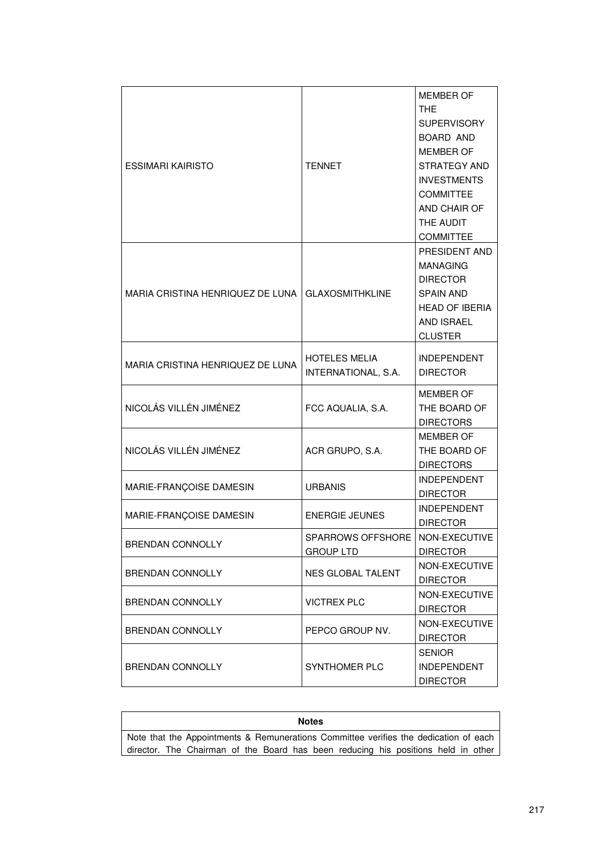| <b>ESSIMARI KAIRISTO</b>         | <b>TENNET</b>                                         | <b>MEMBER OF</b><br>THE<br><b>SUPERVISORY</b><br>BOARD AND<br><b>MEMBER OF</b><br>STRATEGY AND<br><b>INVESTMENTS</b><br><b>COMMITTEE</b><br>AND CHAIR OF<br>THE AUDIT<br><b>COMMITTEE</b> |
|----------------------------------|-------------------------------------------------------|-------------------------------------------------------------------------------------------------------------------------------------------------------------------------------------------|
| MARIA CRISTINA HENRIQUEZ DE LUNA | <b>GLAXOSMITHKLINE</b>                                | PRESIDENT AND<br><b>MANAGING</b><br><b>DIRECTOR</b><br><b>SPAIN AND</b><br><b>HEAD OF IBERIA</b><br>AND ISRAEL<br><b>CLUSTER</b>                                                          |
| MARIA CRISTINA HENRIQUEZ DE LUNA | <b>HOTELES MELIA</b><br>INTERNATIONAL, S.A.           | <b>INDEPENDENT</b><br><b>DIRECTOR</b>                                                                                                                                                     |
| NICOLÁS VILLÉN JIMÉNEZ           | FCC AQUALIA, S.A.                                     | <b>MEMBER OF</b><br>THE BOARD OF<br><b>DIRECTORS</b>                                                                                                                                      |
| NICOLÁS VILLÉN JIMÉNEZ           | ACR GRUPO, S.A.                                       | <b>MEMBER OF</b><br>THE BOARD OF<br><b>DIRECTORS</b>                                                                                                                                      |
| MARIE-FRANÇOISE DAMESIN          | <b>URBANIS</b>                                        | <b>INDEPENDENT</b><br><b>DIRECTOR</b>                                                                                                                                                     |
| MARIE-FRANÇOISE DAMESIN          | <b>ENERGIE JEUNES</b>                                 | <b>INDEPENDENT</b><br><b>DIRECTOR</b>                                                                                                                                                     |
| <b>BRENDAN CONNOLLY</b>          | SPARROWS OFFSHORE   NON-EXECUTIVE<br><b>GROUP LTD</b> | <b>DIRECTOR</b>                                                                                                                                                                           |
| <b>BRENDAN CONNOLLY</b>          | NES GLOBAL TALENT                                     | NON-EXECUTIVE<br><b>DIRECTOR</b>                                                                                                                                                          |
| <b>BRENDAN CONNOLLY</b>          | <b>VICTREX PLC</b>                                    | NON-EXECUTIVE<br><b>DIRECTOR</b>                                                                                                                                                          |
| <b>BRENDAN CONNOLLY</b>          | PEPCO GROUP NV.                                       | NON-EXECUTIVE<br><b>DIRECTOR</b>                                                                                                                                                          |
| <b>BRENDAN CONNOLLY</b>          | SYNTHOMER PLC                                         | <b>SENIOR</b><br><b>INDEPENDENT</b><br><b>DIRECTOR</b>                                                                                                                                    |

**Notes**  Note that the Appointments & Remunerations Committee verifies the dedication of each director. The Chairman of the Board has been reducing his positions held in other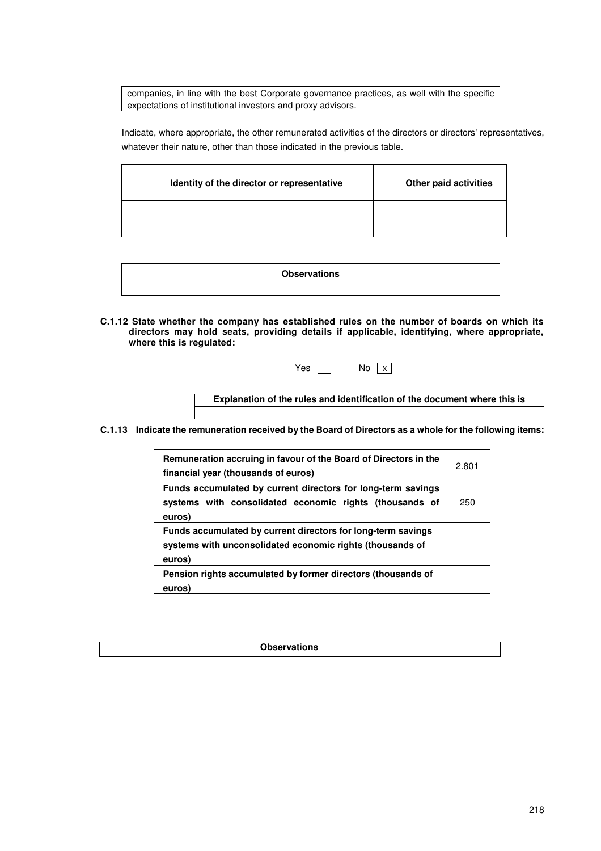companies, in line with the best Corporate governance practices, as well with the specific expectations of institutional investors and proxy advisors.

Indicate, where appropriate, the other remunerated activities of the directors or directors' representatives, whatever their nature, other than those indicated in the previous table.

| Identity of the director or representative | Other paid activities |
|--------------------------------------------|-----------------------|
|                                            |                       |

| <b>Observations</b> |
|---------------------|
|                     |

**C.1.12 State whether the company has established rules on the number of boards on which its directors may hold seats, providing details if applicable, identifying, where appropriate, where this is regulated:**

|  | Y<br>es |  | N٥ | I<br>x |
|--|---------|--|----|--------|
|--|---------|--|----|--------|

**Explanation of the rules and identification of the document where this is regulated**

**C.1.13 Indicate the remuneration received by the Board of Directors as a whole for the following items:** 

| Remuneration accruing in favour of the Board of Directors in the<br>financial year (thousands of euros)                             | 2.801 |
|-------------------------------------------------------------------------------------------------------------------------------------|-------|
| Funds accumulated by current directors for long-term savings<br>systems with consolidated economic rights (thousands of<br>euros)   | 250   |
| Funds accumulated by current directors for long-term savings<br>systems with unconsolidated economic rights (thousands of<br>euros) |       |
| Pension rights accumulated by former directors (thousands of<br>euros)                                                              |       |

**Observations**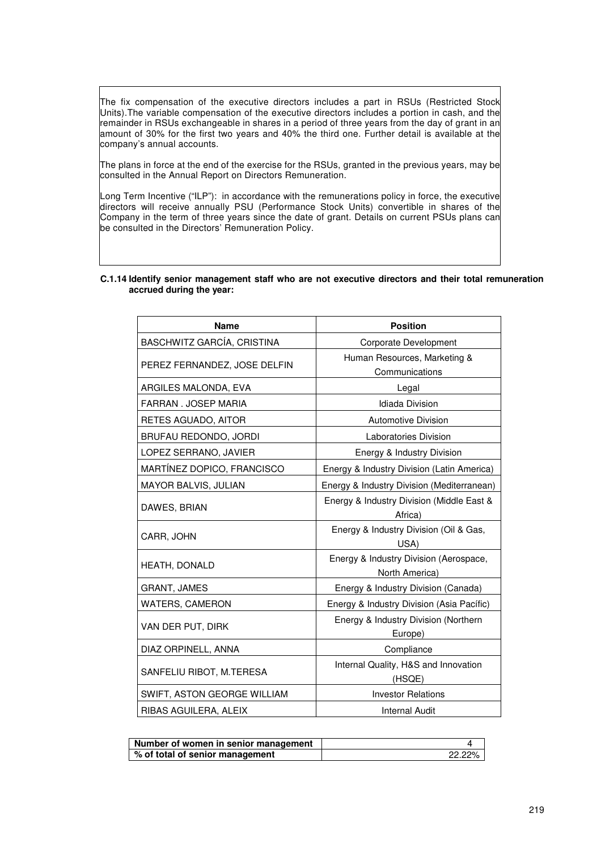The fix compensation of the executive directors includes a part in RSUs (Restricted Stock Units).The variable compensation of the executive directors includes a portion in cash, and the remainder in RSUs exchangeable in shares in a period of three years from the day of grant in an amount of 30% for the first two years and 40% the third one. Further detail is available at the company's annual accounts.

The plans in force at the end of the exercise for the RSUs, granted in the previous years, may be consulted in the Annual Report on Directors Remuneration.

Long Term Incentive ("ILP"): in accordance with the remunerations policy in force, the executive directors will receive annually PSU (Performance Stock Units) convertible in shares of the Company in the term of three years since the date of grant. Details on current PSUs plans can be consulted in the Directors' Remuneration Policy.

| <b>Name</b>                  | <b>Position</b>                                          |
|------------------------------|----------------------------------------------------------|
| BASCHWITZ GARCÍA, CRISTINA   | Corporate Development                                    |
| PEREZ FERNANDEZ, JOSE DELFIN | Human Resources, Marketing &<br>Communications           |
| ARGILES MALONDA, EVA         | Legal                                                    |
| FARRAN, JOSEP MARIA          | <b>Idiada Division</b>                                   |
| RETES AGUADO, AITOR          | <b>Automotive Division</b>                               |
| BRUFAU REDONDO, JORDI        | Laboratories Division                                    |
| LOPEZ SERRANO, JAVIER        | Energy & Industry Division                               |
| MARTÍNEZ DOPICO, FRANCISCO   | Energy & Industry Division (Latin America)               |
| MAYOR BALVIS, JULIAN         | Energy & Industry Division (Mediterranean)               |
| DAWES, BRIAN                 | Energy & Industry Division (Middle East &<br>Africa)     |
| CARR, JOHN                   | Energy & Industry Division (Oil & Gas,<br>USA)           |
| HEATH, DONALD                | Energy & Industry Division (Aerospace,<br>North America) |
| <b>GRANT, JAMES</b>          | Energy & Industry Division (Canada)                      |
| <b>WATERS, CAMERON</b>       | Energy & Industry Division (Asia Pacífic)                |
| VAN DER PUT, DIRK            | Energy & Industry Division (Northern<br>Europe)          |
| DIAZ ORPINELL, ANNA          | Compliance                                               |
| SANFELIU RIBOT, M.TERESA     | Internal Quality, H&S and Innovation<br>(HSQE)           |
| SWIFT, ASTON GEORGE WILLIAM  | <b>Investor Relations</b>                                |
| RIBAS AGUILERA, ALEIX        | Internal Audit                                           |

#### **C.1.14 Identify senior management staff who are not executive directors and their total remuneration accrued during the year:**

| Number of women in senior management |        |
|--------------------------------------|--------|
| % of total of senior management      | 22.22% |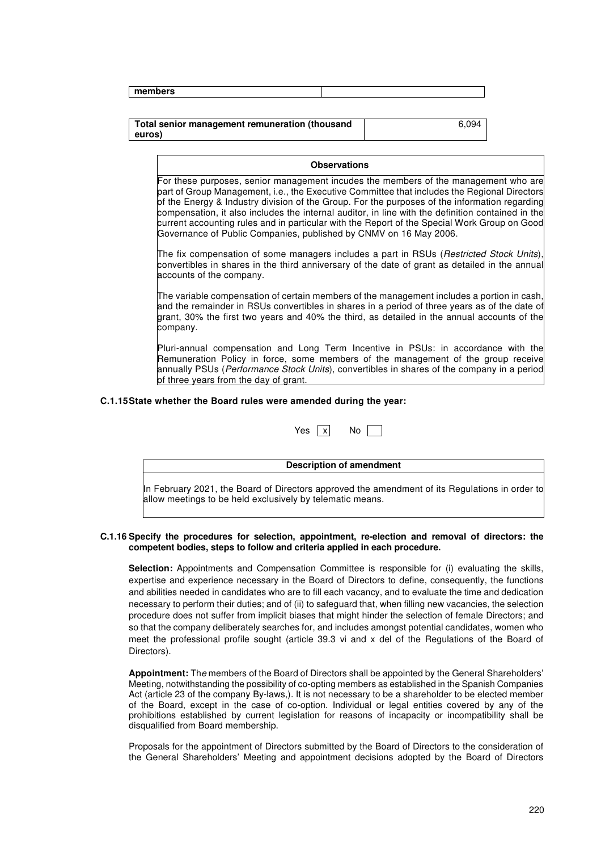| members |  |
|---------|--|
|         |  |

#### **Total senior management remuneration (thousand euros)**  6,094

#### **Observations**

For these purposes, senior management incudes the members of the management who are part of Group Management, i.e., the Executive Committee that includes the Regional Directors of the Energy & Industry division of the Group. For the purposes of the information regarding compensation, it also includes the internal auditor, in line with the definition contained in the current accounting rules and in particular with the Report of the Special Work Group on Good Governance of Public Companies, published by CNMV on 16 May 2006.

The fix compensation of some managers includes a part in RSUs (*Restricted Stock Units*), convertibles in shares in the third anniversary of the date of grant as detailed in the annual accounts of the company.

The variable compensation of certain members of the management includes a portion in cash, and the remainder in RSUs convertibles in shares in a period of three years as of the date of grant, 30% the first two years and 40% the third, as detailed in the annual accounts of the company.

Pluri-annual compensation and Long Term Incentive in PSUs: in accordance with the Remuneration Policy in force, some members of the management of the group receive annually PSUs (Performance Stock Units), convertibles in shares of the company in a period of three years from the day of grant.

#### **C.1.15 State whether the Board rules were amended during the year:**

#### **Description of amendment**

In February 2021, the Board of Directors approved the amendment of its Regulations in order to allow meetings to be held exclusively by telematic means.

#### **C.1.16 Specify the procedures for selection, appointment, re-election and removal of directors: the competent bodies, steps to follow and criteria applied in each procedure.**

**Selection:** Appointments and Compensation Committee is responsible for (i) evaluating the skills, expertise and experience necessary in the Board of Directors to define, consequently, the functions and abilities needed in candidates who are to fill each vacancy, and to evaluate the time and dedication necessary to perform their duties; and of (ii) to safeguard that, when filling new vacancies, the selection procedure does not suffer from implicit biases that might hinder the selection of female Directors; and so that the company deliberately searches for, and includes amongst potential candidates, women who meet the professional profile sought (article 39.3 vi and x del of the Regulations of the Board of Directors).

**Appointment:** The members of the Board of Directors shall be appointed by the General Shareholders' Meeting, notwithstanding the possibility of co-opting members as established in the Spanish Companies Act (article 23 of the company By-laws,). It is not necessary to be a shareholder to be elected member of the Board, except in the case of co-option. Individual or legal entities covered by any of the prohibitions established by current legislation for reasons of incapacity or incompatibility shall be disqualified from Board membership.

Proposals for the appointment of Directors submitted by the Board of Directors to the consideration of the General Shareholders' Meeting and appointment decisions adopted by the Board of Directors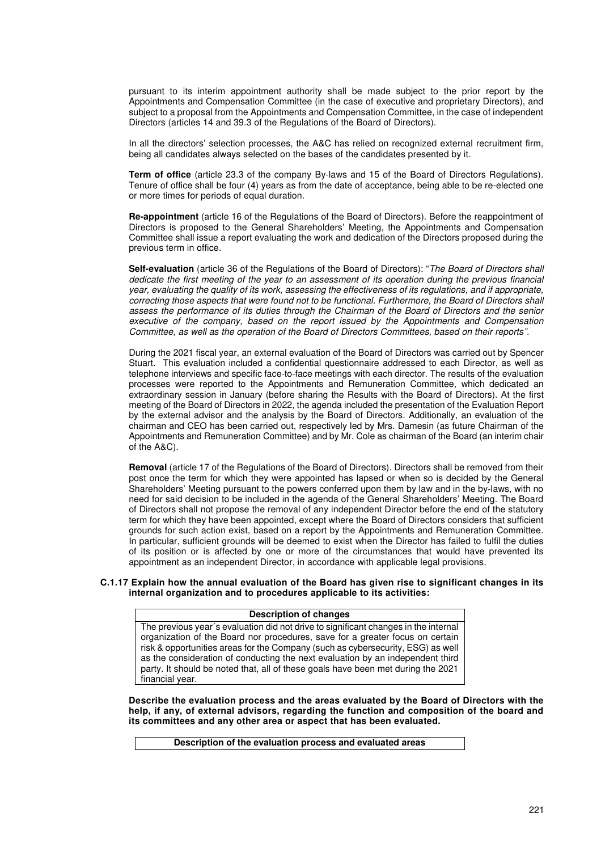pursuant to its interim appointment authority shall be made subject to the prior report by the Appointments and Compensation Committee (in the case of executive and proprietary Directors), and subject to a proposal from the Appointments and Compensation Committee, in the case of independent Directors (articles 14 and 39.3 of the Regulations of the Board of Directors).

In all the directors' selection processes, the A&C has relied on recognized external recruitment firm, being all candidates always selected on the bases of the candidates presented by it.

**Term of office** (article 23.3 of the company By-laws and 15 of the Board of Directors Regulations). Tenure of office shall be four (4) years as from the date of acceptance, being able to be re-elected one or more times for periods of equal duration.

**Re-appointment** (article 16 of the Regulations of the Board of Directors). Before the reappointment of Directors is proposed to the General Shareholders' Meeting, the Appointments and Compensation Committee shall issue a report evaluating the work and dedication of the Directors proposed during the previous term in office.

**Self-evaluation** (article 36 of the Regulations of the Board of Directors): "The Board of Directors shall dedicate the first meeting of the year to an assessment of its operation during the previous financial year, evaluating the quality of its work, assessing the effectiveness of its regulations, and if appropriate, correcting those aspects that were found not to be functional. Furthermore, the Board of Directors shall assess the performance of its duties through the Chairman of the Board of Directors and the senior executive of the company, based on the report issued by the Appointments and Compensation Committee, as well as the operation of the Board of Directors Committees, based on their reports".

During the 2021 fiscal year, an external evaluation of the Board of Directors was carried out by Spencer Stuart. This evaluation included a confidential questionnaire addressed to each Director, as well as telephone interviews and specific face-to-face meetings with each director. The results of the evaluation processes were reported to the Appointments and Remuneration Committee, which dedicated an extraordinary session in January (before sharing the Results with the Board of Directors). At the first meeting of the Board of Directors in 2022, the agenda included the presentation of the Evaluation Report by the external advisor and the analysis by the Board of Directors. Additionally, an evaluation of the chairman and CEO has been carried out, respectively led by Mrs. Damesin (as future Chairman of the Appointments and Remuneration Committee) and by Mr. Cole as chairman of the Board (an interim chair of the A&C).

**Removal** (article 17 of the Regulations of the Board of Directors). Directors shall be removed from their post once the term for which they were appointed has lapsed or when so is decided by the General Shareholders' Meeting pursuant to the powers conferred upon them by law and in the by-laws, with no need for said decision to be included in the agenda of the General Shareholders' Meeting. The Board of Directors shall not propose the removal of any independent Director before the end of the statutory term for which they have been appointed, except where the Board of Directors considers that sufficient grounds for such action exist, based on a report by the Appointments and Remuneration Committee. In particular, sufficient grounds will be deemed to exist when the Director has failed to fulfil the duties of its position or is affected by one or more of the circumstances that would have prevented its appointment as an independent Director, in accordance with applicable legal provisions.

#### **C.1.17 Explain how the annual evaluation of the Board has given rise to significant changes in its internal organization and to procedures applicable to its activities:**

#### **Description of changes**

The previous year´s evaluation did not drive to significant changes in the internal organization of the Board nor procedures, save for a greater focus on certain risk & opportunities areas for the Company (such as cybersecurity, ESG) as well as the consideration of conducting the next evaluation by an independent third party. It should be noted that, all of these goals have been met during the 2021 financial year.

**Describe the evaluation process and the areas evaluated by the Board of Directors with the help, if any, of external advisors, regarding the function and composition of the board and its committees and any other area or aspect that has been evaluated.** 

**Description of the evaluation process and evaluated areas**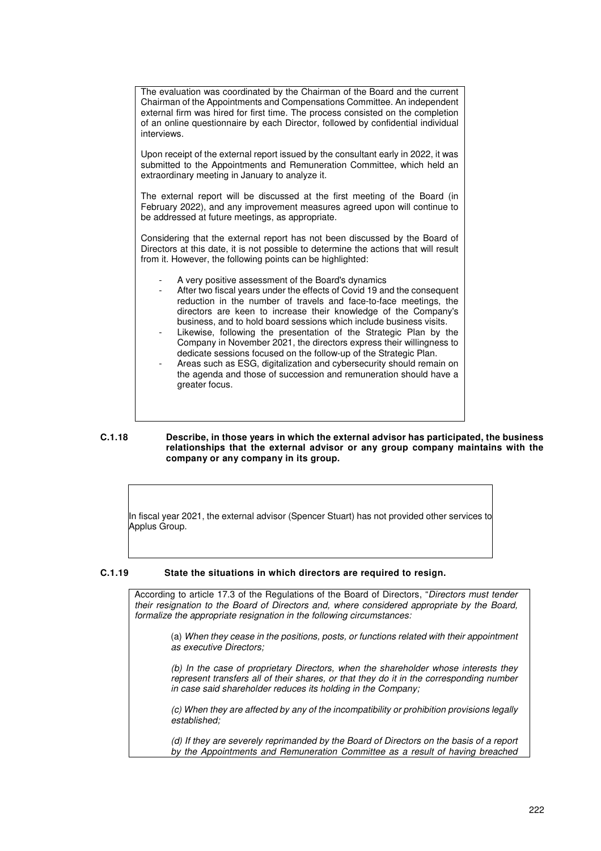| The evaluation was coordinated by the Chairman of the Board and the current<br>Chairman of the Appointments and Compensations Committee. An independent<br>external firm was hired for first time. The process consisted on the completion<br>of an online questionnaire by each Director, followed by confidential individual<br>interviews.                                                                                                                                                                                                                                                                                                                                                                                                     |
|---------------------------------------------------------------------------------------------------------------------------------------------------------------------------------------------------------------------------------------------------------------------------------------------------------------------------------------------------------------------------------------------------------------------------------------------------------------------------------------------------------------------------------------------------------------------------------------------------------------------------------------------------------------------------------------------------------------------------------------------------|
| Upon receipt of the external report issued by the consultant early in 2022, it was<br>submitted to the Appointments and Remuneration Committee, which held an<br>extraordinary meeting in January to analyze it.                                                                                                                                                                                                                                                                                                                                                                                                                                                                                                                                  |
| The external report will be discussed at the first meeting of the Board (in<br>February 2022), and any improvement measures agreed upon will continue to<br>be addressed at future meetings, as appropriate.                                                                                                                                                                                                                                                                                                                                                                                                                                                                                                                                      |
| Considering that the external report has not been discussed by the Board of<br>Directors at this date, it is not possible to determine the actions that will result<br>from it. However, the following points can be highlighted:                                                                                                                                                                                                                                                                                                                                                                                                                                                                                                                 |
| A very positive assessment of the Board's dynamics<br>After two fiscal years under the effects of Covid 19 and the consequent<br>$\overline{\phantom{a}}$<br>reduction in the number of travels and face-to-face meetings, the<br>directors are keen to increase their knowledge of the Company's<br>business, and to hold board sessions which include business visits.<br>Likewise, following the presentation of the Strategic Plan by the<br>-<br>Company in November 2021, the directors express their willingness to<br>dedicate sessions focused on the follow-up of the Strategic Plan.<br>Areas such as ESG, digitalization and cybersecurity should remain on<br>-<br>the agenda and those of succession and remuneration should have a |

#### **C.1.18 Describe, in those years in which the external advisor has participated, the business relationships that the external advisor or any group company maintains with the company or any company in its group.**

In fiscal year 2021, the external advisor (Spencer Stuart) has not provided other services to Applus Group.

## **C.1.19 State the situations in which directors are required to resign.**

greater focus.

According to article 17.3 of the Regulations of the Board of Directors, "Directors must tender their resignation to the Board of Directors and, where considered appropriate by the Board, formalize the appropriate resignation in the following circumstances:

(a) When they cease in the positions, posts, or functions related with their appointment as executive Directors;

(b) In the case of proprietary Directors, when the shareholder whose interests they represent transfers all of their shares, or that they do it in the corresponding number in case said shareholder reduces its holding in the Company;

(c) When they are affected by any of the incompatibility or prohibition provisions legally established;

(d) If they are severely reprimanded by the Board of Directors on the basis of a report by the Appointments and Remuneration Committee as a result of having breached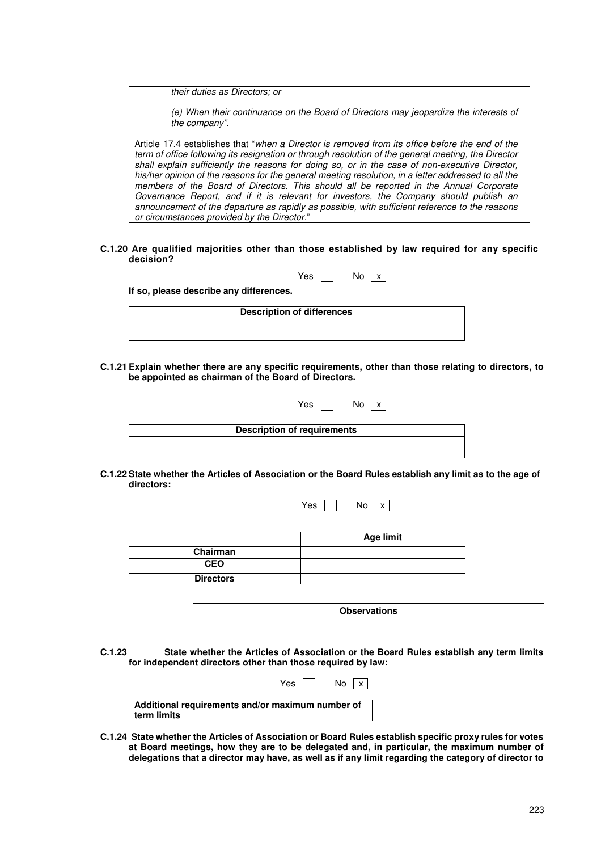their duties as Directors; or

(e) When their continuance on the Board of Directors may jeopardize the interests of the company".

Article 17.4 establishes that "when a Director is removed from its office before the end of the term of office following its resignation or through resolution of the general meeting, the Director shall explain sufficiently the reasons for doing so, or in the case of non-executive Director, his/her opinion of the reasons for the general meeting resolution, in a letter addressed to all the members of the Board of Directors. This should all be reported in the Annual Corporate Governance Report, and if it is relevant for investors, the Company should publish an announcement of the departure as rapidly as possible, with sufficient reference to the reasons or circumstances provided by the Director."

**C.1.20 Are qualified majorities other than those established by law required for any specific decision?**

 $Yes \nightharpoonup No \nightharpoonup x$ 

**If so, please describe any differences.** 

| <b>Description of differences</b> |  |
|-----------------------------------|--|
|                                   |  |

**C.1.21 Explain whether there are any specific requirements, other than those relating to directors, to be appointed as chairman of the Board of Directors.** 

|                                    | Yes<br>No.<br>$\mathsf{x}$ |  |
|------------------------------------|----------------------------|--|
| <b>Description of requirements</b> |                            |  |
|                                    |                            |  |

**C.1.22 State whether the Articles of Association or the Board Rules establish any limit as to the age of directors:** 

Yes  $\Box$  No  $\overline{x}$ 

|                  | <b>Age limit</b> |
|------------------|------------------|
| Chairman         |                  |
| <b>CEO</b>       |                  |
| <b>Directors</b> |                  |

| <b>Observations</b> |
|---------------------|
|                     |

**C.1.23 State whether the Articles of Association or the Board Rules establish any term limits for independent directors other than those required by law:** 

 $Y_{\text{ee}}$   $\Box$  No  $\Box$ 

| .<br>.                                                          |  |
|-----------------------------------------------------------------|--|
| Additional requirements and/or maximum number of<br>term limits |  |
|                                                                 |  |

**C.1.24 State whether the Articles of Association or Board Rules establish specific proxy rules for votes at Board meetings, how they are to be delegated and, in particular, the maximum number of delegations that a director may have, as well as if any limit regarding the category of director to**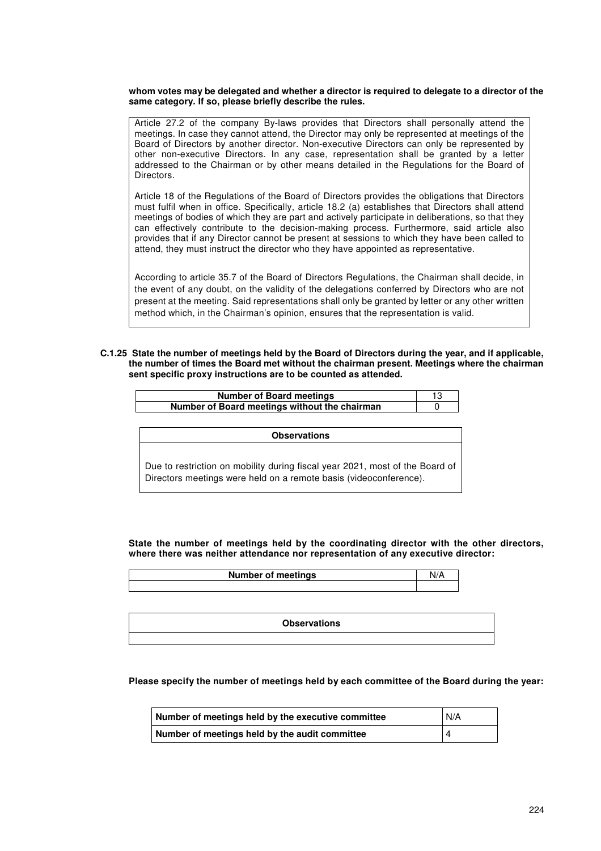#### **whom votes may be delegated and whether a director is required to delegate to a director of the same category. If so, please briefly describe the rules.**

Article 27.2 of the company By-laws provides that Directors shall personally attend the meetings. In case they cannot attend, the Director may only be represented at meetings of the Board of Directors by another director. Non-executive Directors can only be represented by other non-executive Directors. In any case, representation shall be granted by a letter addressed to the Chairman or by other means detailed in the Regulations for the Board of Directors.

Article 18 of the Regulations of the Board of Directors provides the obligations that Directors must fulfil when in office. Specifically, article 18.2 (a) establishes that Directors shall attend meetings of bodies of which they are part and actively participate in deliberations, so that they can effectively contribute to the decision-making process. Furthermore, said article also provides that if any Director cannot be present at sessions to which they have been called to attend, they must instruct the director who they have appointed as representative.

According to article 35.7 of the Board of Directors Regulations, the Chairman shall decide, in the event of any doubt, on the validity of the delegations conferred by Directors who are not present at the meeting. Said representations shall only be granted by letter or any other written method which, in the Chairman's opinion, ensures that the representation is valid.

#### **C.1.25 State the number of meetings held by the Board of Directors during the year, and if applicable, the number of times the Board met without the chairman present. Meetings where the chairman sent specific proxy instructions are to be counted as attended.**

| <b>Number of Board meetings</b>               |  |
|-----------------------------------------------|--|
| Number of Board meetings without the chairman |  |

**Observations** 

Due to restriction on mobility during fiscal year 2021, most of the Board of Directors meetings were held on a remote basis (videoconference).

**State the number of meetings held by the coordinating director with the other directors, where there was neither attendance nor representation of any executive director:** 

| <b>Number of meetings</b> |  |
|---------------------------|--|
|                           |  |
|                           |  |

| <b>Observations</b> |
|---------------------|
|                     |

**Please specify the number of meetings held by each committee of the Board during the year:** 

| Number of meetings held by the executive committee | N/A |
|----------------------------------------------------|-----|
| Number of meetings held by the audit committee     |     |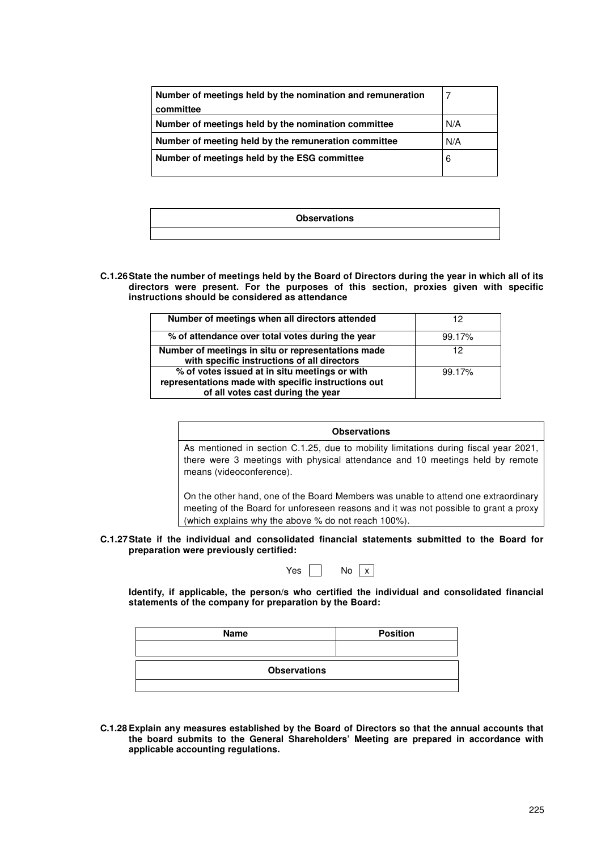| Number of meetings held by the nomination and remuneration<br>committee |     |
|-------------------------------------------------------------------------|-----|
| Number of meetings held by the nomination committee                     | N/A |
| Number of meeting held by the remuneration committee                    | N/A |
| Number of meetings held by the ESG committee                            | 6   |
|                                                                         |     |

| <b>Observations</b> |
|---------------------|
|                     |

**C.1.26 State the number of meetings held by the Board of Directors during the year in which all of its directors were present. For the purposes of this section, proxies given with specific instructions should be considered as attendance** 

| Number of meetings when all directors attended                                                                                            | 12     |
|-------------------------------------------------------------------------------------------------------------------------------------------|--------|
| % of attendance over total votes during the year                                                                                          | 99.17% |
| Number of meetings in situ or representations made<br>with specific instructions of all directors                                         | 12     |
| % of votes issued at in situ meetings or with<br>representations made with specific instructions out<br>of all votes cast during the year | 99.17% |

| <b>Observations</b>                                                                  |
|--------------------------------------------------------------------------------------|
| As mentioned in section C.1.25, due to mobility limitations during fiscal year 2021, |
| there were 3 meetings with physical attendance and 10 meetings held by remote        |
| means (videoconference).                                                             |

On the other hand, one of the Board Members was unable to attend one extraordinary meeting of the Board for unforeseen reasons and it was not possible to grant a proxy (which explains why the above % do not reach 100%).

**C.1.27 State if the individual and consolidated financial statements submitted to the Board for preparation were previously certified:** 

| v<br>Y≙C | N۵ |  |
|----------|----|--|
|          |    |  |

**Identify, if applicable, the person/s who certified the individual and consolidated financial statements of the company for preparation by the Board:** 

| <b>Name</b>         | <b>Position</b> |
|---------------------|-----------------|
|                     |                 |
| <b>Observations</b> |                 |
|                     |                 |

**C.1.28 Explain any measures established by the Board of Directors so that the annual accounts that the board submits to the General Shareholders' Meeting are prepared in accordance with applicable accounting regulations.**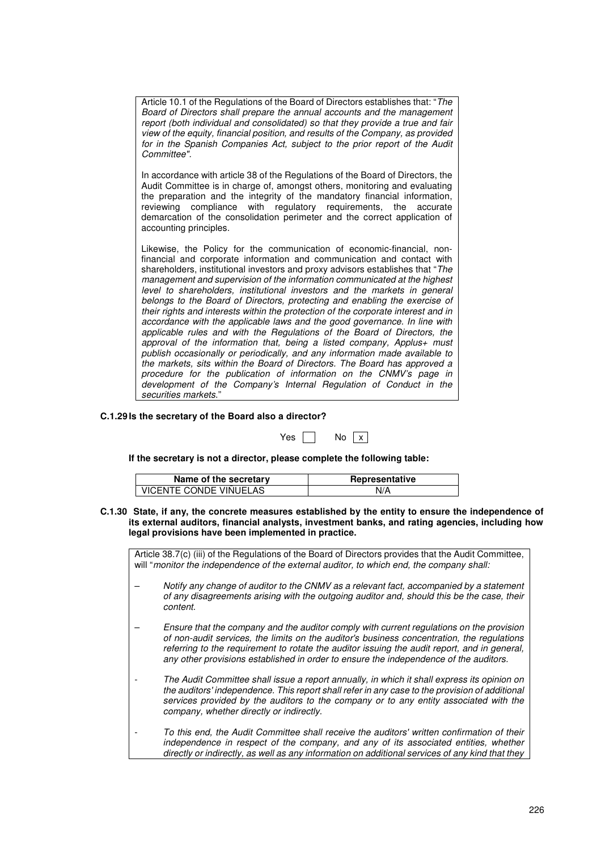| Article 10.1 of the Regulations of the Board of Directors establishes that: "The |
|----------------------------------------------------------------------------------|
| Board of Directors shall prepare the annual accounts and the management          |
| report (both individual and consolidated) so that they provide a true and fair   |
| view of the equity, financial position, and results of the Company, as provided  |
| for in the Spanish Companies Act, subject to the prior report of the Audit       |
| Committee".                                                                      |
|                                                                                  |

In accordance with article 38 of the Regulations of the Board of Directors, the Audit Committee is in charge of, amongst others, monitoring and evaluating the preparation and the integrity of the mandatory financial information, reviewing compliance with regulatory requirements, the accurate demarcation of the consolidation perimeter and the correct application of accounting principles.

Likewise, the Policy for the communication of economic-financial, nonfinancial and corporate information and communication and contact with shareholders, institutional investors and proxy advisors establishes that "The management and supervision of the information communicated at the highest level to shareholders, institutional investors and the markets in general belongs to the Board of Directors, protecting and enabling the exercise of their rights and interests within the protection of the corporate interest and in accordance with the applicable laws and the good governance. In line with applicable rules and with the Regulations of the Board of Directors, the approval of the information that, being a listed company, Applus+ must publish occasionally or periodically, and any information made available to the markets, sits within the Board of Directors. The Board has approved a procedure for the publication of information on the CNMV's page in development of the Company's Internal Regulation of Conduct in the securities markets."

# **C.1.29 Is the secretary of the Board also a director?**

| v.<br>AC | N٥ | X |
|----------|----|---|
|          |    |   |

**If the secretary is not a director, please complete the following table:** 

| Name of the secretary  | Representative |
|------------------------|----------------|
| VICENTE CONDE VIÑUELAS | N/A            |

**C.1.30 State, if any, the concrete measures established by the entity to ensure the independence of its external auditors, financial analysts, investment banks, and rating agencies, including how legal provisions have been implemented in practice.** 

Article 38.7(c) (iii) of the Regulations of the Board of Directors provides that the Audit Committee, will "monitor the independence of the external auditor, to which end, the company shall:

- Notify any change of auditor to the CNMV as a relevant fact, accompanied by a statement of any disagreements arising with the outgoing auditor and, should this be the case, their content.
- Ensure that the company and the auditor comply with current regulations on the provision of non-audit services, the limits on the auditor's business concentration, the regulations referring to the requirement to rotate the auditor issuing the audit report, and in general, any other provisions established in order to ensure the independence of the auditors.
- The Audit Committee shall issue a report annually, in which it shall express its opinion on the auditors' independence. This report shall refer in any case to the provision of additional services provided by the auditors to the company or to any entity associated with the company, whether directly or indirectly.
- To this end, the Audit Committee shall receive the auditors' written confirmation of their independence in respect of the company, and any of its associated entities, whether directly or indirectly, as well as any information on additional services of any kind that they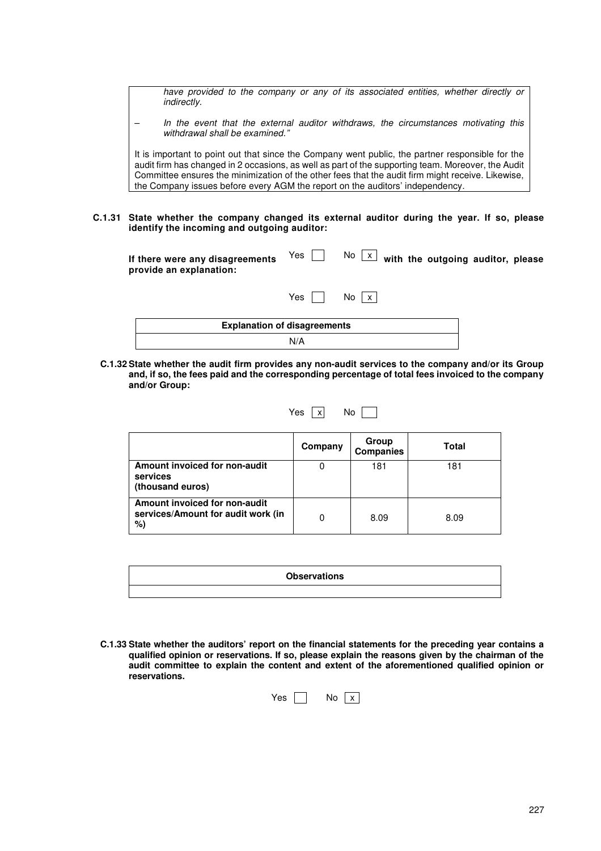have provided to the company or any of its associated entities, whether directly or indirectly.

In the event that the external auditor withdraws, the circumstances motivating this withdrawal shall be examined."

It is important to point out that since the Company went public, the partner responsible for the audit firm has changed in 2 occasions, as well as part of the supporting team. Moreover, the Audit Committee ensures the minimization of the other fees that the audit firm might receive. Likewise, the Company issues before every AGM the report on the auditors' independency.

**C.1.31 State whether the company changed its external auditor during the year. If so, please identify the incoming and outgoing auditor:**

| If there were any disagreements<br>provide an explanation: | Yes II | No $\lfloor x \rfloor$ with the outgoing auditor, please |  |
|------------------------------------------------------------|--------|----------------------------------------------------------|--|
|                                                            | Yes    | No <sub>x</sub>                                          |  |
| <b>Explanation of disagreements</b>                        |        |                                                          |  |
|                                                            | N/A    |                                                          |  |

**C.1.32 State whether the audit firm provides any non-audit services to the company and/or its Group and, if so, the fees paid and the corresponding percentage of total fees invoiced to the company and/or Group:** 

| Yes | X | No |  |
|-----|---|----|--|
|     |   |    |  |

┓

|                                                                           | Company | Group<br><b>Companies</b> | Total |
|---------------------------------------------------------------------------|---------|---------------------------|-------|
| Amount invoiced for non-audit<br>services<br>(thousand euros)             | 0       | 181                       | 181   |
| Amount invoiced for non-audit<br>services/Amount for audit work (in<br>%) | 0       | 8.09                      | 8.09  |

|  | <b>Observations</b> |  |
|--|---------------------|--|
|  |                     |  |

**C.1.33 State whether the auditors' report on the financial statements for the preceding year contains a qualified opinion or reservations. If so, please explain the reasons given by the chairman of the audit committee to explain the content and extent of the aforementioned qualified opinion or reservations.** 

|  | N٥ |  |
|--|----|--|
|  |    |  |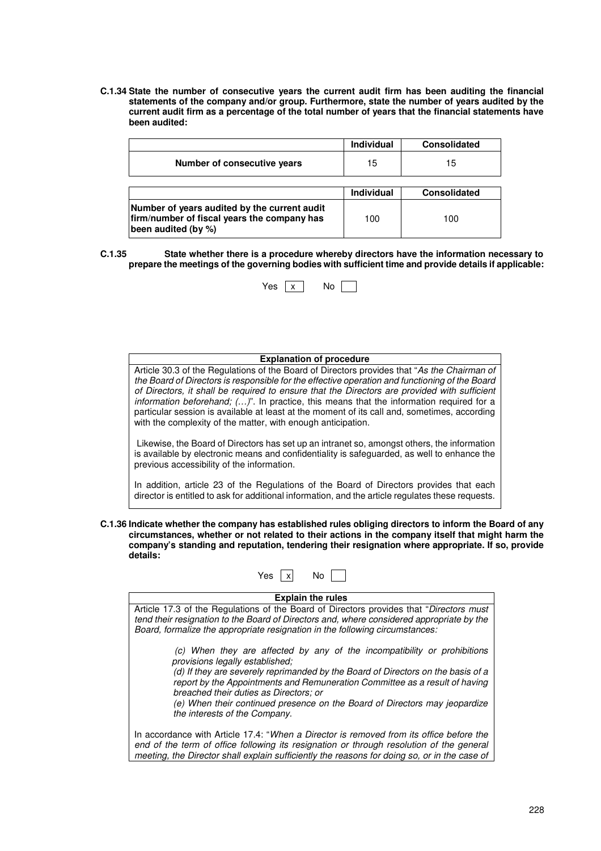**C.1.34 State the number of consecutive years the current audit firm has been auditing the financial statements of the company and/or group. Furthermore, state the number of years audited by the current audit firm as a percentage of the total number of years that the financial statements have been audited:** 

|                             | <b>Individual</b> | <b>Consolidated</b> |
|-----------------------------|-------------------|---------------------|
| Number of consecutive years | 15                | 15                  |
|                             |                   |                     |
|                             |                   |                     |
|                             | <b>Individual</b> | <b>Consolidated</b> |

**C.1.35 State whether there is a procedure whereby directors have the information necessary to prepare the meetings of the governing bodies with sufficient time and provide details if applicable:** 



| <b>Explanation of procedure</b>                                                                                                                                                                                                                                                                                                                                                                                                                                                                                                                              |
|--------------------------------------------------------------------------------------------------------------------------------------------------------------------------------------------------------------------------------------------------------------------------------------------------------------------------------------------------------------------------------------------------------------------------------------------------------------------------------------------------------------------------------------------------------------|
| Article 30.3 of the Regulations of the Board of Directors provides that "As the Chairman of<br>the Board of Directors is responsible for the effective operation and functioning of the Board<br>of Directors, it shall be required to ensure that the Directors are provided with sufficient<br>information beforehand; $()$ ". In practice, this means that the information required for a<br>particular session is available at least at the moment of its call and, sometimes, according<br>with the complexity of the matter, with enough anticipation. |
| Likewise, the Board of Directors has set up an intranet so, amongst others, the information<br>is available by electronic means and confidentiality is safeguarded, as well to enhance the<br>previous accessibility of the information.                                                                                                                                                                                                                                                                                                                     |
| In addition, article 23 of the Regulations of the Board of Directors provides that each<br>director is entitled to ask for additional information, and the article regulates these requests.                                                                                                                                                                                                                                                                                                                                                                 |

**C.1.36 Indicate whether the company has established rules obliging directors to inform the Board of any circumstances, whether or not related to their actions in the company itself that might harm the company's standing and reputation, tendering their resignation where appropriate. If so, provide details:** 

| Yes<br>Nο                                                                                                                                                                                                                                                                                                                                                                                                                               |  |  |
|-----------------------------------------------------------------------------------------------------------------------------------------------------------------------------------------------------------------------------------------------------------------------------------------------------------------------------------------------------------------------------------------------------------------------------------------|--|--|
| <b>Explain the rules</b>                                                                                                                                                                                                                                                                                                                                                                                                                |  |  |
| Article 17.3 of the Regulations of the Board of Directors provides that "Directors must"<br>tend their resignation to the Board of Directors and, where considered appropriate by the<br>Board, formalize the appropriate resignation in the following circumstances:                                                                                                                                                                   |  |  |
| (c) When they are affected by any of the incompatibility or prohibitions<br>provisions legally established:<br>(d) If they are severely reprimanded by the Board of Directors on the basis of a<br>report by the Appointments and Remuneration Committee as a result of having<br>breached their duties as Directors: or<br>(e) When their continued presence on the Board of Directors may jeopardize<br>the interests of the Company. |  |  |
| In accordance with Article 17.4: "When a Director is removed from its office before the<br>end of the term of office following its resignation or through resolution of the general<br>meeting, the Director shall explain sufficiently the reasons for doing so, or in the case of                                                                                                                                                     |  |  |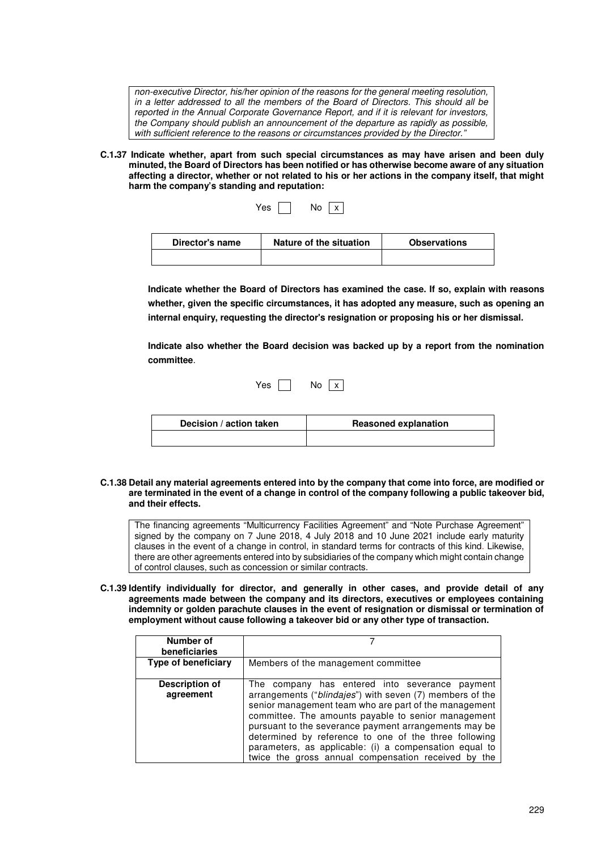non-executive Director, his/her opinion of the reasons for the general meeting resolution, in a letter addressed to all the members of the Board of Directors. This should all be reported in the Annual Corporate Governance Report, and if it is relevant for investors, the Company should publish an announcement of the departure as rapidly as possible, with sufficient reference to the reasons or circumstances provided by the Director."

**C.1.37 Indicate whether, apart from such special circumstances as may have arisen and been duly minuted, the Board of Directors has been notified or has otherwise become aware of any situation affecting a director, whether or not related to his or her actions in the company itself, that might harm the company's standing and reputation:**

| Yes | No | X |  |
|-----|----|---|--|
|-----|----|---|--|

| Director's name | Nature of the situation | <b>Observations</b> |
|-----------------|-------------------------|---------------------|
|                 |                         |                     |

**Indicate whether the Board of Directors has examined the case. If so, explain with reasons whether, given the specific circumstances, it has adopted any measure, such as opening an internal enquiry, requesting the director's resignation or proposing his or her dismissal.** 

**Indicate also whether the Board decision was backed up by a report from the nomination committee**.

| Yes<br>No<br>X |
|----------------|
|----------------|

| Decision / action taken | <b>Reasoned explanation</b> |
|-------------------------|-----------------------------|
|                         |                             |

**C.1.38 Detail any material agreements entered into by the company that come into force, are modified or are terminated in the event of a change in control of the company following a public takeover bid, and their effects.** 

The financing agreements "Multicurrency Facilities Agreement" and "Note Purchase Agreement" signed by the company on 7 June 2018, 4 July 2018 and 10 June 2021 include early maturity clauses in the event of a change in control, in standard terms for contracts of this kind. Likewise, there are other agreements entered into by subsidiaries of the company which might contain change of control clauses, such as concession or similar contracts.

**C.1.39 Identify individually for director, and generally in other cases, and provide detail of any agreements made between the company and its directors, executives or employees containing indemnity or golden parachute clauses in the event of resignation or dismissal or termination of employment without cause following a takeover bid or any other type of transaction.** 

| Number of<br>beneficiaries         |                                                                                                                                                                                                                                                                                                                                                                                                                                                               |  |
|------------------------------------|---------------------------------------------------------------------------------------------------------------------------------------------------------------------------------------------------------------------------------------------------------------------------------------------------------------------------------------------------------------------------------------------------------------------------------------------------------------|--|
| Type of beneficiary                | Members of the management committee                                                                                                                                                                                                                                                                                                                                                                                                                           |  |
| <b>Description of</b><br>agreement | The company has entered into severance payment<br>arrangements ("blindajes") with seven (7) members of the<br>senior management team who are part of the management<br>committee. The amounts payable to senior management<br>pursuant to the severance payment arrangements may be<br>determined by reference to one of the three following<br>parameters, as applicable: (i) a compensation equal to<br>twice the gross annual compensation received by the |  |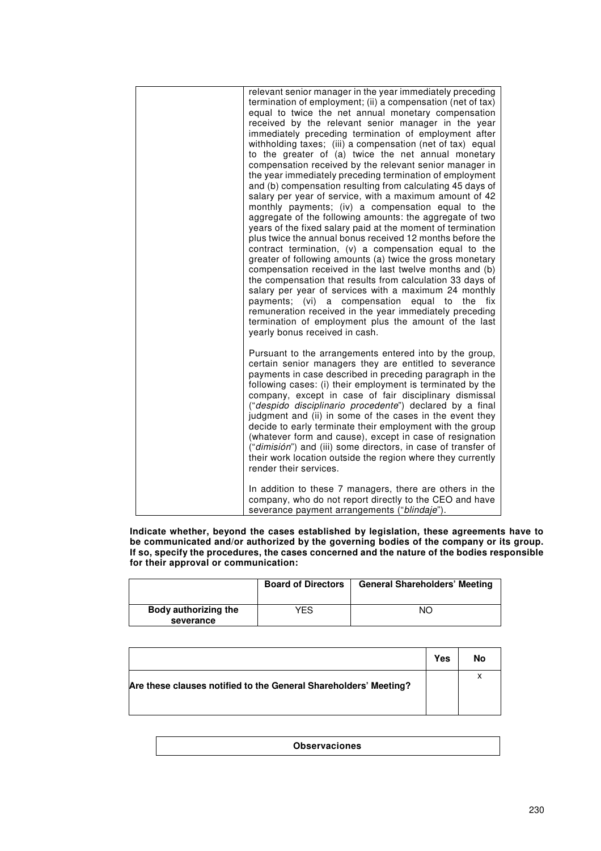| relevant senior manager in the year immediately preceding<br>termination of employment; (ii) a compensation (net of tax)<br>equal to twice the net annual monetary compensation<br>received by the relevant senior manager in the year<br>immediately preceding termination of employment after<br>withholding taxes; (iii) a compensation (net of tax) equal<br>to the greater of (a) twice the net annual monetary<br>compensation received by the relevant senior manager in<br>the year immediately preceding termination of employment<br>and (b) compensation resulting from calculating 45 days of<br>salary per year of service, with a maximum amount of 42<br>monthly payments; (iv) a compensation equal to the<br>aggregate of the following amounts: the aggregate of two<br>years of the fixed salary paid at the moment of termination<br>plus twice the annual bonus received 12 months before the<br>contract termination, (v) a compensation equal to the<br>greater of following amounts (a) twice the gross monetary<br>compensation received in the last twelve months and (b)<br>the compensation that results from calculation 33 days of<br>salary per year of services with a maximum 24 monthly<br>payments; (vi)<br>a compensation equal to<br>the<br>fix<br>remuneration received in the year immediately preceding<br>termination of employment plus the amount of the last<br>yearly bonus received in cash. |
|--------------------------------------------------------------------------------------------------------------------------------------------------------------------------------------------------------------------------------------------------------------------------------------------------------------------------------------------------------------------------------------------------------------------------------------------------------------------------------------------------------------------------------------------------------------------------------------------------------------------------------------------------------------------------------------------------------------------------------------------------------------------------------------------------------------------------------------------------------------------------------------------------------------------------------------------------------------------------------------------------------------------------------------------------------------------------------------------------------------------------------------------------------------------------------------------------------------------------------------------------------------------------------------------------------------------------------------------------------------------------------------------------------------------------------------------|
| Pursuant to the arrangements entered into by the group,<br>certain senior managers they are entitled to severance<br>payments in case described in preceding paragraph in the<br>following cases: (i) their employment is terminated by the<br>company, except in case of fair disciplinary dismissal<br>("despido disciplinario procedente") declared by a final<br>judgment and (ii) in some of the cases in the event they<br>decide to early terminate their employment with the group<br>(whatever form and cause), except in case of resignation<br>("dimisión") and (iii) some directors, in case of transfer of<br>their work location outside the region where they currently<br>render their services.<br>In addition to these 7 managers, there are others in the                                                                                                                                                                                                                                                                                                                                                                                                                                                                                                                                                                                                                                                               |
| company, who do not report directly to the CEO and have<br>severance payment arrangements ("blindaje").                                                                                                                                                                                                                                                                                                                                                                                                                                                                                                                                                                                                                                                                                                                                                                                                                                                                                                                                                                                                                                                                                                                                                                                                                                                                                                                                    |

**Indicate whether, beyond the cases established by legislation, these agreements have to be communicated and/or authorized by the governing bodies of the company or its group. If so, specify the procedures, the cases concerned and the nature of the bodies responsible for their approval or communication:** 

|                                   | <b>Board of Directors</b> | <b>General Shareholders' Meeting</b> |
|-----------------------------------|---------------------------|--------------------------------------|
| Body authorizing the<br>severance | YES                       | NO                                   |

|                                                                  | Yes | No |
|------------------------------------------------------------------|-----|----|
| Are these clauses notified to the General Shareholders' Meeting? |     | x  |

**Observaciones**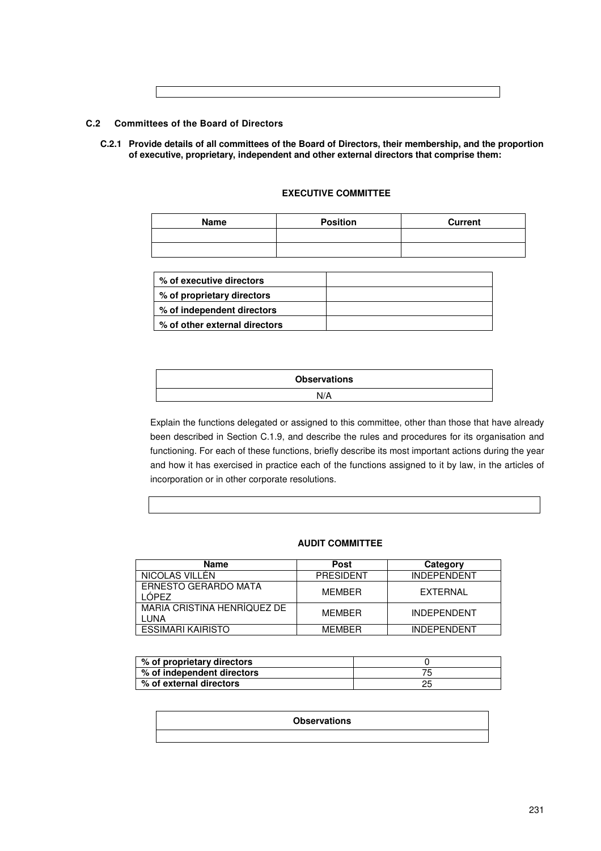# **C.2 Committees of the Board of Directors**

**C.2.1 Provide details of all committees of the Board of Directors, their membership, and the proportion of executive, proprietary, independent and other external directors that comprise them:** 

| Name | <b>Position</b> | <b>Current</b> |
|------|-----------------|----------------|
|      |                 |                |
|      |                 |                |

# **EXECUTIVE COMMITTEE**

| % of executive directors      |  |
|-------------------------------|--|
| % of proprietary directors    |  |
| % of independent directors    |  |
| % of other external directors |  |

| <b>Observations</b> |
|---------------------|
| N/A                 |

Explain the functions delegated or assigned to this committee, other than those that have already been described in Section C.1.9, and describe the rules and procedures for its organisation and functioning. For each of these functions, briefly describe its most important actions during the year and how it has exercised in practice each of the functions assigned to it by law, in the articles of incorporation or in other corporate resolutions.

# **AUDIT COMMITTEE**

| <b>Name</b>                            | <b>Post</b>      | Category           |
|----------------------------------------|------------------|--------------------|
| NICOLAS VILLEN                         | <b>PRESIDENT</b> | <b>INDEPENDENT</b> |
| <b>ERNESTO GERARDO MATA</b><br>I ÓPFZ. | <b>MFMBFR</b>    | FXTFRNAL           |
| MARIA CRISTINA HENRÍQUEZ DE<br>LUNA    | <b>MFMRFR</b>    | <b>INDEPENDENT</b> |
| <b>ESSIMARI KAIRISTO</b>               | <b>MEMRER</b>    | <b>INDEPENDENT</b> |

| % of proprietary directors |  |
|----------------------------|--|
| % of independent directors |  |
| % of external directors    |  |

# **Observations**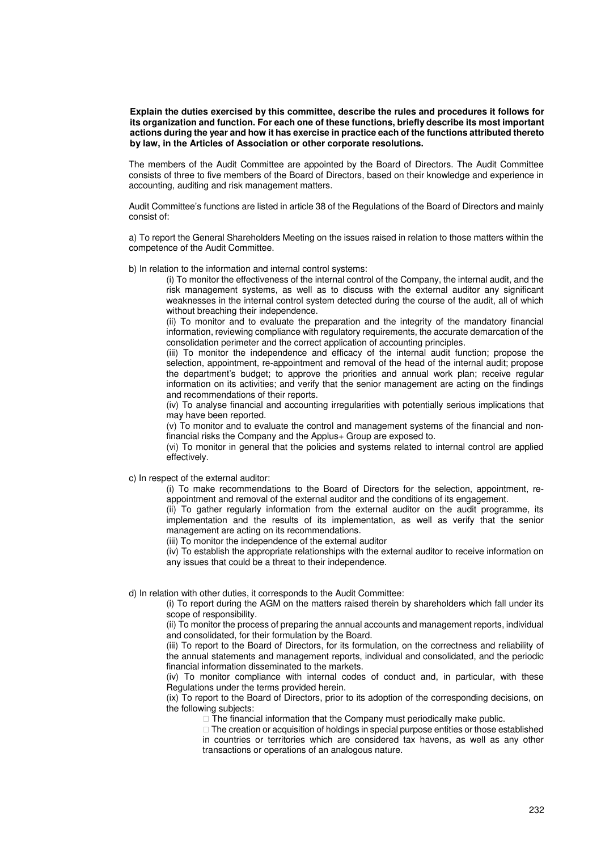**Explain the duties exercised by this committee, describe the rules and procedures it follows for its organization and function. For each one of these functions, briefly describe its most important actions during the year and how it has exercise in practice each of the functions attributed thereto by law, in the Articles of Association or other corporate resolutions.** 

The members of the Audit Committee are appointed by the Board of Directors. The Audit Committee consists of three to five members of the Board of Directors, based on their knowledge and experience in accounting, auditing and risk management matters.

Audit Committee's functions are listed in article 38 of the Regulations of the Board of Directors and mainly consist of:

a) To report the General Shareholders Meeting on the issues raised in relation to those matters within the competence of the Audit Committee.

b) In relation to the information and internal control systems:

(i) To monitor the effectiveness of the internal control of the Company, the internal audit, and the risk management systems, as well as to discuss with the external auditor any significant weaknesses in the internal control system detected during the course of the audit, all of which without breaching their independence.

(ii) To monitor and to evaluate the preparation and the integrity of the mandatory financial information, reviewing compliance with regulatory requirements, the accurate demarcation of the consolidation perimeter and the correct application of accounting principles.

(iii) To monitor the independence and efficacy of the internal audit function; propose the selection, appointment, re-appointment and removal of the head of the internal audit; propose the department's budget; to approve the priorities and annual work plan; receive regular information on its activities; and verify that the senior management are acting on the findings and recommendations of their reports.

(iv) To analyse financial and accounting irregularities with potentially serious implications that may have been reported.

(v) To monitor and to evaluate the control and management systems of the financial and nonfinancial risks the Company and the Applus+ Group are exposed to.

(vi) To monitor in general that the policies and systems related to internal control are applied effectively.

c) In respect of the external auditor:

(i) To make recommendations to the Board of Directors for the selection, appointment, reappointment and removal of the external auditor and the conditions of its engagement.

(ii) To gather regularly information from the external auditor on the audit programme, its implementation and the results of its implementation, as well as verify that the senior management are acting on its recommendations.

(iii) To monitor the independence of the external auditor

(iv) To establish the appropriate relationships with the external auditor to receive information on any issues that could be a threat to their independence.

d) In relation with other duties, it corresponds to the Audit Committee:

(i) To report during the AGM on the matters raised therein by shareholders which fall under its scope of responsibility.

(ii) To monitor the process of preparing the annual accounts and management reports, individual and consolidated, for their formulation by the Board.

(iii) To report to the Board of Directors, for its formulation, on the correctness and reliability of the annual statements and management reports, individual and consolidated, and the periodic financial information disseminated to the markets.

(iv) To monitor compliance with internal codes of conduct and, in particular, with these Regulations under the terms provided herein.

(ix) To report to the Board of Directors, prior to its adoption of the corresponding decisions, on the following subjects:

The financial information that the Company must periodically make public.

 The creation or acquisition of holdings in special purpose entities or those established in countries or territories which are considered tax havens, as well as any other transactions or operations of an analogous nature.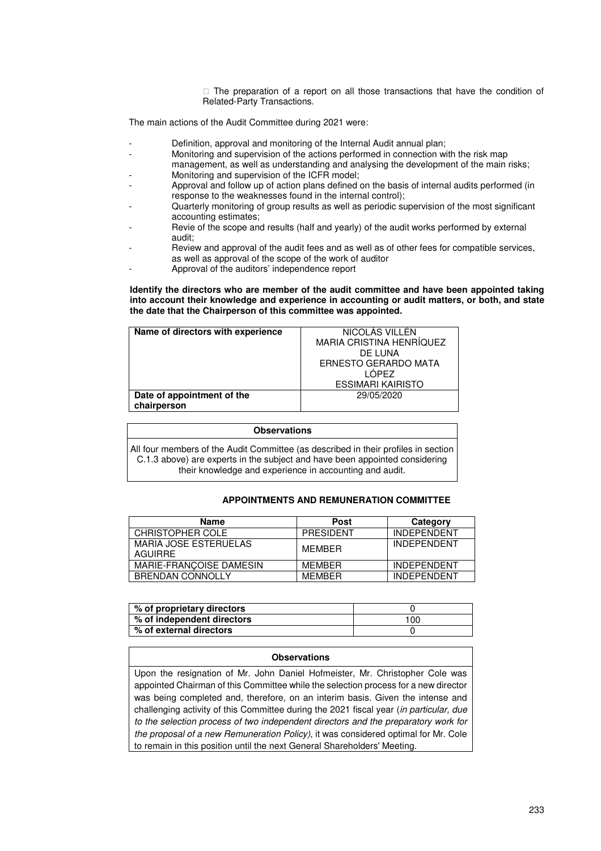The preparation of a report on all those transactions that have the condition of Related-Party Transactions.

The main actions of the Audit Committee during 2021 were:

- Definition, approval and monitoring of the Internal Audit annual plan;
- Monitoring and supervision of the actions performed in connection with the risk map management, as well as understanding and analysing the development of the main risks;
- Monitoring and supervision of the ICFR model;
- Approval and follow up of action plans defined on the basis of internal audits performed (in response to the weaknesses found in the internal control);
- Quarterly monitoring of group results as well as periodic supervision of the most significant accounting estimates;
- Revie of the scope and results (half and yearly) of the audit works performed by external audit;
- Review and approval of the audit fees and as well as of other fees for compatible services, as well as approval of the scope of the work of auditor
- Approval of the auditors' independence report

**Identify the directors who are member of the audit committee and have been appointed taking into account their knowledge and experience in accounting or audit matters, or both, and state the date that the Chairperson of this committee was appointed.** 

| Name of directors with experience | NICOLAS VILLEN              |
|-----------------------------------|-----------------------------|
|                                   | MARIA CRISTINA HENRÍQUEZ    |
|                                   | DE LUNA                     |
|                                   | <b>ERNESTO GERARDO MATA</b> |
|                                   | I ÓPEZ                      |
|                                   | <b>ESSIMARI KAIRISTO</b>    |
| Date of appointment of the        | 29/05/2020                  |
| chairperson                       |                             |

#### **Observations**

All four members of the Audit Committee (as described in their profiles in section C.1.3 above) are experts in the subject and have been appointed considering their knowledge and experience in accounting and audit.

# **APPOINTMENTS AND REMUNERATION COMMITTEE**

| Name                                    | <b>Post</b>   | Category           |
|-----------------------------------------|---------------|--------------------|
| CHRISTOPHER COLE                        | PRESIDENT     | <b>INDEPENDENT</b> |
| MARIA JOSE ESTERUELAS<br><b>AGUIRRE</b> | <b>MFMRFR</b> | <b>INDEPENDENT</b> |
| MARIE-FRANCOISE DAMESIN                 | <b>MFMRFR</b> | <b>INDEPENDENT</b> |
| <b>BRENDAN CONNOLLY</b>                 | <b>MFMBFR</b> | <b>INDEPENDENT</b> |

| % of proprietary directors |     |
|----------------------------|-----|
| % of independent directors | 100 |
| % of external directors    |     |

### **Observations**

Upon the resignation of Mr. John Daniel Hofmeister, Mr. Christopher Cole was appointed Chairman of this Committee while the selection process for a new director was being completed and, therefore, on an interim basis. Given the intense and challenging activity of this Committee during the 2021 fiscal year (in particular, due to the selection process of two independent directors and the preparatory work for the proposal of a new Remuneration Policy), it was considered optimal for Mr. Cole to remain in this position until the next General Shareholders' Meeting.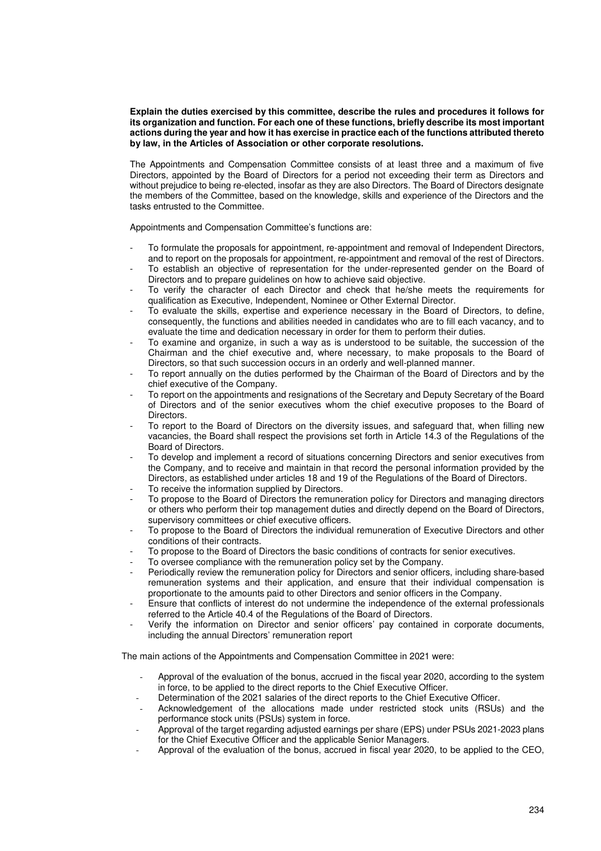### **Explain the duties exercised by this committee, describe the rules and procedures it follows for its organization and function. For each one of these functions, briefly describe its most important actions during the year and how it has exercise in practice each of the functions attributed thereto by law, in the Articles of Association or other corporate resolutions.**

The Appointments and Compensation Committee consists of at least three and a maximum of five Directors, appointed by the Board of Directors for a period not exceeding their term as Directors and without prejudice to being re-elected, insofar as they are also Directors. The Board of Directors designate the members of the Committee, based on the knowledge, skills and experience of the Directors and the tasks entrusted to the Committee.

Appointments and Compensation Committee's functions are:

- To formulate the proposals for appointment, re-appointment and removal of Independent Directors, and to report on the proposals for appointment, re-appointment and removal of the rest of Directors.
- To establish an objective of representation for the under-represented gender on the Board of Directors and to prepare guidelines on how to achieve said objective.
- To verify the character of each Director and check that he/she meets the requirements for qualification as Executive, Independent, Nominee or Other External Director.
- To evaluate the skills, expertise and experience necessary in the Board of Directors, to define, consequently, the functions and abilities needed in candidates who are to fill each vacancy, and to evaluate the time and dedication necessary in order for them to perform their duties.
- To examine and organize, in such a way as is understood to be suitable, the succession of the Chairman and the chief executive and, where necessary, to make proposals to the Board of Directors, so that such succession occurs in an orderly and well-planned manner.
- To report annually on the duties performed by the Chairman of the Board of Directors and by the chief executive of the Company.
- To report on the appointments and resignations of the Secretary and Deputy Secretary of the Board of Directors and of the senior executives whom the chief executive proposes to the Board of **Directors**
- To report to the Board of Directors on the diversity issues, and safeguard that, when filling new vacancies, the Board shall respect the provisions set forth in Article 14.3 of the Regulations of the Board of Directors.
- To develop and implement a record of situations concerning Directors and senior executives from the Company, and to receive and maintain in that record the personal information provided by the Directors, as established under articles 18 and 19 of the Regulations of the Board of Directors.
- To receive the information supplied by Directors.
- To propose to the Board of Directors the remuneration policy for Directors and managing directors or others who perform their top management duties and directly depend on the Board of Directors, supervisory committees or chief executive officers.
- To propose to the Board of Directors the individual remuneration of Executive Directors and other conditions of their contracts.
- To propose to the Board of Directors the basic conditions of contracts for senior executives.
- To oversee compliance with the remuneration policy set by the Company.
- Periodically review the remuneration policy for Directors and senior officers, including share-based remuneration systems and their application, and ensure that their individual compensation is proportionate to the amounts paid to other Directors and senior officers in the Company.
- Ensure that conflicts of interest do not undermine the independence of the external professionals referred to the Article 40.4 of the Regulations of the Board of Directors.
- Verify the information on Director and senior officers' pay contained in corporate documents, including the annual Directors' remuneration report

The main actions of the Appointments and Compensation Committee in 2021 were:

- Approval of the evaluation of the bonus, accrued in the fiscal year 2020, according to the system in force, to be applied to the direct reports to the Chief Executive Officer.
- Determination of the 2021 salaries of the direct reports to the Chief Executive Officer.
- Acknowledgement of the allocations made under restricted stock units (RSUs) and the performance stock units (PSUs) system in force.
- Approval of the target regarding adjusted earnings per share (EPS) under PSUs 2021-2023 plans for the Chief Executive Officer and the applicable Senior Managers.
- Approval of the evaluation of the bonus, accrued in fiscal year 2020, to be applied to the CEO,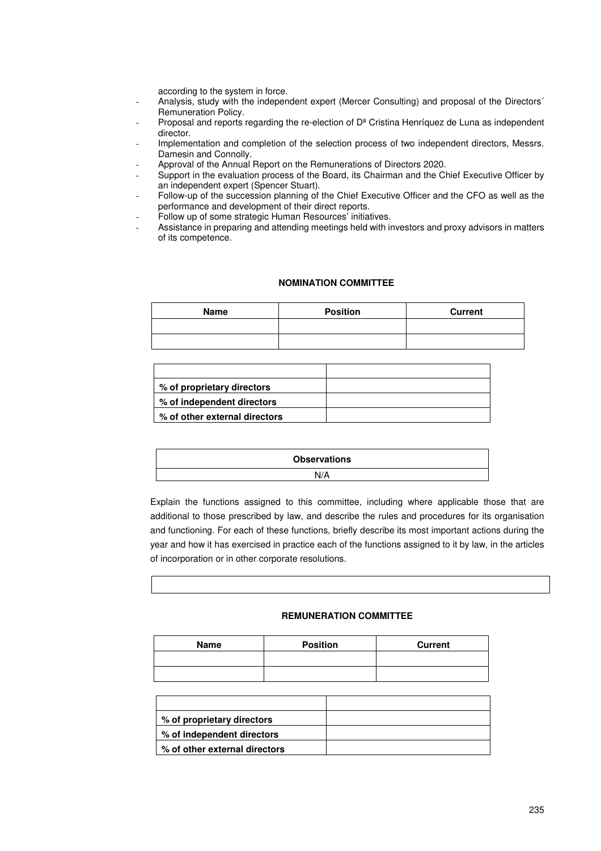according to the system in force.

- Analysis, study with the independent expert (Mercer Consulting) and proposal of the Directors´ Remuneration Policy.
- Proposal and reports regarding the re-election of D<sup>a</sup> Cristina Henríquez de Luna as independent director.
- Implementation and completion of the selection process of two independent directors, Messrs. Damesin and Connolly.
- Approval of the Annual Report on the Remunerations of Directors 2020.
- Support in the evaluation process of the Board, its Chairman and the Chief Executive Officer by an independent expert (Spencer Stuart).
- Follow-up of the succession planning of the Chief Executive Officer and the CFO as well as the performance and development of their direct reports.
- Follow up of some strategic Human Resources' initiatives.
- Assistance in preparing and attending meetings held with investors and proxy advisors in matters of its competence.

### **NOMINATION COMMITTEE**

| Name | <b>Position</b> | <b>Current</b> |
|------|-----------------|----------------|
|      |                 |                |
|      |                 |                |

| % of proprietary directors    |  |
|-------------------------------|--|
| % of independent directors    |  |
| % of other external directors |  |

| <b>Observations</b>             |
|---------------------------------|
| N/A<br>$\overline{\phantom{0}}$ |

Explain the functions assigned to this committee, including where applicable those that are additional to those prescribed by law, and describe the rules and procedures for its organisation and functioning. For each of these functions, briefly describe its most important actions during the year and how it has exercised in practice each of the functions assigned to it by law, in the articles of incorporation or in other corporate resolutions.

### **REMUNERATION COMMITTEE**

| Name | <b>Position</b> | <b>Current</b> |
|------|-----------------|----------------|
|      |                 |                |
|      |                 |                |

| % of proprietary directors    |  |
|-------------------------------|--|
| % of independent directors    |  |
| % of other external directors |  |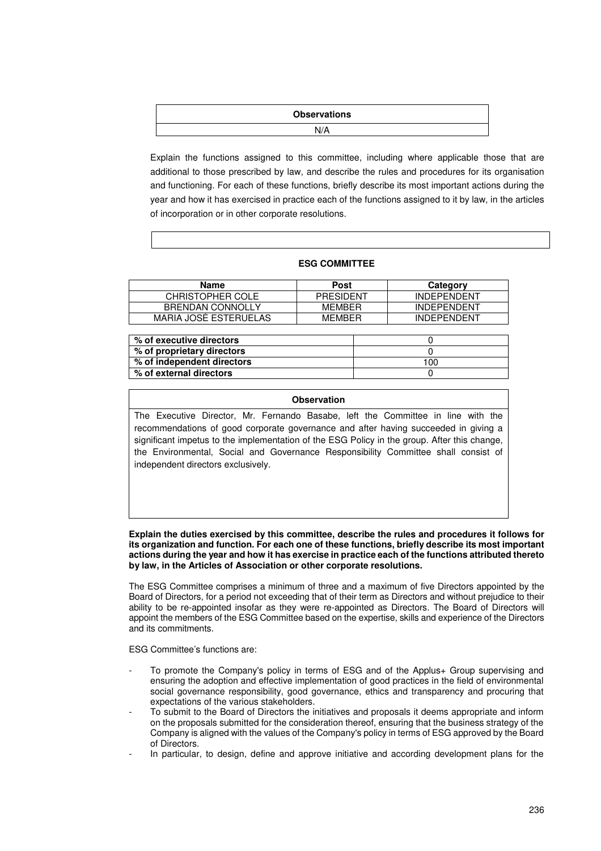# **Observations**  N/A

Explain the functions assigned to this committee, including where applicable those that are additional to those prescribed by law, and describe the rules and procedures for its organisation and functioning. For each of these functions, briefly describe its most important actions during the year and how it has exercised in practice each of the functions assigned to it by law, in the articles of incorporation or in other corporate resolutions.

# **ESG COMMITTEE**

| Name                         | Post             | Category           |
|------------------------------|------------------|--------------------|
| <b>CHRISTOPHER COLE</b>      | <b>PRESIDENT</b> | <b>INDEPENDENT</b> |
| <b>BRENDAN CONNOLLY</b>      | <b>MFMBFR</b>    | <b>INDEPENDENT</b> |
| <b>MARIA JOSE ESTERUELAS</b> | MFMRFR           | <b>INDEPENDENT</b> |

| % of executive directors   |     |
|----------------------------|-----|
| % of proprietary directors |     |
| % of independent directors | 100 |
| % of external directors    |     |
|                            |     |

# **Observation**

The Executive Director, Mr. Fernando Basabe, left the Committee in line with the recommendations of good corporate governance and after having succeeded in giving a significant impetus to the implementation of the ESG Policy in the group. After this change, the Environmental, Social and Governance Responsibility Committee shall consist of independent directors exclusively.

### **Explain the duties exercised by this committee, describe the rules and procedures it follows for its organization and function. For each one of these functions, briefly describe its most important actions during the year and how it has exercise in practice each of the functions attributed thereto by law, in the Articles of Association or other corporate resolutions.**

The ESG Committee comprises a minimum of three and a maximum of five Directors appointed by the Board of Directors, for a period not exceeding that of their term as Directors and without prejudice to their ability to be re-appointed insofar as they were re-appointed as Directors. The Board of Directors will appoint the members of the ESG Committee based on the expertise, skills and experience of the Directors and its commitments.

ESG Committee's functions are:

- To promote the Company's policy in terms of ESG and of the Applus+ Group supervising and ensuring the adoption and effective implementation of good practices in the field of environmental social governance responsibility, good governance, ethics and transparency and procuring that expectations of the various stakeholders.
- To submit to the Board of Directors the initiatives and proposals it deems appropriate and inform on the proposals submitted for the consideration thereof, ensuring that the business strategy of the Company is aligned with the values of the Company's policy in terms of ESG approved by the Board of Directors.
- In particular, to design, define and approve initiative and according development plans for the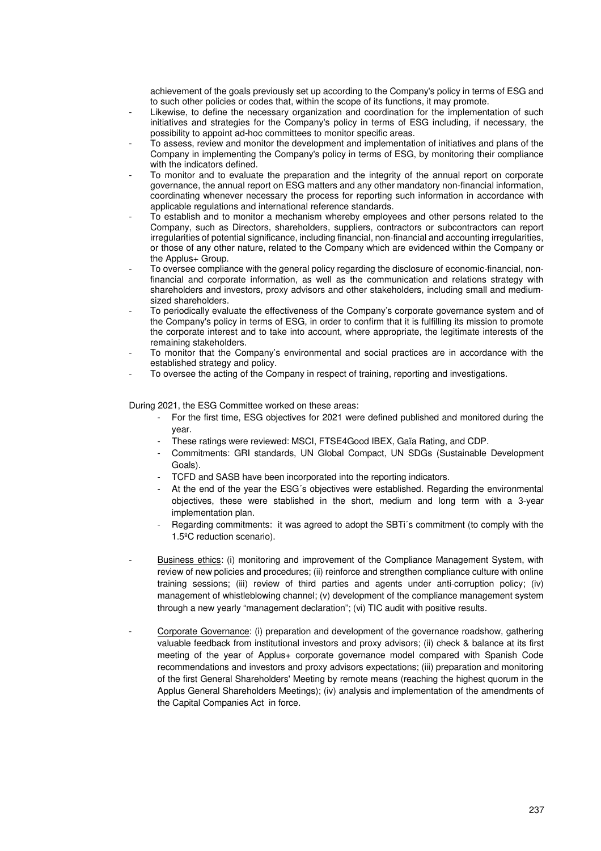achievement of the goals previously set up according to the Company's policy in terms of ESG and to such other policies or codes that, within the scope of its functions, it may promote.

- Likewise, to define the necessary organization and coordination for the implementation of such initiatives and strategies for the Company's policy in terms of ESG including, if necessary, the possibility to appoint ad-hoc committees to monitor specific areas.
- To assess, review and monitor the development and implementation of initiatives and plans of the Company in implementing the Company's policy in terms of ESG, by monitoring their compliance with the indicators defined.
- To monitor and to evaluate the preparation and the integrity of the annual report on corporate governance, the annual report on ESG matters and any other mandatory non-financial information, coordinating whenever necessary the process for reporting such information in accordance with applicable regulations and international reference standards.
- To establish and to monitor a mechanism whereby employees and other persons related to the Company, such as Directors, shareholders, suppliers, contractors or subcontractors can report irregularities of potential significance, including financial, non-financial and accounting irregularities, or those of any other nature, related to the Company which are evidenced within the Company or the Applus+ Group.
- To oversee compliance with the general policy regarding the disclosure of economic-financial, nonfinancial and corporate information, as well as the communication and relations strategy with shareholders and investors, proxy advisors and other stakeholders, including small and mediumsized shareholders.
- To periodically evaluate the effectiveness of the Company's corporate governance system and of the Company's policy in terms of ESG, in order to confirm that it is fulfilling its mission to promote the corporate interest and to take into account, where appropriate, the legitimate interests of the remaining stakeholders.
- To monitor that the Company's environmental and social practices are in accordance with the established strategy and policy.
- To oversee the acting of the Company in respect of training, reporting and investigations.

During 2021, the ESG Committee worked on these areas:

- For the first time, ESG objectives for 2021 were defined published and monitored during the year.
- These ratings were reviewed: MSCI, FTSE4Good IBEX, Gaïa Rating, and CDP.
- Commitments: GRI standards, UN Global Compact, UN SDGs (Sustainable Development Goals).
- TCFD and SASB have been incorporated into the reporting indicators.
- At the end of the year the ESG's objectives were established. Regarding the environmental objectives, these were stablished in the short, medium and long term with a 3-year implementation plan.
- Regarding commitments: it was agreed to adopt the SBTi´s commitment (to comply with the 1.5ºC reduction scenario).
- Business ethics: (i) monitoring and improvement of the Compliance Management System, with review of new policies and procedures; (ii) reinforce and strengthen compliance culture with online training sessions; (iii) review of third parties and agents under anti-corruption policy; (iv) management of whistleblowing channel; (v) development of the compliance management system through a new yearly "management declaration"; (vi) TIC audit with positive results.
- Corporate Governance: (i) preparation and development of the governance roadshow, gathering valuable feedback from institutional investors and proxy advisors; (ii) check & balance at its first meeting of the year of Applus+ corporate governance model compared with Spanish Code recommendations and investors and proxy advisors expectations; (iii) preparation and monitoring of the first General Shareholders' Meeting by remote means (reaching the highest quorum in the Applus General Shareholders Meetings); (iv) analysis and implementation of the amendments of the Capital Companies Act in force.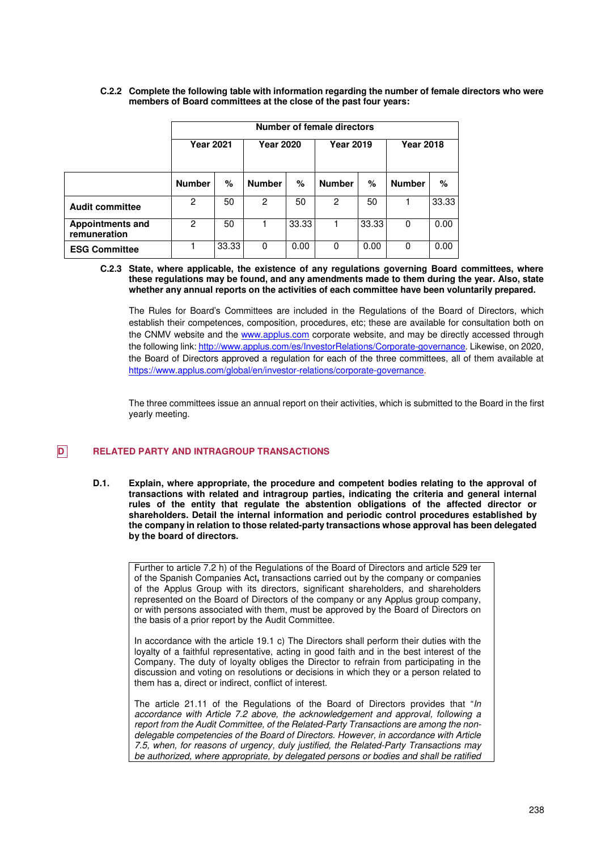|                                         | <b>Number of female directors</b> |       |                  |       |                  |       |                  |       |
|-----------------------------------------|-----------------------------------|-------|------------------|-------|------------------|-------|------------------|-------|
|                                         | <b>Year 2021</b>                  |       | <b>Year 2020</b> |       | <b>Year 2019</b> |       | <b>Year 2018</b> |       |
|                                         | <b>Number</b>                     | %     | <b>Number</b>    | %     | <b>Number</b>    | %     | <b>Number</b>    | %     |
| <b>Audit committee</b>                  | 2                                 | 50    | 2                | 50    | 2                | 50    |                  | 33.33 |
| <b>Appointments and</b><br>remuneration | 2                                 | 50    |                  | 33.33 |                  | 33.33 | 0                | 0.00  |
| <b>ESG Committee</b>                    |                                   | 33.33 | $\Omega$         | 0.00  | 0                | 0.00  | 0                | 0.00  |

### **C.2.2 Complete the following table with information regarding the number of female directors who were members of Board committees at the close of the past four years:**

### **C.2.3 State, where applicable, the existence of any regulations governing Board committees, where these regulations may be found, and any amendments made to them during the year. Also, state whether any annual reports on the activities of each committee have been voluntarily prepared.**

The Rules for Board's Committees are included in the Regulations of the Board of Directors, which establish their competences, composition, procedures, etc; these are available for consultation both on the CNMV website and the www.applus.com corporate website, and may be directly accessed through the following link: http://www.applus.com/es/InvestorRelations/Corporate-governance. Likewise, on 2020, the Board of Directors approved a regulation for each of the three committees, all of them available at https://www.applus.com/global/en/investor-relations/corporate-governance.

The three committees issue an annual report on their activities, which is submitted to the Board in the first yearly meeting.

# **D RELATED PARTY AND INTRAGROUP TRANSACTIONS**

**D.1. Explain, where appropriate, the procedure and competent bodies relating to the approval of transactions with related and intragroup parties, indicating the criteria and general internal rules of the entity that regulate the abstention obligations of the affected director or shareholders. Detail the internal information and periodic control procedures established by the company in relation to those related-party transactions whose approval has been delegated by the board of directors.** 

Further to article 7.2 h) of the Regulations of the Board of Directors and article 529 ter of the Spanish Companies Act**,** transactions carried out by the company or companies of the Applus Group with its directors, significant shareholders, and shareholders represented on the Board of Directors of the company or any Applus group company, or with persons associated with them, must be approved by the Board of Directors on the basis of a prior report by the Audit Committee.

In accordance with the article 19.1 c) The Directors shall perform their duties with the loyalty of a faithful representative, acting in good faith and in the best interest of the Company. The duty of loyalty obliges the Director to refrain from participating in the discussion and voting on resolutions or decisions in which they or a person related to them has a, direct or indirect, conflict of interest.

The article 21.11 of the Regulations of the Board of Directors provides that "In accordance with Article 7.2 above, the acknowledgement and approval, following a report from the Audit Committee, of the Related-Party Transactions are among the nondelegable competencies of the Board of Directors. However, in accordance with Article 7.5, when, for reasons of urgency, duly justified, the Related-Party Transactions may be authorized, where appropriate, by delegated persons or bodies and shall be ratified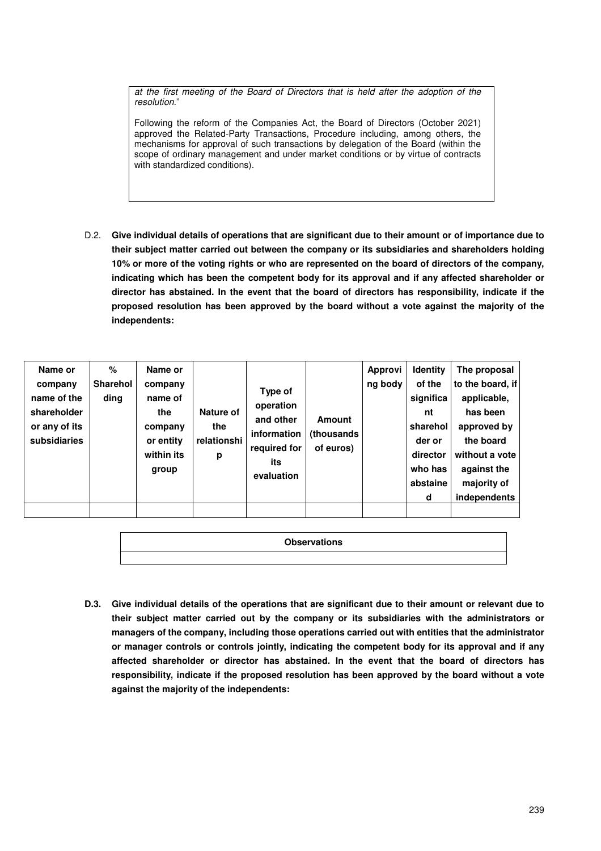at the first meeting of the Board of Directors that is held after the adoption of the resolution."

Following the reform of the Companies Act, the Board of Directors (October 2021) approved the Related-Party Transactions, Procedure including, among others, the mechanisms for approval of such transactions by delegation of the Board (within the scope of ordinary management and under market conditions or by virtue of contracts with standardized conditions).

D.2. **Give individual details of operations that are significant due to their amount or of importance due to their subject matter carried out between the company or its subsidiaries and shareholders holding 10% or more of the voting rights or who are represented on the board of directors of the company, indicating which has been the competent body for its approval and if any affected shareholder or director has abstained. In the event that the board of directors has responsibility, indicate if the proposed resolution has been approved by the board without a vote against the majority of the independents:**

**Observations** 

**D.3. Give individual details of the operations that are significant due to their amount or relevant due to their subject matter carried out by the company or its subsidiaries with the administrators or managers of the company, including those operations carried out with entities that the administrator or manager controls or controls jointly, indicating the competent body for its approval and if any affected shareholder or director has abstained. In the event that the board of directors has responsibility, indicate if the proposed resolution has been approved by the board without a vote against the majority of the independents:**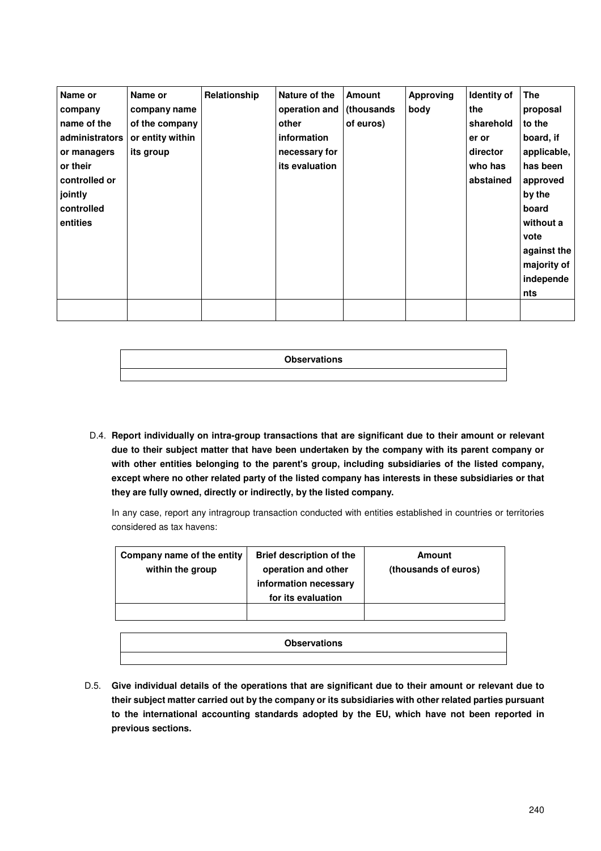| Name or        | Name or          | Relationship | Nature of the            | <b>Amount</b> | <b>Approving</b> | Identity of | <b>The</b>  |
|----------------|------------------|--------------|--------------------------|---------------|------------------|-------------|-------------|
| company        | company name     |              | operation and (thousands |               | body             | the         | proposal    |
| name of the    | of the company   |              | other                    | of euros)     |                  | sharehold   | to the      |
| administrators | or entity within |              | information              |               |                  | er or       | board, if   |
| or managers    | its group        |              | necessary for            |               |                  | director    | applicable, |
| or their       |                  |              | its evaluation           |               |                  | who has     | has been    |
| controlled or  |                  |              |                          |               |                  | abstained   | approved    |
| jointly        |                  |              |                          |               |                  |             | by the      |
| controlled     |                  |              |                          |               |                  |             | board       |
| entities       |                  |              |                          |               |                  |             | without a   |
|                |                  |              |                          |               |                  |             | vote        |
|                |                  |              |                          |               |                  |             | against the |
|                |                  |              |                          |               |                  |             | majority of |
|                |                  |              |                          |               |                  |             | independe   |
|                |                  |              |                          |               |                  |             | nts         |
|                |                  |              |                          |               |                  |             |             |
|                |                  |              |                          |               |                  |             |             |

| <b>Observations</b> |
|---------------------|
|                     |

 D.4. **Report individually on intra-group transactions that are significant due to their amount or relevant due to their subject matter that have been undertaken by the company with its parent company or with other entities belonging to the parent's group, including subsidiaries of the listed company, except where no other related party of the listed company has interests in these subsidiaries or that they are fully owned, directly or indirectly, by the listed company.** 

In any case, report any intragroup transaction conducted with entities established in countries or territories considered as tax havens:

| Company name of the entity<br>within the group | <b>Brief description of the</b><br>operation and other<br>information necessary<br>for its evaluation | Amount<br>(thousands of euros) |
|------------------------------------------------|-------------------------------------------------------------------------------------------------------|--------------------------------|
|                                                |                                                                                                       |                                |

| <b>Observations</b> |  |
|---------------------|--|
|                     |  |

D.5. **Give individual details of the operations that are significant due to their amount or relevant due to their subject matter carried out by the company or its subsidiaries with other related parties pursuant to the international accounting standards adopted by the EU, which have not been reported in previous sections.**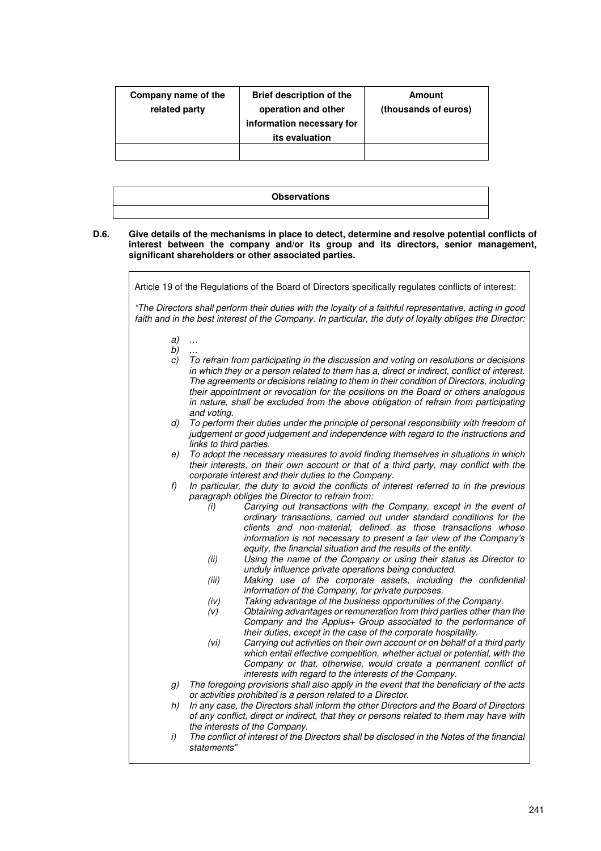| Company name of the<br>related party | <b>Brief description of the</b><br>operation and other<br>information necessary for<br>its evaluation | Amount<br>(thousands of euros) |
|--------------------------------------|-------------------------------------------------------------------------------------------------------|--------------------------------|
|                                      |                                                                                                       |                                |
|                                      |                                                                                                       |                                |

| <b>Observations</b> |
|---------------------|
|                     |

### **D.6. Give details of the mechanisms in place to detect, determine and resolve potential conflicts of interest between the company and/or its group and its directors, senior management, significant shareholders or other associated parties.**

|          | Article 19 of the Regulations of the Board of Directors specifically regulates conflicts of interest:                                                                                                                                                                                                                                                                                                                                                                                                                                                                                                                                                                                                                                                                                                                                                                                                                                                                                                                                                                                                                                                                                                                                                                                                                                                                           |
|----------|---------------------------------------------------------------------------------------------------------------------------------------------------------------------------------------------------------------------------------------------------------------------------------------------------------------------------------------------------------------------------------------------------------------------------------------------------------------------------------------------------------------------------------------------------------------------------------------------------------------------------------------------------------------------------------------------------------------------------------------------------------------------------------------------------------------------------------------------------------------------------------------------------------------------------------------------------------------------------------------------------------------------------------------------------------------------------------------------------------------------------------------------------------------------------------------------------------------------------------------------------------------------------------------------------------------------------------------------------------------------------------|
|          | "The Directors shall perform their duties with the loyalty of a faithful representative, acting in good<br>faith and in the best interest of the Company. In particular, the duty of loyalty obliges the Director:                                                                                                                                                                                                                                                                                                                                                                                                                                                                                                                                                                                                                                                                                                                                                                                                                                                                                                                                                                                                                                                                                                                                                              |
| a)<br>b) | $\ldots$                                                                                                                                                                                                                                                                                                                                                                                                                                                                                                                                                                                                                                                                                                                                                                                                                                                                                                                                                                                                                                                                                                                                                                                                                                                                                                                                                                        |
| C)       | To refrain from participating in the discussion and voting on resolutions or decisions<br>in which they or a person related to them has a, direct or indirect, conflict of interest.<br>The agreements or decisions relating to them in their condition of Directors, including<br>their appointment or revocation for the positions on the Board or others analogous<br>in nature, shall be excluded from the above obligation of refrain from participating<br>and voting.                                                                                                                                                                                                                                                                                                                                                                                                                                                                                                                                                                                                                                                                                                                                                                                                                                                                                                    |
| d)       | To perform their duties under the principle of personal responsibility with freedom of<br>judgement or good judgement and independence with regard to the instructions and<br>links to third parties.                                                                                                                                                                                                                                                                                                                                                                                                                                                                                                                                                                                                                                                                                                                                                                                                                                                                                                                                                                                                                                                                                                                                                                           |
| e)       | To adopt the necessary measures to avoid finding themselves in situations in which<br>their interests, on their own account or that of a third party, may conflict with the<br>corporate interest and their duties to the Company.                                                                                                                                                                                                                                                                                                                                                                                                                                                                                                                                                                                                                                                                                                                                                                                                                                                                                                                                                                                                                                                                                                                                              |
| f)       | In particular, the duty to avoid the conflicts of interest referred to in the previous<br>paragraph obliges the Director to refrain from:<br>Carrying out transactions with the Company, except in the event of<br>(i)<br>ordinary transactions, carried out under standard conditions for the<br>clients and non-material, defined as those transactions whose<br>information is not necessary to present a fair view of the Company's<br>equity, the financial situation and the results of the entity.<br>Using the name of the Company or using their status as Director to<br>(ii)<br>unduly influence private operations being conducted.<br>Making use of the corporate assets, including the confidential<br>(iii)<br>information of the Company, for private purposes.<br>Taking advantage of the business opportunities of the Company.<br>(iv)<br>Obtaining advantages or remuneration from third parties other than the<br>(V)<br>Company and the Applus+ Group associated to the performance of<br>their duties, except in the case of the corporate hospitality.<br>Carrying out activities on their own account or on behalf of a third party<br>(vi)<br>which entail effective competition, whether actual or potential, with the<br>Company or that, otherwise, would create a permanent conflict of<br>interests with regard to the interests of the Company. |
| g)       | The foregoing provisions shall also apply in the event that the beneficiary of the acts<br>or activities prohibited is a person related to a Director.                                                                                                                                                                                                                                                                                                                                                                                                                                                                                                                                                                                                                                                                                                                                                                                                                                                                                                                                                                                                                                                                                                                                                                                                                          |
| h)       | In any case, the Directors shall inform the other Directors and the Board of Directors<br>of any conflict, direct or indirect, that they or persons related to them may have with                                                                                                                                                                                                                                                                                                                                                                                                                                                                                                                                                                                                                                                                                                                                                                                                                                                                                                                                                                                                                                                                                                                                                                                               |
| i)       | the interests of the Company.<br>The conflict of interest of the Directors shall be disclosed in the Notes of the financial<br>statements"                                                                                                                                                                                                                                                                                                                                                                                                                                                                                                                                                                                                                                                                                                                                                                                                                                                                                                                                                                                                                                                                                                                                                                                                                                      |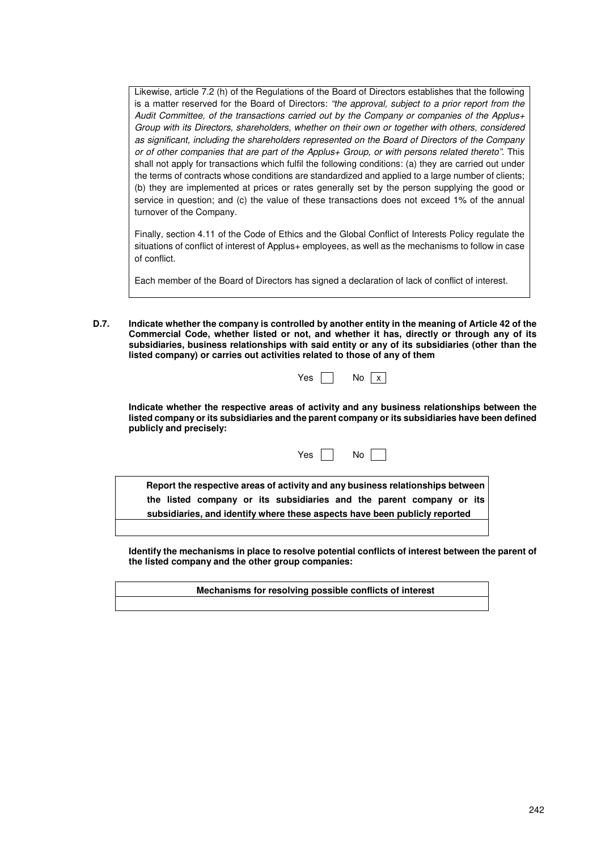Likewise, article 7.2 (h) of the Regulations of the Board of Directors establishes that the following is a matter reserved for the Board of Directors: "the approval, subject to a prior report from the Audit Committee, of the transactions carried out by the Company or companies of the Applus+ Group with its Directors, shareholders, whether on their own or together with others, considered as significant, including the shareholders represented on the Board of Directors of the Company or of other companies that are part of the Applus+ Group, or with persons related thereto". This shall not apply for transactions which fulfil the following conditions: (a) they are carried out under the terms of contracts whose conditions are standardized and applied to a large number of clients; (b) they are implemented at prices or rates generally set by the person supplying the good or service in question; and (c) the value of these transactions does not exceed 1% of the annual turnover of the Company.

Finally, section 4.11 of the Code of Ethics and the Global Conflict of Interests Policy regulate the situations of conflict of interest of Applus+ employees, as well as the mechanisms to follow in case of conflict.

Each member of the Board of Directors has signed a declaration of lack of conflict of interest.

**D.7. Indicate whether the company is controlled by another entity in the meaning of Article 42 of the Commercial Code, whether listed or not, and whether it has, directly or through any of its subsidiaries, business relationships with said entity or any of its subsidiaries (other than the listed company) or carries out activities related to those of any of them** 

| v<br>AC | N٥ |  |
|---------|----|--|
|---------|----|--|

**Indicate whether the respective areas of activity and any business relationships between the listed company or its subsidiaries and the parent company or its subsidiaries have been defined publicly and precisely:** 

Yes No

**Report the respective areas of activity and any business relationships between the listed company or its subsidiaries and the parent company or its subsidiaries, and identify where these aspects have been publicly reported** 

**Identify the mechanisms in place to resolve potential conflicts of interest between the parent of the listed company and the other group companies:** 

**Mechanisms for resolving possible conflicts of interest**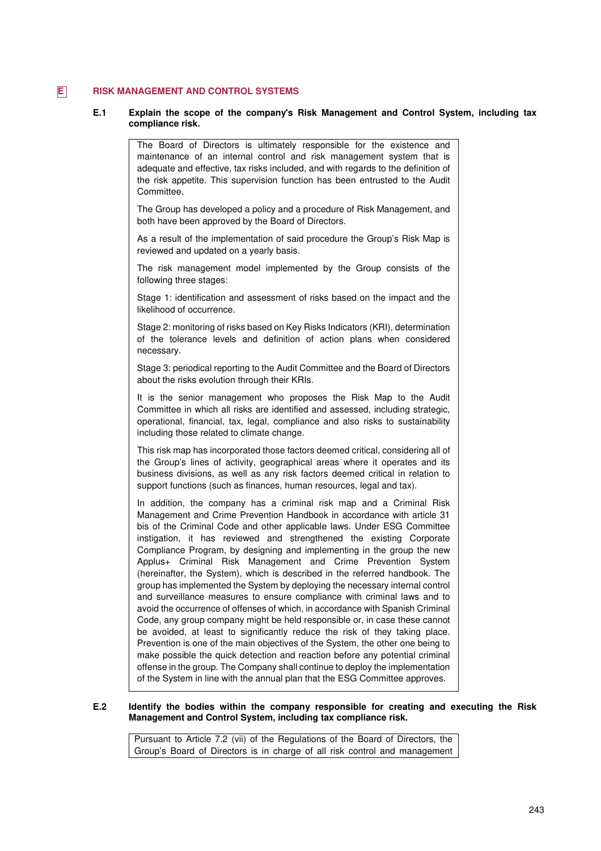# **E** RISK MANAGEMENT AND CONTROL SYSTEMS

### **E.1 Explain the scope of the company's Risk Management and Control System, including tax compliance risk.**

The Board of Directors is ultimately responsible for the existence and maintenance of an internal control and risk management system that is adequate and effective, tax risks included, and with regards to the definition of the risk appetite. This supervision function has been entrusted to the Audit Committee.

The Group has developed a policy and a procedure of Risk Management, and both have been approved by the Board of Directors.

As a result of the implementation of said procedure the Group's Risk Map is reviewed and updated on a yearly basis.

The risk management model implemented by the Group consists of the following three stages:

Stage 1: identification and assessment of risks based on the impact and the likelihood of occurrence.

Stage 2: monitoring of risks based on Key Risks Indicators (KRI), determination of the tolerance levels and definition of action plans when considered necessary.

Stage 3: periodical reporting to the Audit Committee and the Board of Directors about the risks evolution through their KRIs.

It is the senior management who proposes the Risk Map to the Audit Committee in which all risks are identified and assessed, including strategic, operational, financial, tax, legal, compliance and also risks to sustainability including those related to climate change.

This risk map has incorporated those factors deemed critical, considering all of the Group's lines of activity, geographical areas where it operates and its business divisions, as well as any risk factors deemed critical in relation to support functions (such as finances, human resources, legal and tax).

In addition, the company has a criminal risk map and a Criminal Risk Management and Crime Prevention Handbook in accordance with article 31 bis of the Criminal Code and other applicable laws. Under ESG Committee instigation, it has reviewed and strengthened the existing Corporate Compliance Program, by designing and implementing in the group the new Applus+ Criminal Risk Management and Crime Prevention System (hereinafter, the System), which is described in the referred handbook. The group has implemented the System by deploying the necessary internal control and surveillance measures to ensure compliance with criminal laws and to avoid the occurrence of offenses of which, in accordance with Spanish Criminal Code, any group company might be held responsible or, in case these cannot be avoided, at least to significantly reduce the risk of they taking place. Prevention is one of the main objectives of the System, the other one being to make possible the quick detection and reaction before any potential criminal offense in the group. The Company shall continue to deploy the implementation of the System in line with the annual plan that the ESG Committee approves.

# **E.2 Identify the bodies within the company responsible for creating and executing the Risk Management and Control System, including tax compliance risk.**

Pursuant to Article 7.2 (vii) of the Regulations of the Board of Directors, the Group's Board of Directors is in charge of all risk control and management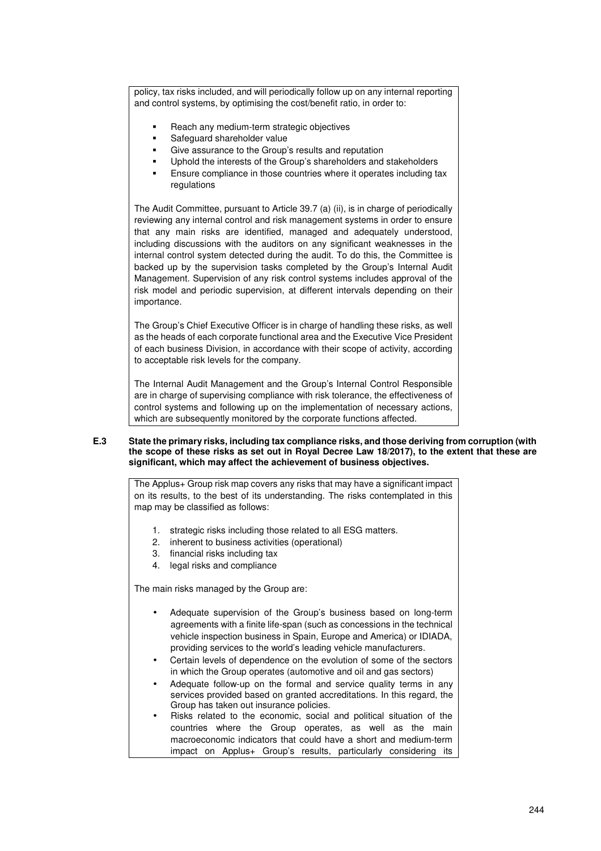policy, tax risks included, and will periodically follow up on any internal reporting and control systems, by optimising the cost/benefit ratio, in order to:

- Reach any medium-term strategic objectives
- Safeguard shareholder value
- Give assurance to the Group's results and reputation
- Uphold the interests of the Group's shareholders and stakeholders
- Ensure compliance in those countries where it operates including tax regulations

The Audit Committee, pursuant to Article 39.7 (a) (ii), is in charge of periodically reviewing any internal control and risk management systems in order to ensure that any main risks are identified, managed and adequately understood, including discussions with the auditors on any significant weaknesses in the internal control system detected during the audit. To do this, the Committee is backed up by the supervision tasks completed by the Group's Internal Audit Management. Supervision of any risk control systems includes approval of the risk model and periodic supervision, at different intervals depending on their importance.

The Group's Chief Executive Officer is in charge of handling these risks, as well as the heads of each corporate functional area and the Executive Vice President of each business Division, in accordance with their scope of activity, according to acceptable risk levels for the company.

The Internal Audit Management and the Group's Internal Control Responsible are in charge of supervising compliance with risk tolerance, the effectiveness of control systems and following up on the implementation of necessary actions, which are subsequently monitored by the corporate functions affected.

### **E.3 State the primary risks, including tax compliance risks, and those deriving from corruption (with the scope of these risks as set out in Royal Decree Law 18/2017), to the extent that these are significant, which may affect the achievement of business objectives.**

The Applus+ Group risk map covers any risks that may have a significant impact on its results, to the best of its understanding. The risks contemplated in this map may be classified as follows:

- 1. strategic risks including those related to all ESG matters.
- 2. inherent to business activities (operational)
- 3. financial risks including tax
- 4. legal risks and compliance

The main risks managed by the Group are:

- Adequate supervision of the Group's business based on long-term agreements with a finite life-span (such as concessions in the technical vehicle inspection business in Spain, Europe and America) or IDIADA, providing services to the world's leading vehicle manufacturers.
- Certain levels of dependence on the evolution of some of the sectors in which the Group operates (automotive and oil and gas sectors)
- Adequate follow-up on the formal and service quality terms in any services provided based on granted accreditations. In this regard, the Group has taken out insurance policies.
- Risks related to the economic, social and political situation of the countries where the Group operates, as well as the main macroeconomic indicators that could have a short and medium-term impact on Applus+ Group's results, particularly considering its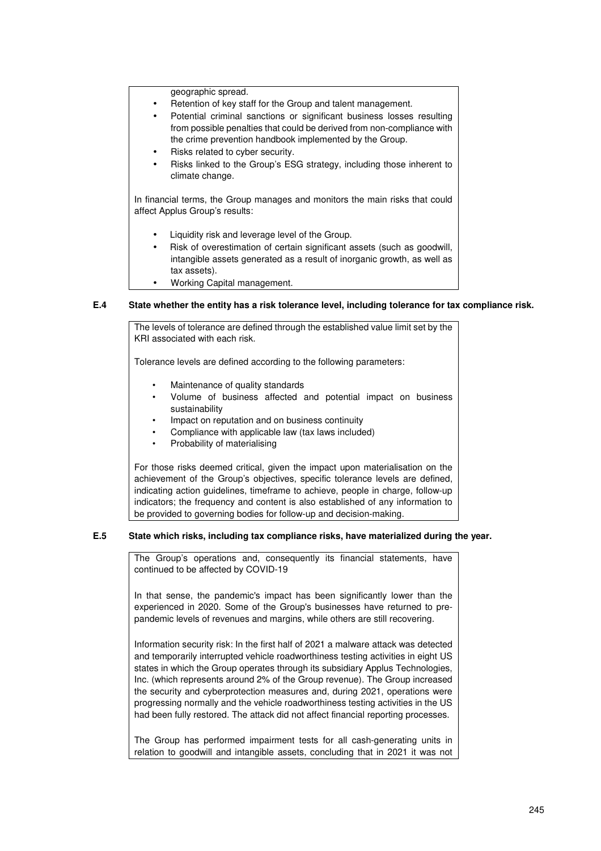geographic spread.

- Retention of key staff for the Group and talent management.
- Potential criminal sanctions or significant business losses resulting from possible penalties that could be derived from non-compliance with the crime prevention handbook implemented by the Group.
- Risks related to cyber security.
- Risks linked to the Group's ESG strategy, including those inherent to climate change.

In financial terms, the Group manages and monitors the main risks that could affect Applus Group's results:

- Liquidity risk and leverage level of the Group.
- Risk of overestimation of certain significant assets (such as goodwill, intangible assets generated as a result of inorganic growth, as well as tax assets).
- Working Capital management.

# **E.4 State whether the entity has a risk tolerance level, including tolerance for tax compliance risk.**

The levels of tolerance are defined through the established value limit set by the KRI associated with each risk.

Tolerance levels are defined according to the following parameters:

- Maintenance of quality standards
- Volume of business affected and potential impact on business sustainability
- Impact on reputation and on business continuity
- Compliance with applicable law (tax laws included)
- Probability of materialising

For those risks deemed critical, given the impact upon materialisation on the achievement of the Group's objectives, specific tolerance levels are defined, indicating action guidelines, timeframe to achieve, people in charge, follow-up indicators; the frequency and content is also established of any information to be provided to governing bodies for follow-up and decision-making.

# **E.5 State which risks, including tax compliance risks, have materialized during the year.**

The Group's operations and, consequently its financial statements, have continued to be affected by COVID-19

In that sense, the pandemic's impact has been significantly lower than the experienced in 2020. Some of the Group's businesses have returned to prepandemic levels of revenues and margins, while others are still recovering.

Information security risk: In the first half of 2021 a malware attack was detected and temporarily interrupted vehicle roadworthiness testing activities in eight US states in which the Group operates through its subsidiary Applus Technologies, Inc. (which represents around 2% of the Group revenue). The Group increased the security and cyberprotection measures and, during 2021, operations were progressing normally and the vehicle roadworthiness testing activities in the US had been fully restored. The attack did not affect financial reporting processes.

The Group has performed impairment tests for all cash-generating units in relation to goodwill and intangible assets, concluding that in 2021 it was not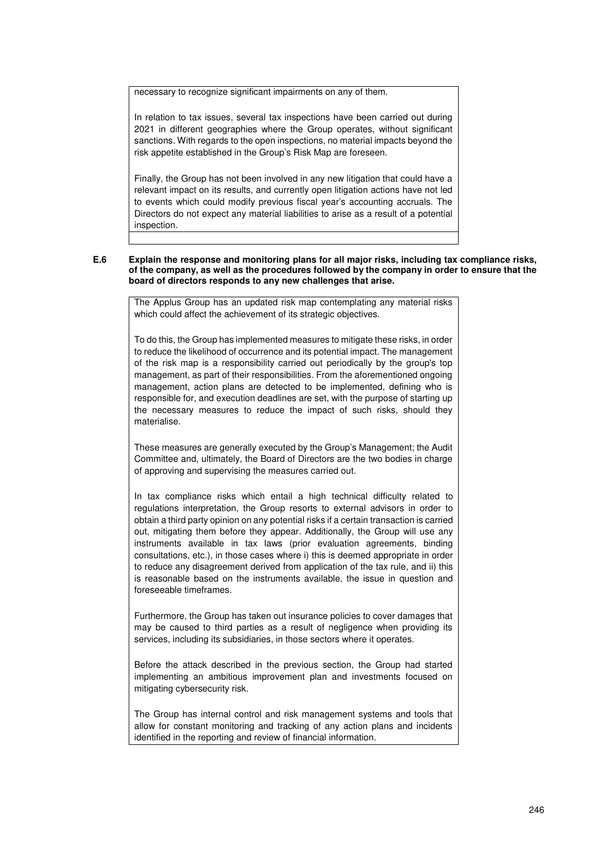necessary to recognize significant impairments on any of them.

In relation to tax issues, several tax inspections have been carried out during 2021 in different geographies where the Group operates, without significant sanctions. With regards to the open inspections, no material impacts beyond the risk appetite established in the Group's Risk Map are foreseen.

Finally, the Group has not been involved in any new litigation that could have a relevant impact on its results, and currently open litigation actions have not led to events which could modify previous fiscal year's accounting accruals. The Directors do not expect any material liabilities to arise as a result of a potential inspection.

### **E.6 Explain the response and monitoring plans for all major risks, including tax compliance risks, of the company, as well as the procedures followed by the company in order to ensure that the board of directors responds to any new challenges that arise.**

The Applus Group has an updated risk map contemplating any material risks which could affect the achievement of its strategic objectives.

To do this, the Group has implemented measures to mitigate these risks, in order to reduce the likelihood of occurrence and its potential impact. The management of the risk map is a responsibility carried out periodically by the group's top management, as part of their responsibilities. From the aforementioned ongoing management, action plans are detected to be implemented, defining who is responsible for, and execution deadlines are set, with the purpose of starting up the necessary measures to reduce the impact of such risks, should they materialise.

These measures are generally executed by the Group's Management; the Audit Committee and, ultimately, the Board of Directors are the two bodies in charge of approving and supervising the measures carried out.

In tax compliance risks which entail a high technical difficulty related to regulations interpretation, the Group resorts to external advisors in order to obtain a third party opinion on any potential risks if a certain transaction is carried out, mitigating them before they appear. Additionally, the Group will use any instruments available in tax laws (prior evaluation agreements, binding consultations, etc.), in those cases where i) this is deemed appropriate in order to reduce any disagreement derived from application of the tax rule, and ii) this is reasonable based on the instruments available, the issue in question and foreseeable timeframes.

Furthermore, the Group has taken out insurance policies to cover damages that may be caused to third parties as a result of negligence when providing its services, including its subsidiaries, in those sectors where it operates.

Before the attack described in the previous section, the Group had started implementing an ambitious improvement plan and investments focused on mitigating cybersecurity risk.

The Group has internal control and risk management systems and tools that allow for constant monitoring and tracking of any action plans and incidents identified in the reporting and review of financial information.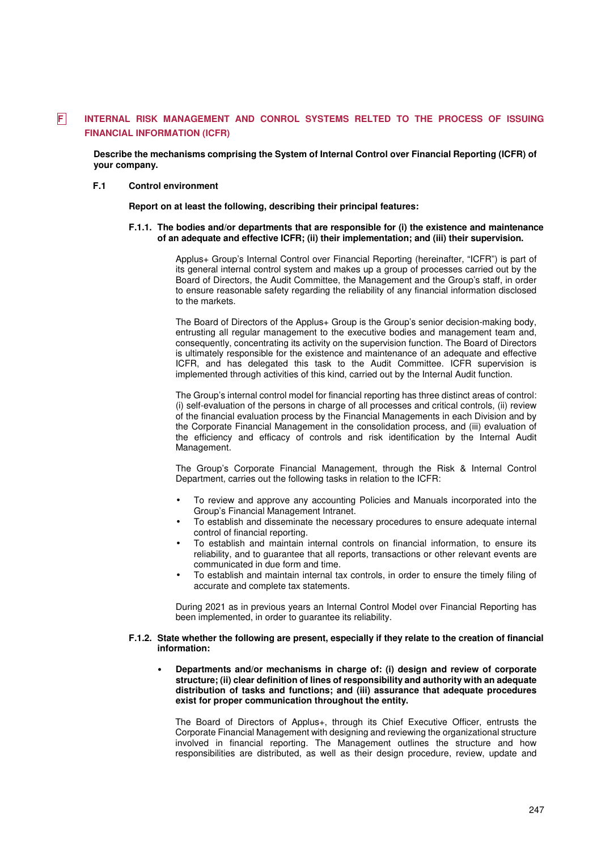# **F INTERNAL RISK MANAGEMENT AND CONROL SYSTEMS RELTED TO THE PROCESS OF ISSUING FINANCIAL INFORMATION (ICFR)**

 **Describe the mechanisms comprising the System of Internal Control over Financial Reporting (ICFR) of your company.**

### **F.1 Control environment**

 **Report on at least the following, describing their principal features:**

### **F.1.1. The bodies and/or departments that are responsible for (i) the existence and maintenance of an adequate and effective ICFR; (ii) their implementation; and (iii) their supervision.**

Applus+ Group's Internal Control over Financial Reporting (hereinafter, "ICFR") is part of its general internal control system and makes up a group of processes carried out by the Board of Directors, the Audit Committee, the Management and the Group's staff, in order to ensure reasonable safety regarding the reliability of any financial information disclosed to the markets.

The Board of Directors of the Applus+ Group is the Group's senior decision-making body, entrusting all regular management to the executive bodies and management team and, consequently, concentrating its activity on the supervision function. The Board of Directors is ultimately responsible for the existence and maintenance of an adequate and effective ICFR, and has delegated this task to the Audit Committee. ICFR supervision is implemented through activities of this kind, carried out by the Internal Audit function.

The Group's internal control model for financial reporting has three distinct areas of control: (i) self-evaluation of the persons in charge of all processes and critical controls, (ii) review of the financial evaluation process by the Financial Managements in each Division and by the Corporate Financial Management in the consolidation process, and (iii) evaluation of the efficiency and efficacy of controls and risk identification by the Internal Audit Management.

The Group's Corporate Financial Management, through the Risk & Internal Control Department, carries out the following tasks in relation to the ICFR:

- To review and approve any accounting Policies and Manuals incorporated into the Group's Financial Management Intranet.
- To establish and disseminate the necessary procedures to ensure adequate internal control of financial reporting.
- To establish and maintain internal controls on financial information, to ensure its reliability, and to guarantee that all reports, transactions or other relevant events are communicated in due form and time.
- To establish and maintain internal tax controls, in order to ensure the timely filing of accurate and complete tax statements.

During 2021 as in previous years an Internal Control Model over Financial Reporting has been implemented, in order to guarantee its reliability.

### **F.1.2. State whether the following are present, especially if they relate to the creation of financial information:**

• **Departments and/or mechanisms in charge of: (i) design and review of corporate structure; (ii) clear definition of lines of responsibility and authority with an adequate distribution of tasks and functions; and (iii) assurance that adequate procedures exist for proper communication throughout the entity.** 

The Board of Directors of Applus+, through its Chief Executive Officer, entrusts the Corporate Financial Management with designing and reviewing the organizational structure involved in financial reporting. The Management outlines the structure and how responsibilities are distributed, as well as their design procedure, review, update and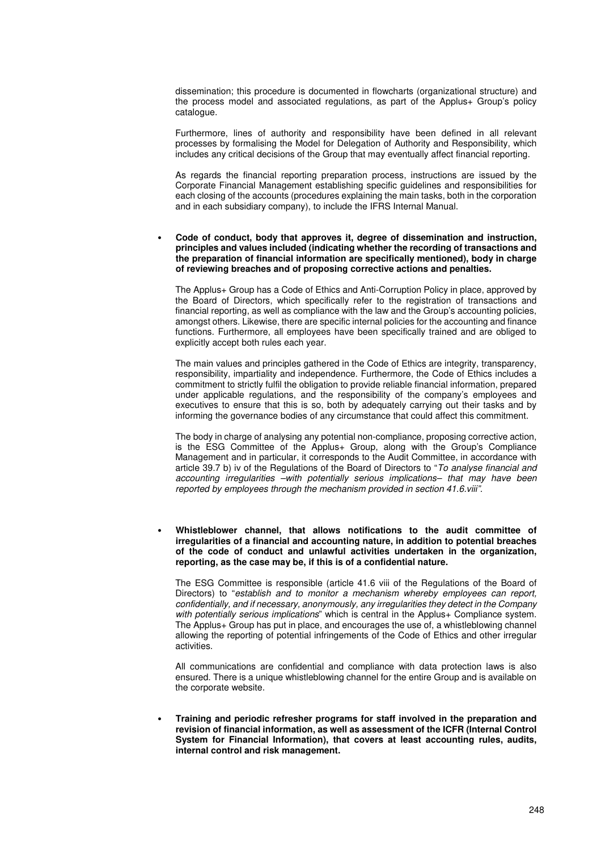dissemination; this procedure is documented in flowcharts (organizational structure) and the process model and associated regulations, as part of the Applus+ Group's policy catalogue.

Furthermore, lines of authority and responsibility have been defined in all relevant processes by formalising the Model for Delegation of Authority and Responsibility, which includes any critical decisions of the Group that may eventually affect financial reporting.

As regards the financial reporting preparation process, instructions are issued by the Corporate Financial Management establishing specific guidelines and responsibilities for each closing of the accounts (procedures explaining the main tasks, both in the corporation and in each subsidiary company), to include the IFRS Internal Manual.

• **Code of conduct, body that approves it, degree of dissemination and instruction, principles and values included (indicating whether the recording of transactions and the preparation of financial information are specifically mentioned), body in charge of reviewing breaches and of proposing corrective actions and penalties.** 

The Applus+ Group has a Code of Ethics and Anti-Corruption Policy in place, approved by the Board of Directors, which specifically refer to the registration of transactions and financial reporting, as well as compliance with the law and the Group's accounting policies, amongst others. Likewise, there are specific internal policies for the accounting and finance functions. Furthermore, all employees have been specifically trained and are obliged to explicitly accept both rules each year.

The main values and principles gathered in the Code of Ethics are integrity, transparency, responsibility, impartiality and independence. Furthermore, the Code of Ethics includes a commitment to strictly fulfil the obligation to provide reliable financial information, prepared under applicable regulations, and the responsibility of the company's employees and executives to ensure that this is so, both by adequately carrying out their tasks and by informing the governance bodies of any circumstance that could affect this commitment.

The body in charge of analysing any potential non-compliance, proposing corrective action, is the ESG Committee of the Applus+ Group, along with the Group's Compliance Management and in particular, it corresponds to the Audit Committee, in accordance with article 39.7 b) iv of the Regulations of the Board of Directors to "To analyse financial and accounting irregularities –with potentially serious implications– that may have been reported by employees through the mechanism provided in section 41.6.viii".

• **Whistleblower channel, that allows notifications to the audit committee of irregularities of a financial and accounting nature, in addition to potential breaches of the code of conduct and unlawful activities undertaken in the organization, reporting, as the case may be, if this is of a confidential nature.** 

The ESG Committee is responsible (article 41.6 viii of the Regulations of the Board of Directors) to "establish and to monitor a mechanism whereby employees can report, confidentially, and if necessary, anonymously, any irregularities they detect in the Company with potentially serious implications" which is central in the Applus+ Compliance system. The Applus+ Group has put in place, and encourages the use of, a whistleblowing channel allowing the reporting of potential infringements of the Code of Ethics and other irregular activities.

All communications are confidential and compliance with data protection laws is also ensured. There is a unique whistleblowing channel for the entire Group and is available on the corporate website.

• **Training and periodic refresher programs for staff involved in the preparation and revision of financial information, as well as assessment of the ICFR (Internal Control System for Financial Information), that covers at least accounting rules, audits, internal control and risk management.**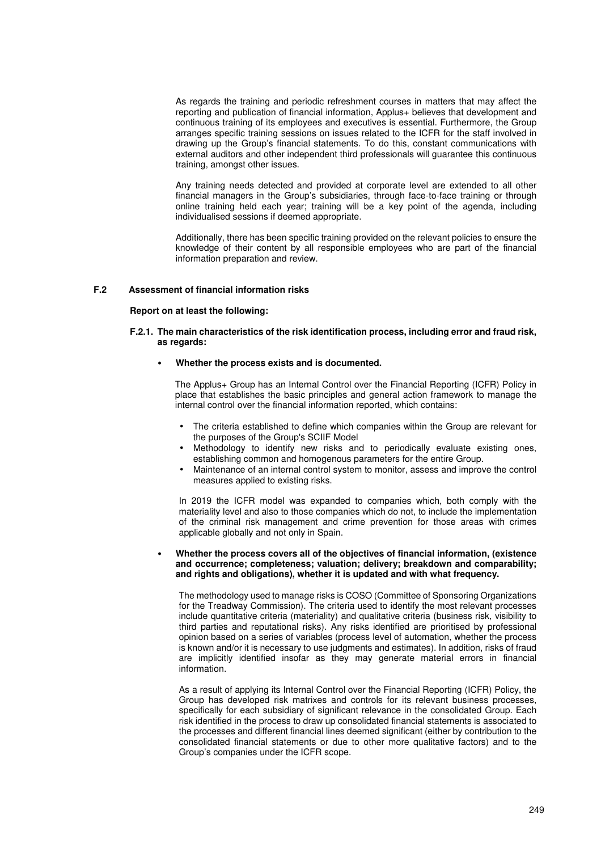As regards the training and periodic refreshment courses in matters that may affect the reporting and publication of financial information, Applus+ believes that development and continuous training of its employees and executives is essential. Furthermore, the Group arranges specific training sessions on issues related to the ICFR for the staff involved in drawing up the Group's financial statements. To do this, constant communications with external auditors and other independent third professionals will guarantee this continuous training, amongst other issues.

Any training needs detected and provided at corporate level are extended to all other financial managers in the Group's subsidiaries, through face-to-face training or through online training held each year; training will be a key point of the agenda, including individualised sessions if deemed appropriate.

Additionally, there has been specific training provided on the relevant policies to ensure the knowledge of their content by all responsible employees who are part of the financial information preparation and review.

### **F.2 Assessment of financial information risks**

#### **Report on at least the following:**

### **F.2.1. The main characteristics of the risk identification process, including error and fraud risk, as regards:**

#### • **Whether the process exists and is documented.**

The Applus+ Group has an Internal Control over the Financial Reporting (ICFR) Policy in place that establishes the basic principles and general action framework to manage the internal control over the financial information reported, which contains:

- The criteria established to define which companies within the Group are relevant for the purposes of the Group's SCIIF Model
- Methodology to identify new risks and to periodically evaluate existing ones, establishing common and homogenous parameters for the entire Group.
- Maintenance of an internal control system to monitor, assess and improve the control measures applied to existing risks.

In 2019 the ICFR model was expanded to companies which, both comply with the materiality level and also to those companies which do not, to include the implementation of the criminal risk management and crime prevention for those areas with crimes applicable globally and not only in Spain.

### • **Whether the process covers all of the objectives of financial information, (existence and occurrence; completeness; valuation; delivery; breakdown and comparability; and rights and obligations), whether it is updated and with what frequency.**

The methodology used to manage risks is COSO (Committee of Sponsoring Organizations for the Treadway Commission). The criteria used to identify the most relevant processes include quantitative criteria (materiality) and qualitative criteria (business risk, visibility to third parties and reputational risks). Any risks identified are prioritised by professional opinion based on a series of variables (process level of automation, whether the process is known and/or it is necessary to use judgments and estimates). In addition, risks of fraud are implicitly identified insofar as they may generate material errors in financial information.

As a result of applying its Internal Control over the Financial Reporting (ICFR) Policy, the Group has developed risk matrixes and controls for its relevant business processes, specifically for each subsidiary of significant relevance in the consolidated Group. Each risk identified in the process to draw up consolidated financial statements is associated to the processes and different financial lines deemed significant (either by contribution to the consolidated financial statements or due to other more qualitative factors) and to the Group's companies under the ICFR scope.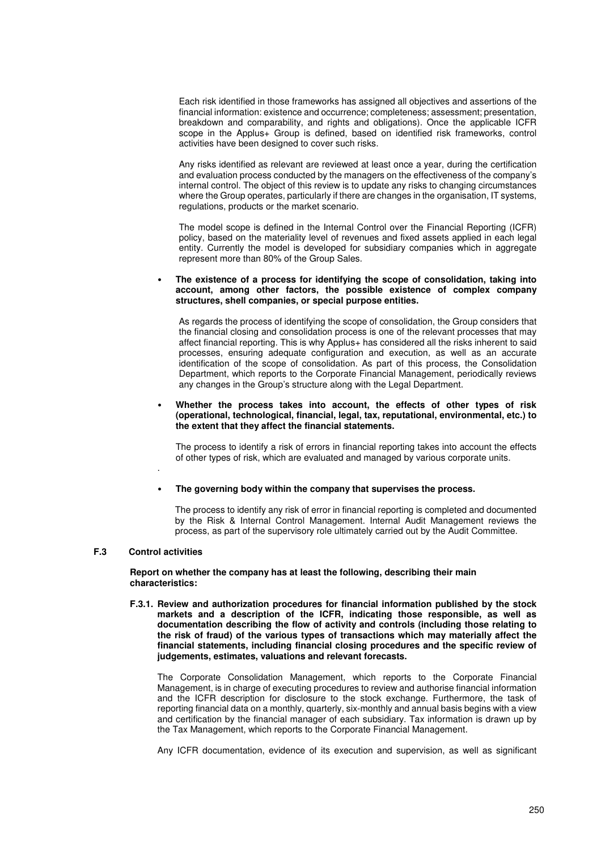Each risk identified in those frameworks has assigned all objectives and assertions of the financial information: existence and occurrence; completeness; assessment; presentation, breakdown and comparability, and rights and obligations). Once the applicable ICFR scope in the Applus+ Group is defined, based on identified risk frameworks, control activities have been designed to cover such risks.

Any risks identified as relevant are reviewed at least once a year, during the certification and evaluation process conducted by the managers on the effectiveness of the company's internal control. The object of this review is to update any risks to changing circumstances where the Group operates, particularly if there are changes in the organisation, IT systems, regulations, products or the market scenario.

The model scope is defined in the Internal Control over the Financial Reporting (ICFR) policy, based on the materiality level of revenues and fixed assets applied in each legal entity. Currently the model is developed for subsidiary companies which in aggregate represent more than 80% of the Group Sales.

### • **The existence of a process for identifying the scope of consolidation, taking into account, among other factors, the possible existence of complex company structures, shell companies, or special purpose entities.**

As regards the process of identifying the scope of consolidation, the Group considers that the financial closing and consolidation process is one of the relevant processes that may affect financial reporting. This is why Applus+ has considered all the risks inherent to said processes, ensuring adequate configuration and execution, as well as an accurate identification of the scope of consolidation. As part of this process, the Consolidation Department, which reports to the Corporate Financial Management, periodically reviews any changes in the Group's structure along with the Legal Department.

### • **Whether the process takes into account, the effects of other types of risk (operational, technological, financial, legal, tax, reputational, environmental, etc.) to the extent that they affect the financial statements.**

The process to identify a risk of errors in financial reporting takes into account the effects of other types of risk, which are evaluated and managed by various corporate units.

• **The governing body within the company that supervises the process.** 

The process to identify any risk of error in financial reporting is completed and documented by the Risk & Internal Control Management. Internal Audit Management reviews the process, as part of the supervisory role ultimately carried out by the Audit Committee.

# **F.3 Control activities**

.

**Report on whether the company has at least the following, describing their main characteristics:** 

**F.3.1. Review and authorization procedures for financial information published by the stock markets and a description of the ICFR, indicating those responsible, as well as documentation describing the flow of activity and controls (including those relating to the risk of fraud) of the various types of transactions which may materially affect the financial statements, including financial closing procedures and the specific review of judgements, estimates, valuations and relevant forecasts.** 

The Corporate Consolidation Management, which reports to the Corporate Financial Management, is in charge of executing procedures to review and authorise financial information and the ICFR description for disclosure to the stock exchange. Furthermore, the task of reporting financial data on a monthly, quarterly, six-monthly and annual basis begins with a view and certification by the financial manager of each subsidiary. Tax information is drawn up by the Tax Management, which reports to the Corporate Financial Management.

Any ICFR documentation, evidence of its execution and supervision, as well as significant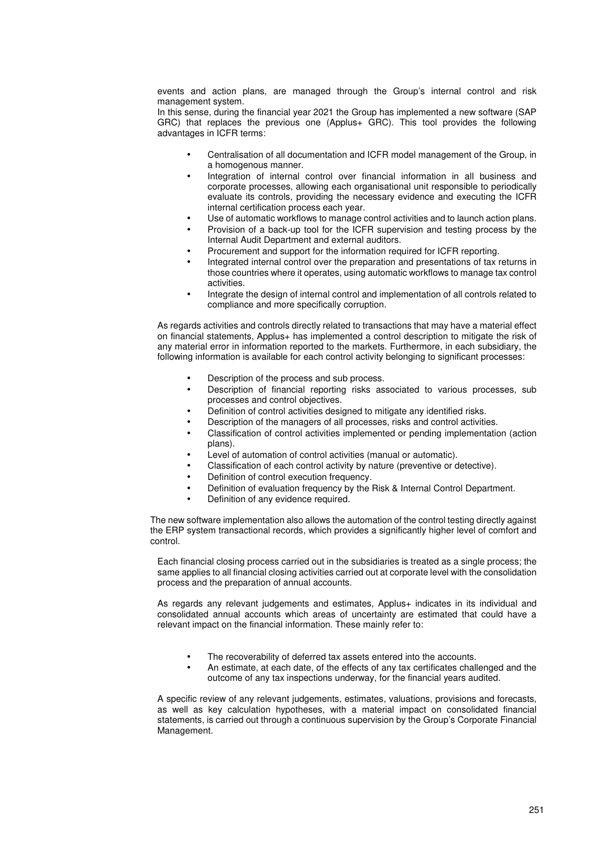events and action plans, are managed through the Group's internal control and risk management system.

In this sense, during the financial year 2021 the Group has implemented a new software (SAP GRC) that replaces the previous one (Applus+ GRC). This tool provides the following advantages in ICFR terms:

- Centralisation of all documentation and ICFR model management of the Group, in a homogenous manner.
- Integration of internal control over financial information in all business and corporate processes, allowing each organisational unit responsible to periodically evaluate its controls, providing the necessary evidence and executing the ICFR internal certification process each year.
- Use of automatic workflows to manage control activities and to launch action plans.
- Provision of a back-up tool for the ICFR supervision and testing process by the Internal Audit Department and external auditors.
- Procurement and support for the information required for ICFR reporting.
- Integrated internal control over the preparation and presentations of tax returns in those countries where it operates, using automatic workflows to manage tax control activities.
- Integrate the design of internal control and implementation of all controls related to compliance and more specifically corruption.

As regards activities and controls directly related to transactions that may have a material effect on financial statements, Applus+ has implemented a control description to mitigate the risk of any material error in information reported to the markets. Furthermore, in each subsidiary, the following information is available for each control activity belonging to significant processes:

- Description of the process and sub process.
- Description of financial reporting risks associated to various processes, sub processes and control objectives.
- Definition of control activities designed to mitigate any identified risks.
- Description of the managers of all processes, risks and control activities.
- Classification of control activities implemented or pending implementation (action plans).
- Level of automation of control activities (manual or automatic).
- Classification of each control activity by nature (preventive or detective).
- Definition of control execution frequency.
- Definition of evaluation frequency by the Risk & Internal Control Department.
- Definition of any evidence required.

The new software implementation also allows the automation of the control testing directly against the ERP system transactional records, which provides a significantly higher level of comfort and control.

Each financial closing process carried out in the subsidiaries is treated as a single process; the same applies to all financial closing activities carried out at corporate level with the consolidation process and the preparation of annual accounts.

As regards any relevant judgements and estimates, Applus+ indicates in its individual and consolidated annual accounts which areas of uncertainty are estimated that could have a relevant impact on the financial information. These mainly refer to:

- The recoverability of deferred tax assets entered into the accounts.
- An estimate, at each date, of the effects of any tax certificates challenged and the outcome of any tax inspections underway, for the financial years audited.

A specific review of any relevant judgements, estimates, valuations, provisions and forecasts, as well as key calculation hypotheses, with a material impact on consolidated financial statements, is carried out through a continuous supervision by the Group's Corporate Financial Management.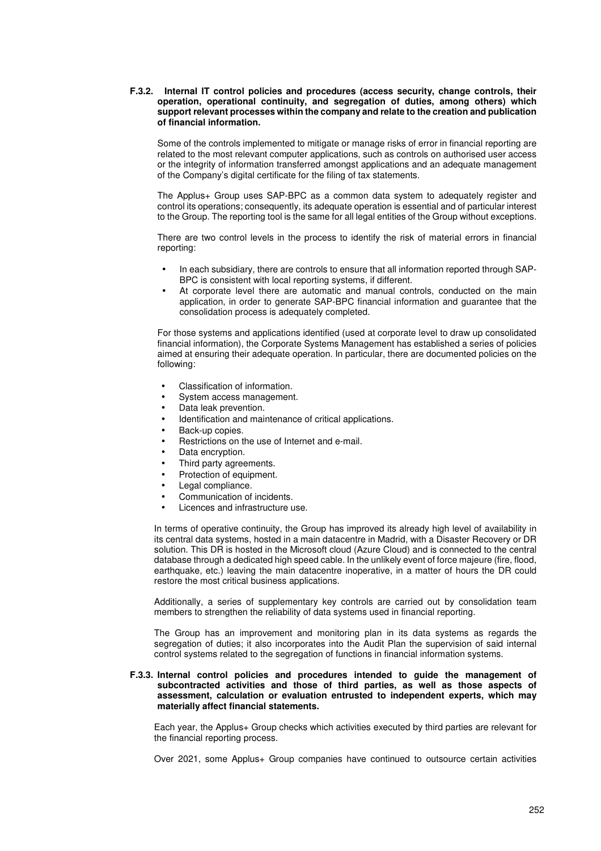### **F.3.2. Internal IT control policies and procedures (access security, change controls, their operation, operational continuity, and segregation of duties, among others) which support relevant processes within the company and relate to the creation and publication of financial information.**

Some of the controls implemented to mitigate or manage risks of error in financial reporting are related to the most relevant computer applications, such as controls on authorised user access or the integrity of information transferred amongst applications and an adequate management of the Company's digital certificate for the filing of tax statements.

The Applus+ Group uses SAP-BPC as a common data system to adequately register and control its operations; consequently, its adequate operation is essential and of particular interest to the Group. The reporting tool is the same for all legal entities of the Group without exceptions.

There are two control levels in the process to identify the risk of material errors in financial reporting:

- In each subsidiary, there are controls to ensure that all information reported through SAP-BPC is consistent with local reporting systems, if different.
- At corporate level there are automatic and manual controls, conducted on the main application, in order to generate SAP-BPC financial information and guarantee that the consolidation process is adequately completed.

For those systems and applications identified (used at corporate level to draw up consolidated financial information), the Corporate Systems Management has established a series of policies aimed at ensuring their adequate operation. In particular, there are documented policies on the following:

- Classification of information.
- System access management.
- Data leak prevention.
- Identification and maintenance of critical applications.
- Back-up copies.
- Restrictions on the use of Internet and e-mail.
- Data encryption.
- Third party agreements.
- Protection of equipment.
- Legal compliance.
- Communication of incidents.
- Licences and infrastructure use.

In terms of operative continuity, the Group has improved its already high level of availability in its central data systems, hosted in a main datacentre in Madrid, with a Disaster Recovery or DR solution. This DR is hosted in the Microsoft cloud (Azure Cloud) and is connected to the central database through a dedicated high speed cable. In the unlikely event of force majeure (fire, flood, earthquake, etc.) leaving the main datacentre inoperative, in a matter of hours the DR could restore the most critical business applications.

Additionally, a series of supplementary key controls are carried out by consolidation team members to strengthen the reliability of data systems used in financial reporting.

The Group has an improvement and monitoring plan in its data systems as regards the segregation of duties; it also incorporates into the Audit Plan the supervision of said internal control systems related to the segregation of functions in financial information systems.

### **F.3.3. Internal control policies and procedures intended to guide the management of subcontracted activities and those of third parties, as well as those aspects of assessment, calculation or evaluation entrusted to independent experts, which may materially affect financial statements.**

Each year, the Applus+ Group checks which activities executed by third parties are relevant for the financial reporting process.

Over 2021, some Applus+ Group companies have continued to outsource certain activities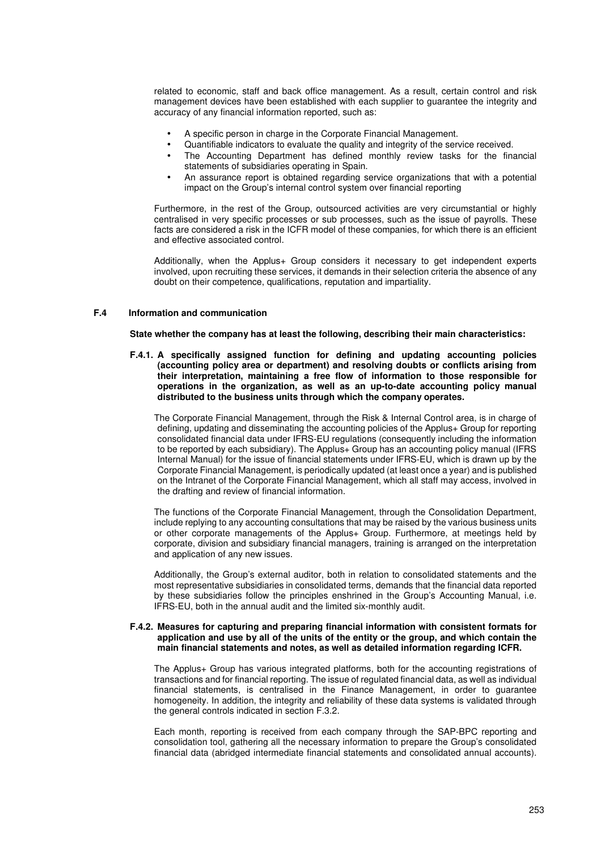related to economic, staff and back office management. As a result, certain control and risk management devices have been established with each supplier to guarantee the integrity and accuracy of any financial information reported, such as:

- A specific person in charge in the Corporate Financial Management.
- Quantifiable indicators to evaluate the quality and integrity of the service received.
- The Accounting Department has defined monthly review tasks for the financial statements of subsidiaries operating in Spain.
- An assurance report is obtained regarding service organizations that with a potential impact on the Group's internal control system over financial reporting

Furthermore, in the rest of the Group, outsourced activities are very circumstantial or highly centralised in very specific processes or sub processes, such as the issue of payrolls. These facts are considered a risk in the ICFR model of these companies, for which there is an efficient and effective associated control.

Additionally, when the Applus+ Group considers it necessary to get independent experts involved, upon recruiting these services, it demands in their selection criteria the absence of any doubt on their competence, qualifications, reputation and impartiality.

### **F.4 Information and communication**

**State whether the company has at least the following, describing their main characteristics:** 

**F.4.1. A specifically assigned function for defining and updating accounting policies (accounting policy area or department) and resolving doubts or conflicts arising from their interpretation, maintaining a free flow of information to those responsible for operations in the organization, as well as an up-to-date accounting policy manual distributed to the business units through which the company operates.** 

The Corporate Financial Management, through the Risk & Internal Control area, is in charge of defining, updating and disseminating the accounting policies of the Applus+ Group for reporting consolidated financial data under IFRS-EU regulations (consequently including the information to be reported by each subsidiary). The Applus+ Group has an accounting policy manual (IFRS Internal Manual) for the issue of financial statements under IFRS-EU, which is drawn up by the Corporate Financial Management, is periodically updated (at least once a year) and is published on the Intranet of the Corporate Financial Management, which all staff may access, involved in the drafting and review of financial information.

The functions of the Corporate Financial Management, through the Consolidation Department, include replying to any accounting consultations that may be raised by the various business units or other corporate managements of the Applus+ Group. Furthermore, at meetings held by corporate, division and subsidiary financial managers, training is arranged on the interpretation and application of any new issues.

Additionally, the Group's external auditor, both in relation to consolidated statements and the most representative subsidiaries in consolidated terms, demands that the financial data reported by these subsidiaries follow the principles enshrined in the Group's Accounting Manual, i.e. IFRS-EU, both in the annual audit and the limited six-monthly audit.

### **F.4.2. Measures for capturing and preparing financial information with consistent formats for application and use by all of the units of the entity or the group, and which contain the main financial statements and notes, as well as detailed information regarding ICFR.**

The Applus+ Group has various integrated platforms, both for the accounting registrations of transactions and for financial reporting. The issue of regulated financial data, as well as individual financial statements, is centralised in the Finance Management, in order to guarantee homogeneity. In addition, the integrity and reliability of these data systems is validated through the general controls indicated in section F.3.2.

Each month, reporting is received from each company through the SAP-BPC reporting and consolidation tool, gathering all the necessary information to prepare the Group's consolidated financial data (abridged intermediate financial statements and consolidated annual accounts).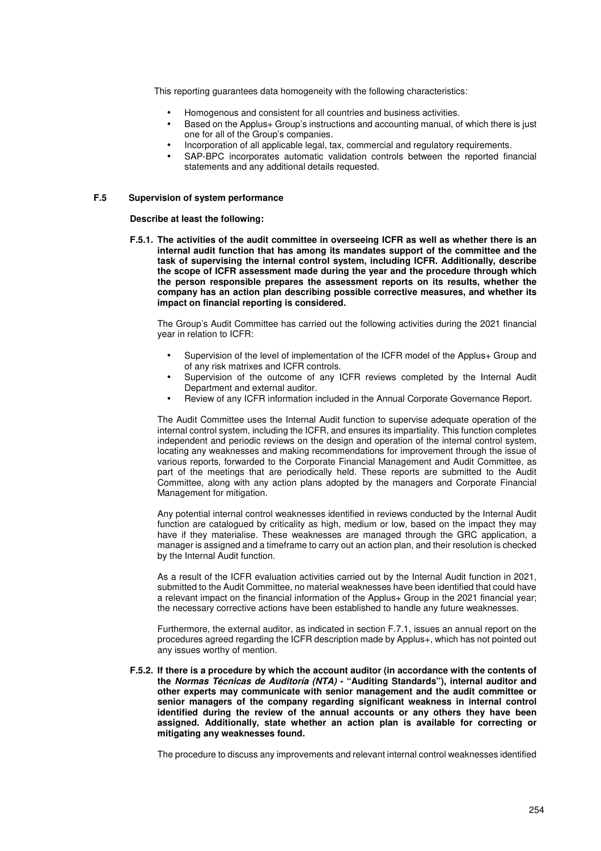This reporting guarantees data homogeneity with the following characteristics:

- Homogenous and consistent for all countries and business activities.
- Based on the Applus+ Group's instructions and accounting manual, of which there is just one for all of the Group's companies.
- Incorporation of all applicable legal, tax, commercial and regulatory requirements.
- SAP-BPC incorporates automatic validation controls between the reported financial statements and any additional details requested.

### **F.5 Supervision of system performance**

**Describe at least the following:** 

**F.5.1. The activities of the audit committee in overseeing ICFR as well as whether there is an internal audit function that has among its mandates support of the committee and the task of supervising the internal control system, including ICFR. Additionally, describe the scope of ICFR assessment made during the year and the procedure through which the person responsible prepares the assessment reports on its results, whether the company has an action plan describing possible corrective measures, and whether its impact on financial reporting is considered.** 

The Group's Audit Committee has carried out the following activities during the 2021 financial year in relation to ICFR:

- Supervision of the level of implementation of the ICFR model of the Applus+ Group and of any risk matrixes and ICFR controls.
- Supervision of the outcome of any ICFR reviews completed by the Internal Audit Department and external auditor.
- Review of any ICFR information included in the Annual Corporate Governance Report.

The Audit Committee uses the Internal Audit function to supervise adequate operation of the internal control system, including the ICFR, and ensures its impartiality. This function completes independent and periodic reviews on the design and operation of the internal control system, locating any weaknesses and making recommendations for improvement through the issue of various reports, forwarded to the Corporate Financial Management and Audit Committee, as part of the meetings that are periodically held. These reports are submitted to the Audit Committee, along with any action plans adopted by the managers and Corporate Financial Management for mitigation.

Any potential internal control weaknesses identified in reviews conducted by the Internal Audit function are catalogued by criticality as high, medium or low, based on the impact they may have if they materialise. These weaknesses are managed through the GRC application, a manager is assigned and a timeframe to carry out an action plan, and their resolution is checked by the Internal Audit function.

As a result of the ICFR evaluation activities carried out by the Internal Audit function in 2021, submitted to the Audit Committee, no material weaknesses have been identified that could have a relevant impact on the financial information of the Applus+ Group in the 2021 financial year; the necessary corrective actions have been established to handle any future weaknesses.

Furthermore, the external auditor, as indicated in section F.7.1, issues an annual report on the procedures agreed regarding the ICFR description made by Applus+, which has not pointed out any issues worthy of mention.

**F.5.2. If there is a procedure by which the account auditor (in accordance with the contents of the Normas Técnicas de Auditoría (NTA) - "Auditing Standards"), internal auditor and other experts may communicate with senior management and the audit committee or senior managers of the company regarding significant weakness in internal control identified during the review of the annual accounts or any others they have been assigned. Additionally, state whether an action plan is available for correcting or mitigating any weaknesses found.** 

The procedure to discuss any improvements and relevant internal control weaknesses identified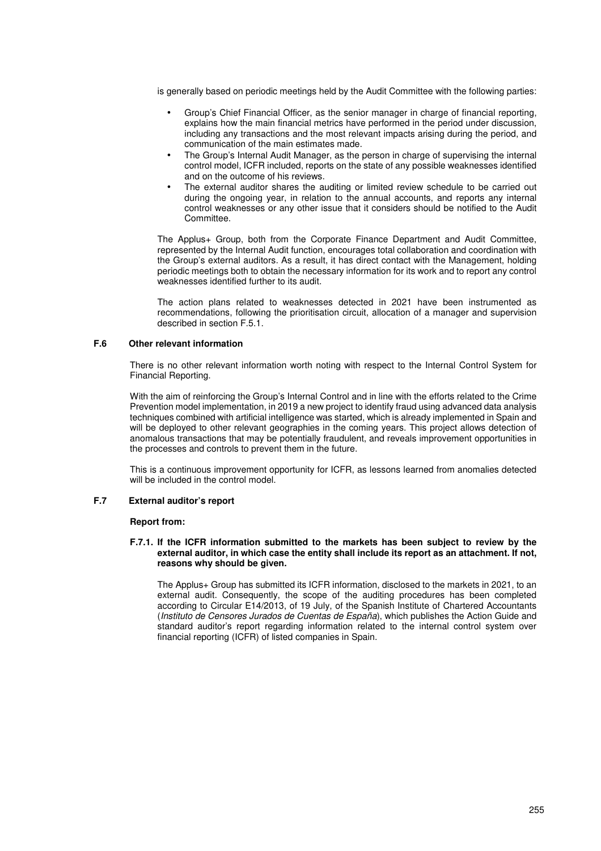is generally based on periodic meetings held by the Audit Committee with the following parties:

- Group's Chief Financial Officer, as the senior manager in charge of financial reporting, explains how the main financial metrics have performed in the period under discussion, including any transactions and the most relevant impacts arising during the period, and communication of the main estimates made.
- The Group's Internal Audit Manager, as the person in charge of supervising the internal control model, ICFR included, reports on the state of any possible weaknesses identified and on the outcome of his reviews.
- The external auditor shares the auditing or limited review schedule to be carried out during the ongoing year, in relation to the annual accounts, and reports any internal control weaknesses or any other issue that it considers should be notified to the Audit Committee.

The Applus+ Group, both from the Corporate Finance Department and Audit Committee, represented by the Internal Audit function, encourages total collaboration and coordination with the Group's external auditors. As a result, it has direct contact with the Management, holding periodic meetings both to obtain the necessary information for its work and to report any control weaknesses identified further to its audit.

The action plans related to weaknesses detected in 2021 have been instrumented as recommendations, following the prioritisation circuit, allocation of a manager and supervision described in section F.5.1.

### **F.6 Other relevant information**

There is no other relevant information worth noting with respect to the Internal Control System for Financial Reporting.

With the aim of reinforcing the Group's Internal Control and in line with the efforts related to the Crime Prevention model implementation, in 2019 a new project to identify fraud using advanced data analysis techniques combined with artificial intelligence was started, which is already implemented in Spain and will be deployed to other relevant geographies in the coming years. This project allows detection of anomalous transactions that may be potentially fraudulent, and reveals improvement opportunities in the processes and controls to prevent them in the future.

This is a continuous improvement opportunity for ICFR, as lessons learned from anomalies detected will be included in the control model.

### **F.7 External auditor's report**

### **Report from:**

### **F.7.1. If the ICFR information submitted to the markets has been subject to review by the external auditor, in which case the entity shall include its report as an attachment. If not, reasons why should be given.**

The Applus+ Group has submitted its ICFR information, disclosed to the markets in 2021, to an external audit. Consequently, the scope of the auditing procedures has been completed according to Circular E14/2013, of 19 July, of the Spanish Institute of Chartered Accountants (Instituto de Censores Jurados de Cuentas de España), which publishes the Action Guide and standard auditor's report regarding information related to the internal control system over financial reporting (ICFR) of listed companies in Spain.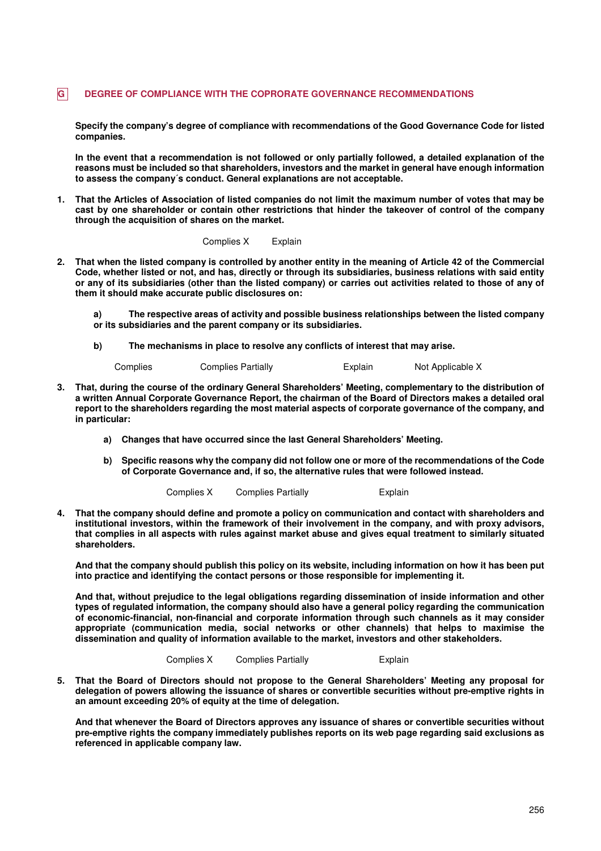# **G DEGREE OF COMPLIANCE WITH THE COPRORATE GOVERNANCE RECOMMENDATIONS**

**Specify the company's degree of compliance with recommendations of the Good Governance Code for listed companies.** 

**In the event that a recommendation is not followed or only partially followed, a detailed explanation of the reasons must be included so that shareholders, investors and the market in general have enough information to assess the company´s conduct. General explanations are not acceptable.** 

**1. That the Articles of Association of listed companies do not limit the maximum number of votes that may be cast by one shareholder or contain other restrictions that hinder the takeover of control of the company through the acquisition of shares on the market.** 

#### Complies X Explain

**2. That when the listed company is controlled by another entity in the meaning of Article 42 of the Commercial Code, whether listed or not, and has, directly or through its subsidiaries, business relations with said entity or any of its subsidiaries (other than the listed company) or carries out activities related to those of any of them it should make accurate public disclosures on:** 

**a) The respective areas of activity and possible business relationships between the listed company or its subsidiaries and the parent company or its subsidiaries.** 

**b) The mechanisms in place to resolve any conflicts of interest that may arise.** 

| Complies | <b>Complies Partially</b> | Explain | Not Applicable X |
|----------|---------------------------|---------|------------------|
|          |                           |         |                  |

- **3. That, during the course of the ordinary General Shareholders' Meeting, complementary to the distribution of a written Annual Corporate Governance Report, the chairman of the Board of Directors makes a detailed oral report to the shareholders regarding the most material aspects of corporate governance of the company, and in particular:** 
	- **a) Changes that have occurred since the last General Shareholders' Meeting.**
	- **b) Specific reasons why the company did not follow one or more of the recommendations of the Code of Corporate Governance and, if so, the alternative rules that were followed instead.**

|  | Complies X | <b>Complies Partially</b> | Explain |
|--|------------|---------------------------|---------|
|--|------------|---------------------------|---------|

**4. That the company should define and promote a policy on communication and contact with shareholders and institutional investors, within the framework of their involvement in the company, and with proxy advisors, that complies in all aspects with rules against market abuse and gives equal treatment to similarly situated shareholders.** 

**And that the company should publish this policy on its website, including information on how it has been put into practice and identifying the contact persons or those responsible for implementing it.** 

**And that, without prejudice to the legal obligations regarding dissemination of inside information and other types of regulated information, the company should also have a general policy regarding the communication of economic-financial, non-financial and corporate information through such channels as it may consider appropriate (communication media, social networks or other channels) that helps to maximise the dissemination and quality of information available to the market, investors and other stakeholders.** 

Complies X Complies Partially Explain

**5. That the Board of Directors should not propose to the General Shareholders' Meeting any proposal for delegation of powers allowing the issuance of shares or convertible securities without pre-emptive rights in an amount exceeding 20% of equity at the time of delegation.** 

**And that whenever the Board of Directors approves any issuance of shares or convertible securities without pre-emptive rights the company immediately publishes reports on its web page regarding said exclusions as referenced in applicable company law.**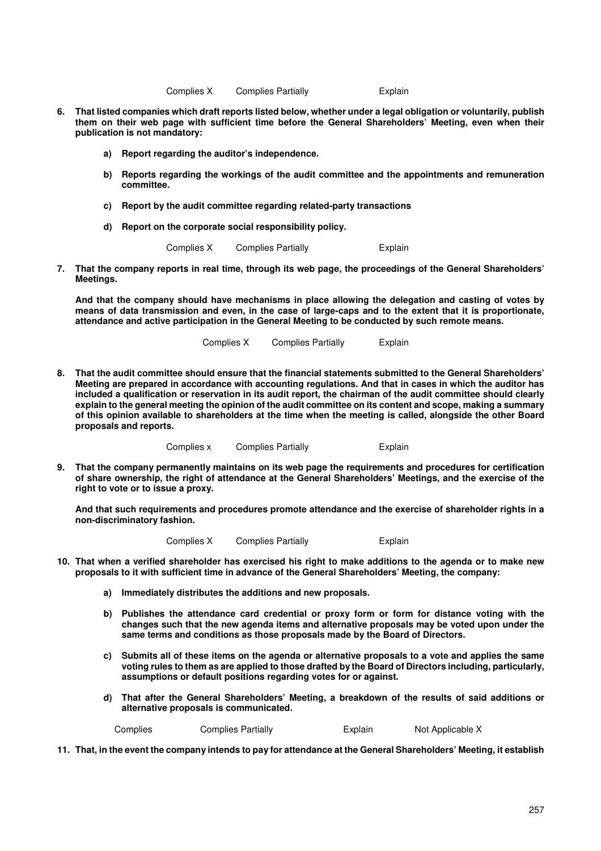Complies X Complies Partially **Explain** 

- **6. That listed companies which draft reports listed below, whether under a legal obligation or voluntarily, publish them on their web page with sufficient time before the General Shareholders' Meeting, even when their publication is not mandatory:**
	- **a) Report regarding the auditor's independence.**
	- **b) Reports regarding the workings of the audit committee and the appointments and remuneration committee.**
	- **c) Report by the audit committee regarding related-party transactions**
	- **d) Report on the corporate social responsibility policy.**

Complies X Complies Partially **Explain** 

**7. That the company reports in real time, through its web page, the proceedings of the General Shareholders' Meetings.** 

**And that the company should have mechanisms in place allowing the delegation and casting of votes by means of data transmission and even, in the case of large-caps and to the extent that it is proportionate, attendance and active participation in the General Meeting to be conducted by such remote means.** 

Complies X Complies Partially Explain

**8. That the audit committee should ensure that the financial statements submitted to the General Shareholders' Meeting are prepared in accordance with accounting regulations. And that in cases in which the auditor has included a qualification or reservation in its audit report, the chairman of the audit committee should clearly explain to the general meeting the opinion of the audit committee on its content and scope, making a summary of this opinion available to shareholders at the time when the meeting is called, alongside the other Board proposals and reports.**

Complies x Complies Partially Explain

**9. That the company permanently maintains on its web page the requirements and procedures for certification of share ownership, the right of attendance at the General Shareholders' Meetings, and the exercise of the right to vote or to issue a proxy.** 

**And that such requirements and procedures promote attendance and the exercise of shareholder rights in a non-discriminatory fashion.** 

Complies X Complies Partially **Explain** 

- **10. That when a verified shareholder has exercised his right to make additions to the agenda or to make new proposals to it with sufficient time in advance of the General Shareholders' Meeting, the company:**
	- **a) Immediately distributes the additions and new proposals.**
	- **b) Publishes the attendance card credential or proxy form or form for distance voting with the changes such that the new agenda items and alternative proposals may be voted upon under the same terms and conditions as those proposals made by the Board of Directors.**
	- **c) Submits all of these items on the agenda or alternative proposals to a vote and applies the same voting rules to them as are applied to those drafted by the Board of Directors including, particularly, assumptions or default positions regarding votes for or against.**
	- **d) That after the General Shareholders' Meeting, a breakdown of the results of said additions or alternative proposals is communicated.**

Complies Complies Partially **Explain** Not Applicable X

**11. That, in the event the company intends to pay for attendance at the General Shareholders' Meeting, it establish**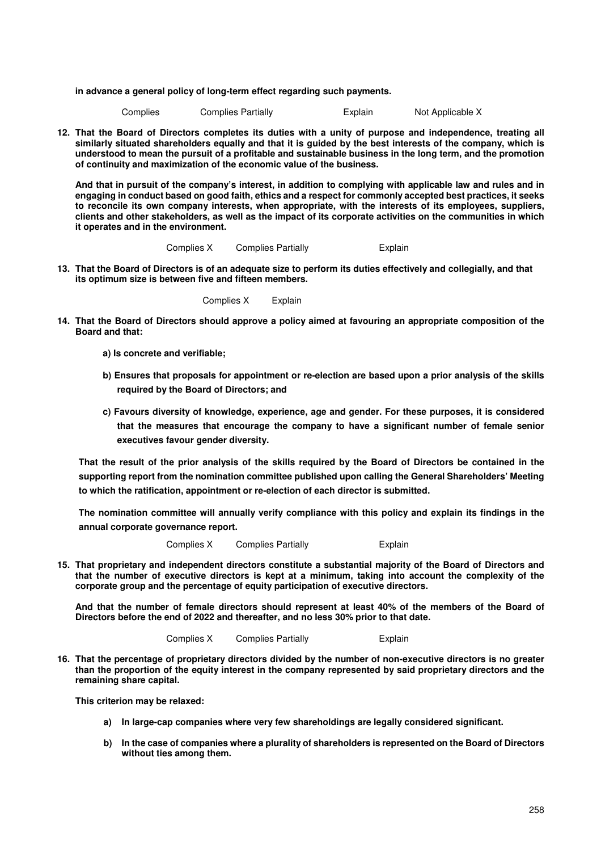**in advance a general policy of long-term effect regarding such payments.**

| Complies |  | Complies Partially | Explain | Not Applicable X |
|----------|--|--------------------|---------|------------------|
|----------|--|--------------------|---------|------------------|

**12. That the Board of Directors completes its duties with a unity of purpose and independence, treating all similarly situated shareholders equally and that it is guided by the best interests of the company, which is understood to mean the pursuit of a profitable and sustainable business in the long term, and the promotion of continuity and maximization of the economic value of the business.** 

**And that in pursuit of the company's interest, in addition to complying with applicable law and rules and in engaging in conduct based on good faith, ethics and a respect for commonly accepted best practices, it seeks to reconcile its own company interests, when appropriate, with the interests of its employees, suppliers, clients and other stakeholders, as well as the impact of its corporate activities on the communities in which it operates and in the environment.** 

Complies X Complies Partially **Explain** 

**13. That the Board of Directors is of an adequate size to perform its duties effectively and collegially, and that its optimum size is between five and fifteen members.** 

Complies X Explain

- **14. That the Board of Directors should approve a policy aimed at favouring an appropriate composition of the Board and that:** 
	- **a) Is concrete and verifiable;**
	- **b) Ensures that proposals for appointment or re-election are based upon a prior analysis of the skills required by the Board of Directors; and**
	- **c) Favours diversity of knowledge, experience, age and gender. For these purposes, it is considered that the measures that encourage the company to have a significant number of female senior executives favour gender diversity.**

**That the result of the prior analysis of the skills required by the Board of Directors be contained in the supporting report from the nomination committee published upon calling the General Shareholders' Meeting to which the ratification, appointment or re-election of each director is submitted.** 

**The nomination committee will annually verify compliance with this policy and explain its findings in the annual corporate governance report.** 

Complies X Complies Partially **Explain** 

**15. That proprietary and independent directors constitute a substantial majority of the Board of Directors and that the number of executive directors is kept at a minimum, taking into account the complexity of the corporate group and the percentage of equity participation of executive directors.**

**And that the number of female directors should represent at least 40% of the members of the Board of Directors before the end of 2022 and thereafter, and no less 30% prior to that date.** 

Complies X Complies Partially **Explain** 

**16. That the percentage of proprietary directors divided by the number of non-executive directors is no greater than the proportion of the equity interest in the company represented by said proprietary directors and the remaining share capital.** 

**This criterion may be relaxed:** 

- **a) In large-cap companies where very few shareholdings are legally considered significant.**
- **b) In the case of companies where a plurality of shareholders is represented on the Board of Directors without ties among them.**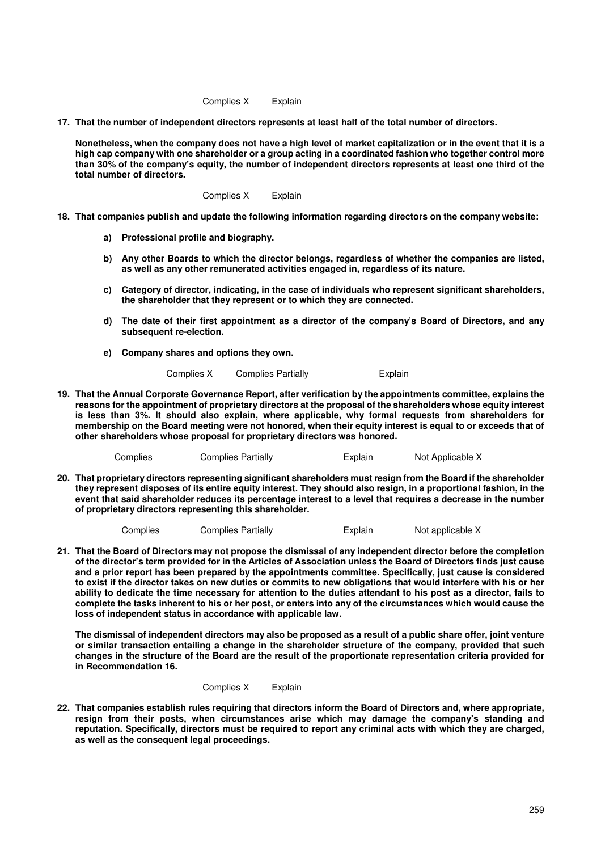Complies X Explain

**17. That the number of independent directors represents at least half of the total number of directors.** 

**Nonetheless, when the company does not have a high level of market capitalization or in the event that it is a high cap company with one shareholder or a group acting in a coordinated fashion who together control more than 30% of the company's equity, the number of independent directors represents at least one third of the total number of directors.** 

Complies X Explain

- **18. That companies publish and update the following information regarding directors on the company website:**
	- **a) Professional profile and biography.**
	- **b) Any other Boards to which the director belongs, regardless of whether the companies are listed, as well as any other remunerated activities engaged in, regardless of its nature.**
	- **c) Category of director, indicating, in the case of individuals who represent significant shareholders, the shareholder that they represent or to which they are connected.**
	- **d) The date of their first appointment as a director of the company's Board of Directors, and any subsequent re-election.**
	- **e) Company shares and options they own.**

Complies X Complies Partially Explain

**19. That the Annual Corporate Governance Report, after verification by the appointments committee, explains the reasons for the appointment of proprietary directors at the proposal of the shareholders whose equity interest is less than 3%. It should also explain, where applicable, why formal requests from shareholders for membership on the Board meeting were not honored, when their equity interest is equal to or exceeds that of other shareholders whose proposal for proprietary directors was honored.**

Complies Complies Partially **Explain** Not Applicable X

**20. That proprietary directors representing significant shareholders must resign from the Board if the shareholder they represent disposes of its entire equity interest. They should also resign, in a proportional fashion, in the event that said shareholder reduces its percentage interest to a level that requires a decrease in the number of proprietary directors representing this shareholder.**

| Complies |  | <b>Complies Partially</b> | Explain | Not applicable X |
|----------|--|---------------------------|---------|------------------|
|----------|--|---------------------------|---------|------------------|

**21. That the Board of Directors may not propose the dismissal of any independent director before the completion of the director's term provided for in the Articles of Association unless the Board of Directors finds just cause and a prior report has been prepared by the appointments committee. Specifically, just cause is considered to exist if the director takes on new duties or commits to new obligations that would interfere with his or her ability to dedicate the time necessary for attention to the duties attendant to his post as a director, fails to complete the tasks inherent to his or her post, or enters into any of the circumstances which would cause the loss of independent status in accordance with applicable law.** 

**The dismissal of independent directors may also be proposed as a result of a public share offer, joint venture or similar transaction entailing a change in the shareholder structure of the company, provided that such changes in the structure of the Board are the result of the proportionate representation criteria provided for in Recommendation 16.** 

Complies X Explain

**22. That companies establish rules requiring that directors inform the Board of Directors and, where appropriate, resign from their posts, when circumstances arise which may damage the company's standing and reputation. Specifically, directors must be required to report any criminal acts with which they are charged, as well as the consequent legal proceedings.**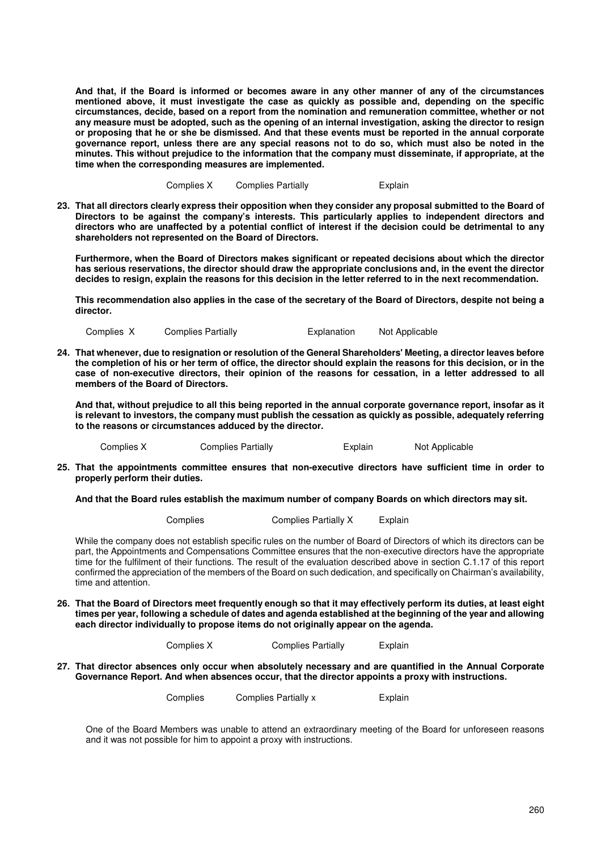**And that, if the Board is informed or becomes aware in any other manner of any of the circumstances mentioned above, it must investigate the case as quickly as possible and, depending on the specific circumstances, decide, based on a report from the nomination and remuneration committee, whether or not any measure must be adopted, such as the opening of an internal investigation, asking the director to resign or proposing that he or she be dismissed. And that these events must be reported in the annual corporate governance report, unless there are any special reasons not to do so, which must also be noted in the minutes. This without prejudice to the information that the company must disseminate, if appropriate, at the time when the corresponding measures are implemented.** 

Complies X Complies Partially **Explain** 

**23. That all directors clearly express their opposition when they consider any proposal submitted to the Board of Directors to be against the company's interests. This particularly applies to independent directors and directors who are unaffected by a potential conflict of interest if the decision could be detrimental to any shareholders not represented on the Board of Directors.** 

**Furthermore, when the Board of Directors makes significant or repeated decisions about which the director has serious reservations, the director should draw the appropriate conclusions and, in the event the director decides to resign, explain the reasons for this decision in the letter referred to in the next recommendation.** 

**This recommendation also applies in the case of the secretary of the Board of Directors, despite not being a director.** 

Complies X Complies Partially Explanation Not Applicable

**24. That whenever, due to resignation or resolution of the General Shareholders' Meeting, a director leaves before the completion of his or her term of office, the director should explain the reasons for this decision, or in the case of non-executive directors, their opinion of the reasons for cessation, in a letter addressed to all members of the Board of Directors.** 

**And that, without prejudice to all this being reported in the annual corporate governance report, insofar as it is relevant to investors, the company must publish the cessation as quickly as possible, adequately referring to the reasons or circumstances adduced by the director.** 

Complies X Complies Partially **Explain** Not Applicable

**25. That the appointments committee ensures that non-executive directors have sufficient time in order to properly perform their duties.** 

**And that the Board rules establish the maximum number of company Boards on which directors may sit.** 

Complies Complies Partially X Explain

While the company does not establish specific rules on the number of Board of Directors of which its directors can be part, the Appointments and Compensations Committee ensures that the non-executive directors have the appropriate time for the fulfilment of their functions. The result of the evaluation described above in section C.1.17 of this report confirmed the appreciation of the members of the Board on such dedication, and specifically on Chairman's availability, time and attention.

**26. That the Board of Directors meet frequently enough so that it may effectively perform its duties, at least eight times per year, following a schedule of dates and agenda established at the beginning of the year and allowing each director individually to propose items do not originally appear on the agenda.**

Complies X Complies Partially Explain

**27. That director absences only occur when absolutely necessary and are quantified in the Annual Corporate Governance Report. And when absences occur, that the director appoints a proxy with instructions.**

Complies Complies Partially x Explain

One of the Board Members was unable to attend an extraordinary meeting of the Board for unforeseen reasons and it was not possible for him to appoint a proxy with instructions.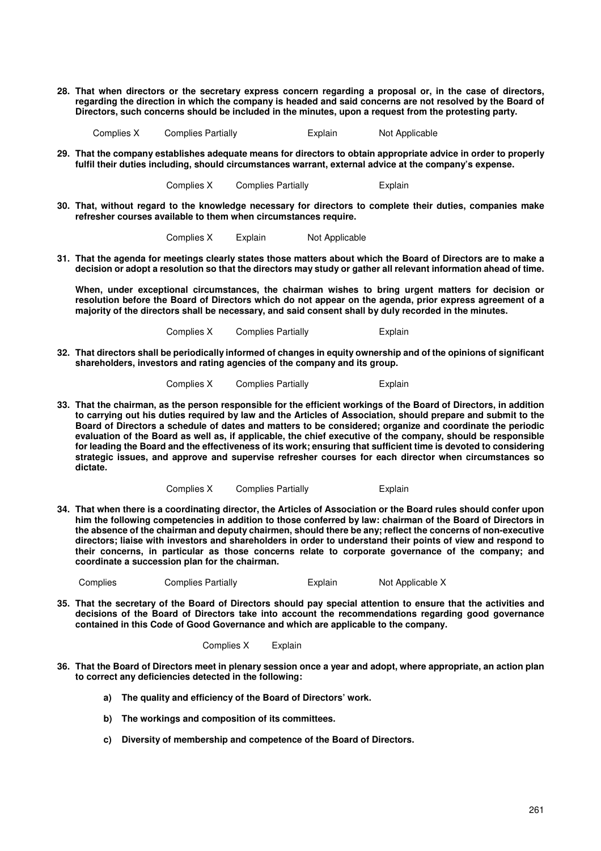**28. That when directors or the secretary express concern regarding a proposal or, in the case of directors, regarding the direction in which the company is headed and said concerns are not resolved by the Board of Directors, such concerns should be included in the minutes, upon a request from the protesting party.**

Complies X Complies Partially Explain Not Applicable

**29. That the company establishes adequate means for directors to obtain appropriate advice in order to properly fulfil their duties including, should circumstances warrant, external advice at the company's expense.**

Complies X Complies Partially **Explain** 

**30. That, without regard to the knowledge necessary for directors to complete their duties, companies make refresher courses available to them when circumstances require.**

Complies X Explain Not Applicable

**31. That the agenda for meetings clearly states those matters about which the Board of Directors are to make a decision or adopt a resolution so that the directors may study or gather all relevant information ahead of time.** 

**When, under exceptional circumstances, the chairman wishes to bring urgent matters for decision or resolution before the Board of Directors which do not appear on the agenda, prior express agreement of a majority of the directors shall be necessary, and said consent shall by duly recorded in the minutes.** 

Complies X Complies Partially **Explain** 

**32. That directors shall be periodically informed of changes in equity ownership and of the opinions of significant shareholders, investors and rating agencies of the company and its group.**

Complies X Complies Partially **Explain** 

**33. That the chairman, as the person responsible for the efficient workings of the Board of Directors, in addition to carrying out his duties required by law and the Articles of Association, should prepare and submit to the Board of Directors a schedule of dates and matters to be considered; organize and coordinate the periodic evaluation of the Board as well as, if applicable, the chief executive of the company, should be responsible for leading the Board and the effectiveness of its work; ensuring that sufficient time is devoted to considering strategic issues, and approve and supervise refresher courses for each director when circumstances so dictate.**

Complies X Complies Partially **Explain** 

**34. That when there is a coordinating director, the Articles of Association or the Board rules should confer upon him the following competencies in addition to those conferred by law: chairman of the Board of Directors in the absence of the chairman and deputy chairmen, should there be any; reflect the concerns of non-executive directors; liaise with investors and shareholders in order to understand their points of view and respond to their concerns, in particular as those concerns relate to corporate governance of the company; and coordinate a succession plan for the chairman.** 

Complies Complies Partially Explain Not Applicable X

**35. That the secretary of the Board of Directors should pay special attention to ensure that the activities and decisions of the Board of Directors take into account the recommendations regarding good governance contained in this Code of Good Governance and which are applicable to the company.**

Complies X Explain

- **36. That the Board of Directors meet in plenary session once a year and adopt, where appropriate, an action plan to correct any deficiencies detected in the following:** 
	- **a) The quality and efficiency of the Board of Directors' work.**
	- **b) The workings and composition of its committees.**
	- **c) Diversity of membership and competence of the Board of Directors.**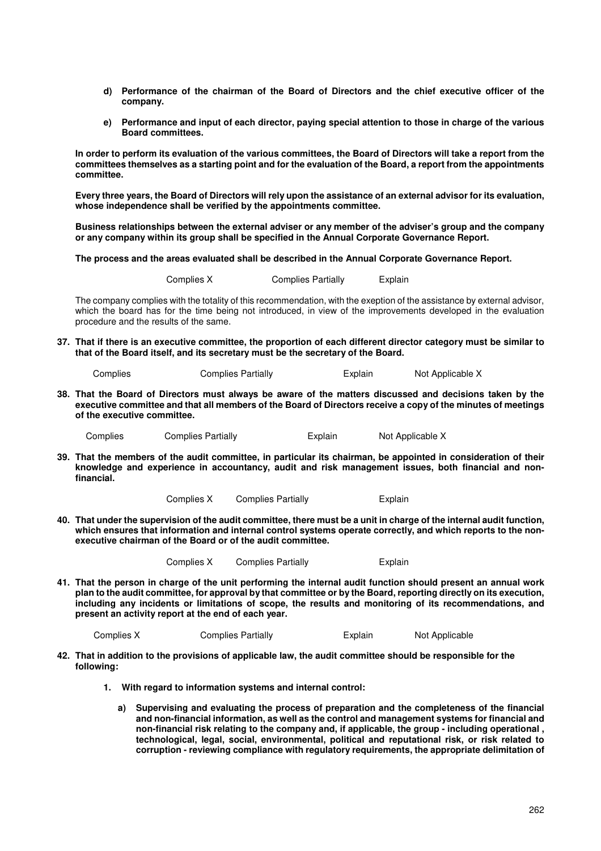- **d) Performance of the chairman of the Board of Directors and the chief executive officer of the company.**
- **e) Performance and input of each director, paying special attention to those in charge of the various Board committees.**

**In order to perform its evaluation of the various committees, the Board of Directors will take a report from the committees themselves as a starting point and for the evaluation of the Board, a report from the appointments committee.** 

**Every three years, the Board of Directors will rely upon the assistance of an external advisor for its evaluation, whose independence shall be verified by the appointments committee.** 

**Business relationships between the external adviser or any member of the adviser's group and the company or any company within its group shall be specified in the Annual Corporate Governance Report.** 

**The process and the areas evaluated shall be described in the Annual Corporate Governance Report.** 

Complies X Complies Partially Explain

The company complies with the totality of this recommendation, with the exeption of the assistance by external advisor, which the board has for the time being not introduced, in view of the improvements developed in the evaluation procedure and the results of the same.

**37. That if there is an executive committee, the proportion of each different director category must be similar to that of the Board itself, and its secretary must be the secretary of the Board.**

| Complies | Complies Partially | Explain | Not Applicable X |
|----------|--------------------|---------|------------------|
|          |                    |         |                  |

**38. That the Board of Directors must always be aware of the matters discussed and decisions taken by the executive committee and that all members of the Board of Directors receive a copy of the minutes of meetings of the executive committee.** 

Complies Complies Partially **Explain** Not Applicable X

**39. That the members of the audit committee, in particular its chairman, be appointed in consideration of their knowledge and experience in accountancy, audit and risk management issues, both financial and nonfinancial.** 

Complies X Complies Partially **Explain** 

**40. That under the supervision of the audit committee, there must be a unit in charge of the internal audit function,**  which ensures that information and internal control systems operate correctly, and which reports to the non**executive chairman of the Board or of the audit committee.**

| Complies X | <b>Complies Partially</b> |  |
|------------|---------------------------|--|
|------------|---------------------------|--|

**41. That the person in charge of the unit performing the internal audit function should present an annual work plan to the audit committee, for approval by that committee or by the Board, reporting directly on its execution, including any incidents or limitations of scope, the results and monitoring of its recommendations, and present an activity report at the end of each year.** 

| Complies X | <b>Complies Partially</b> | Explain | Not Applicable |
|------------|---------------------------|---------|----------------|
|            |                           |         |                |

- **42. That in addition to the provisions of applicable law, the audit committee should be responsible for the following:**
	- **1. With regard to information systems and internal control:** 
		- **a) Supervising and evaluating the process of preparation and the completeness of the financial and non-financial information, as well as the control and management systems for financial and non-financial risk relating to the company and, if applicable, the group - including operational , technological, legal, social, environmental, political and reputational risk, or risk related to corruption - reviewing compliance with regulatory requirements, the appropriate delimitation of**

**Explain**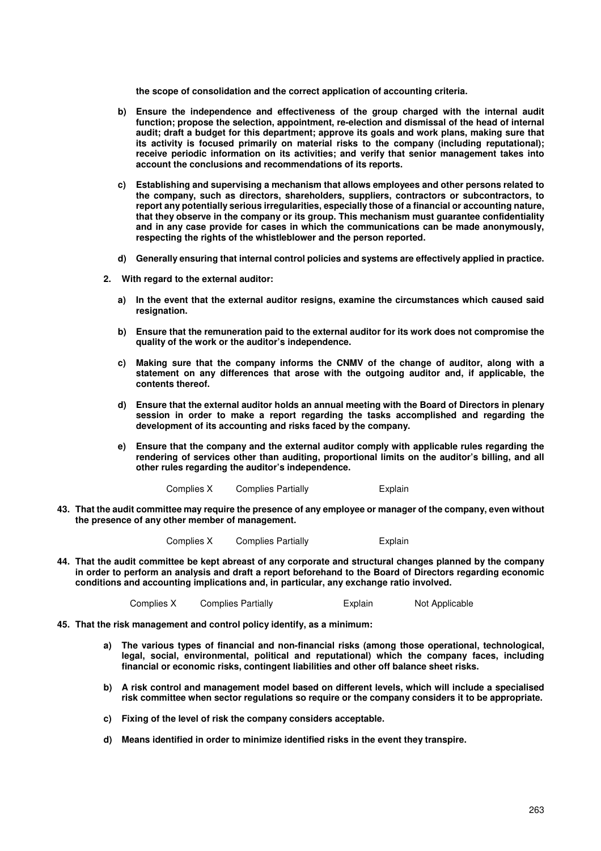**the scope of consolidation and the correct application of accounting criteria.** 

- **b) Ensure the independence and effectiveness of the group charged with the internal audit function; propose the selection, appointment, re-election and dismissal of the head of internal audit; draft a budget for this department; approve its goals and work plans, making sure that its activity is focused primarily on material risks to the company (including reputational); receive periodic information on its activities; and verify that senior management takes into account the conclusions and recommendations of its reports.**
- **c) Establishing and supervising a mechanism that allows employees and other persons related to the company, such as directors, shareholders, suppliers, contractors or subcontractors, to report any potentially serious irregularities, especially those of a financial or accounting nature, that they observe in the company or its group. This mechanism must guarantee confidentiality and in any case provide for cases in which the communications can be made anonymously, respecting the rights of the whistleblower and the person reported.**
- **d) Generally ensuring that internal control policies and systems are effectively applied in practice.**
- **2. With regard to the external auditor:** 
	- **a) In the event that the external auditor resigns, examine the circumstances which caused said resignation.**
	- **b) Ensure that the remuneration paid to the external auditor for its work does not compromise the quality of the work or the auditor's independence.**
	- **c) Making sure that the company informs the CNMV of the change of auditor, along with a statement on any differences that arose with the outgoing auditor and, if applicable, the contents thereof.**
	- **d) Ensure that the external auditor holds an annual meeting with the Board of Directors in plenary session in order to make a report regarding the tasks accomplished and regarding the development of its accounting and risks faced by the company.**
	- **e) Ensure that the company and the external auditor comply with applicable rules regarding the rendering of services other than auditing, proportional limits on the auditor's billing, and all other rules regarding the auditor's independence.**

Complies X Complies Partially **Explain** 

**43. That the audit committee may require the presence of any employee or manager of the company, even without the presence of any other member of management.** 

Complies X Complies Partially **Explain** 

**44. That the audit committee be kept abreast of any corporate and structural changes planned by the company in order to perform an analysis and draft a report beforehand to the Board of Directors regarding economic conditions and accounting implications and, in particular, any exchange ratio involved.** 

Complies X Complies Partially Explain Not Applicable

- **45. That the risk management and control policy identify, as a minimum:** 
	- **a) The various types of financial and non-financial risks (among those operational, technological, legal, social, environmental, political and reputational) which the company faces, including financial or economic risks, contingent liabilities and other off balance sheet risks.**
	- **b) A risk control and management model based on different levels, which will include a specialised risk committee when sector regulations so require or the company considers it to be appropriate.**
	- **c) Fixing of the level of risk the company considers acceptable.**
	- **d) Means identified in order to minimize identified risks in the event they transpire.**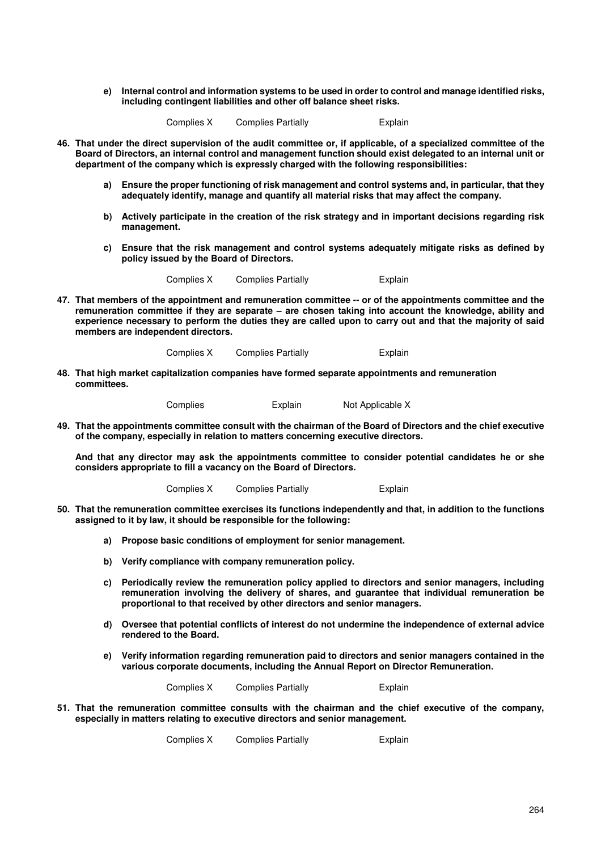**e) Internal control and information systems to be used in order to control and manage identified risks, including contingent liabilities and other off balance sheet risks.** 

Complies X Complies Partially Explain

- **46. That under the direct supervision of the audit committee or, if applicable, of a specialized committee of the Board of Directors, an internal control and management function should exist delegated to an internal unit or department of the company which is expressly charged with the following responsibilities:** 
	- **a) Ensure the proper functioning of risk management and control systems and, in particular, that they adequately identify, manage and quantify all material risks that may affect the company.**
	- **b) Actively participate in the creation of the risk strategy and in important decisions regarding risk management.**
	- **c) Ensure that the risk management and control systems adequately mitigate risks as defined by policy issued by the Board of Directors.**

Complies X Complies Partially **Explain** 

**47. That members of the appointment and remuneration committee -- or of the appointments committee and the remuneration committee if they are separate – are chosen taking into account the knowledge, ability and experience necessary to perform the duties they are called upon to carry out and that the majority of said members are independent directors.**

Complies X Complies Partially Explain

**48. That high market capitalization companies have formed separate appointments and remuneration committees.** 

Complies Explain Not Applicable X

**49. That the appointments committee consult with the chairman of the Board of Directors and the chief executive of the company, especially in relation to matters concerning executive directors.** 

**And that any director may ask the appointments committee to consider potential candidates he or she considers appropriate to fill a vacancy on the Board of Directors.** 

Complies X Complies Partially **Explain** 

- **50. That the remuneration committee exercises its functions independently and that, in addition to the functions assigned to it by law, it should be responsible for the following:** 
	- **a) Propose basic conditions of employment for senior management.**
	- **b) Verify compliance with company remuneration policy.**
	- **c) Periodically review the remuneration policy applied to directors and senior managers, including remuneration involving the delivery of shares, and guarantee that individual remuneration be proportional to that received by other directors and senior managers.**
	- **d) Oversee that potential conflicts of interest do not undermine the independence of external advice rendered to the Board.**
	- **e) Verify information regarding remuneration paid to directors and senior managers contained in the various corporate documents, including the Annual Report on Director Remuneration.**

| Complies X | <b>Complies Partially</b> | Explain |
|------------|---------------------------|---------|
|------------|---------------------------|---------|

**51. That the remuneration committee consults with the chairman and the chief executive of the company, especially in matters relating to executive directors and senior management.** 

Complies X Complies Partially Explain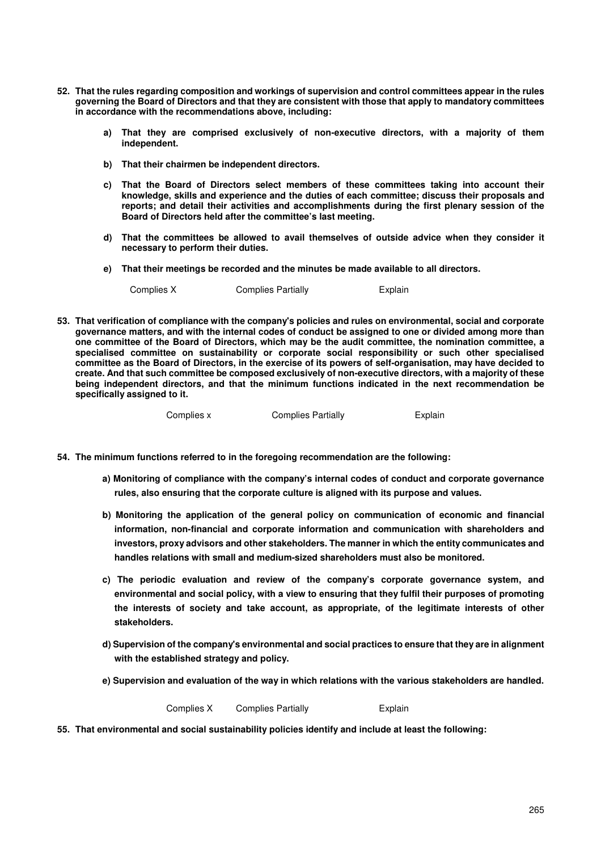- **52. That the rules regarding composition and workings of supervision and control committees appear in the rules governing the Board of Directors and that they are consistent with those that apply to mandatory committees in accordance with the recommendations above, including:** 
	- **a) That they are comprised exclusively of non-executive directors, with a majority of them independent.**
	- **b) That their chairmen be independent directors.**
	- **c) That the Board of Directors select members of these committees taking into account their knowledge, skills and experience and the duties of each committee; discuss their proposals and reports; and detail their activities and accomplishments during the first plenary session of the Board of Directors held after the committee's last meeting.**
	- **d) That the committees be allowed to avail themselves of outside advice when they consider it necessary to perform their duties.**
	- **e) That their meetings be recorded and the minutes be made available to all directors.**

Complies X Complies Partially Explain

**53. That verification of compliance with the company's policies and rules on environmental, social and corporate governance matters, and with the internal codes of conduct be assigned to one or divided among more than one committee of the Board of Directors, which may be the audit committee, the nomination committee, a specialised committee on sustainability or corporate social responsibility or such other specialised committee as the Board of Directors, in the exercise of its powers of self-organisation, may have decided to create. And that such committee be composed exclusively of non-executive directors, with a majority of these being independent directors, and that the minimum functions indicated in the next recommendation be specifically assigned to it.** 

Complies x Complies Partially Explain

- **54. The minimum functions referred to in the foregoing recommendation are the following:** 
	- **a) Monitoring of compliance with the company's internal codes of conduct and corporate governance rules, also ensuring that the corporate culture is aligned with its purpose and values.**
	- **b) Monitoring the application of the general policy on communication of economic and financial information, non-financial and corporate information and communication with shareholders and investors, proxy advisors and other stakeholders. The manner in which the entity communicates and handles relations with small and medium-sized shareholders must also be monitored.**
	- **c) The periodic evaluation and review of the company's corporate governance system, and environmental and social policy, with a view to ensuring that they fulfil their purposes of promoting the interests of society and take account, as appropriate, of the legitimate interests of other stakeholders.**
	- **d) Supervision of the company's environmental and social practices to ensure that they are in alignment with the established strategy and policy.**
	- **e) Supervision and evaluation of the way in which relations with the various stakeholders are handled.**

Complies X Complies Partially Explain

**55. That environmental and social sustainability policies identify and include at least the following:**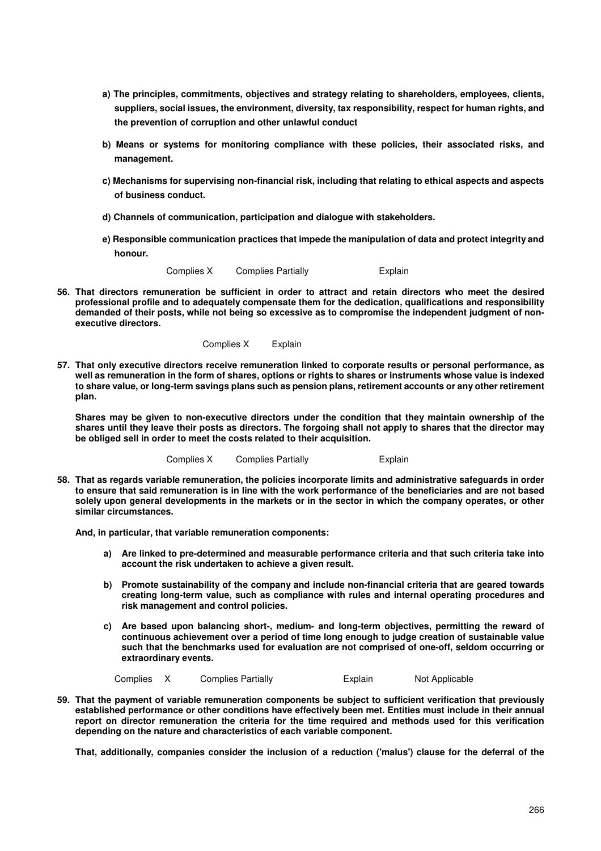- **a) The principles, commitments, objectives and strategy relating to shareholders, employees, clients, suppliers, social issues, the environment, diversity, tax responsibility, respect for human rights, and the prevention of corruption and other unlawful conduct**
- **b) Means or systems for monitoring compliance with these policies, their associated risks, and management.**
- **c) Mechanisms for supervising non-financial risk, including that relating to ethical aspects and aspects of business conduct.**
- **d) Channels of communication, participation and dialogue with stakeholders.**
- **e) Responsible communication practices that impede the manipulation of data and protect integrity and honour.**

Complies X Complies Partially **Explain** 

**56. That directors remuneration be sufficient in order to attract and retain directors who meet the desired professional profile and to adequately compensate them for the dedication, qualifications and responsibility demanded of their posts, while not being so excessive as to compromise the independent judgment of nonexecutive directors.** 

Complies X Explain

**57. That only executive directors receive remuneration linked to corporate results or personal performance, as well as remuneration in the form of shares, options or rights to shares or instruments whose value is indexed to share value, or long-term savings plans such as pension plans, retirement accounts or any other retirement plan.** 

**Shares may be given to non-executive directors under the condition that they maintain ownership of the shares until they leave their posts as directors. The forgoing shall not apply to shares that the director may be obliged sell in order to meet the costs related to their acquisition.** 

Complies X Complies Partially Explain

**58. That as regards variable remuneration, the policies incorporate limits and administrative safeguards in order to ensure that said remuneration is in line with the work performance of the beneficiaries and are not based solely upon general developments in the markets or in the sector in which the company operates, or other similar circumstances.** 

**And, in particular, that variable remuneration components:** 

- **a) Are linked to pre-determined and measurable performance criteria and that such criteria take into account the risk undertaken to achieve a given result.**
- **b) Promote sustainability of the company and include non-financial criteria that are geared towards creating long-term value, such as compliance with rules and internal operating procedures and risk management and control policies.**
- **c) Are based upon balancing short-, medium- and long-term objectives, permitting the reward of continuous achievement over a period of time long enough to judge creation of sustainable value such that the benchmarks used for evaluation are not comprised of one-off, seldom occurring or extraordinary events.**

Complies X Complies Partially **Explain** Not Applicable

**59. That the payment of variable remuneration components be subject to sufficient verification that previously established performance or other conditions have effectively been met. Entities must include in their annual report on director remuneration the criteria for the time required and methods used for this verification depending on the nature and characteristics of each variable component.** 

**That, additionally, companies consider the inclusion of a reduction ('malus') clause for the deferral of the**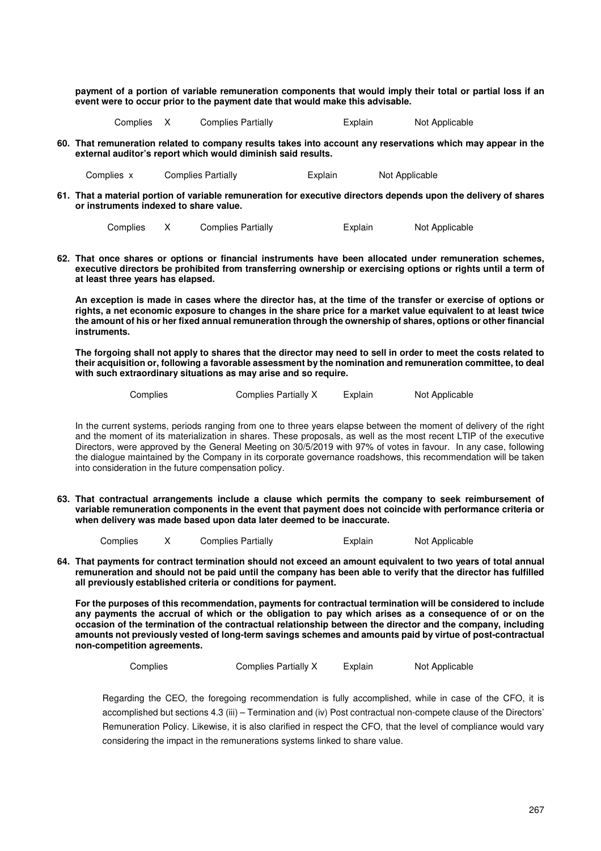**payment of a portion of variable remuneration components that would imply their total or partial loss if an event were to occur prior to the payment date that would make this advisable.** 

Complies X Complies Partially **Explain** Not Applicable

**60. That remuneration related to company results takes into account any reservations which may appear in the external auditor's report which would diminish said results.** 

Complies x Complies Partially Explain Not Applicable

**61. That a material portion of variable remuneration for executive directors depends upon the delivery of shares or instruments indexed to share value.** 

```
Complies X Complies Partially Explain Not Applicable
```
**62. That once shares or options or financial instruments have been allocated under remuneration schemes, executive directors be prohibited from transferring ownership or exercising options or rights until a term of at least three years has elapsed.** 

**An exception is made in cases where the director has, at the time of the transfer or exercise of options or rights, a net economic exposure to changes in the share price for a market value equivalent to at least twice the amount of his or her fixed annual remuneration through the ownership of shares, options or other financial instruments.** 

**The forgoing shall not apply to shares that the director may need to sell in order to meet the costs related to their acquisition or, following a favorable assessment by the nomination and remuneration committee, to deal with such extraordinary situations as may arise and so require.** 

| Complies | Complies Partially X | Explain | Not Applicable |
|----------|----------------------|---------|----------------|
|          |                      |         |                |

In the current systems, periods ranging from one to three years elapse between the moment of delivery of the right and the moment of its materialization in shares. These proposals, as well as the most recent LTIP of the executive Directors, were approved by the General Meeting on 30/5/2019 with 97% of votes in favour. In any case, following the dialogue maintained by the Company in its corporate governance roadshows, this recommendation will be taken into consideration in the future compensation policy.

**63. That contractual arrangements include a clause which permits the company to seek reimbursement of variable remuneration components in the event that payment does not coincide with performance criteria or when delivery was made based upon data later deemed to be inaccurate.** 

Complies X Complies Partially Explain Not Applicable

**64. That payments for contract termination should not exceed an amount equivalent to two years of total annual remuneration and should not be paid until the company has been able to verify that the director has fulfilled all previously established criteria or conditions for payment.** 

**For the purposes of this recommendation, payments for contractual termination will be considered to include any payments the accrual of which or the obligation to pay which arises as a consequence of or on the occasion of the termination of the contractual relationship between the director and the company, including amounts not previously vested of long-term savings schemes and amounts paid by virtue of post-contractual non-competition agreements.** 

```
Complies Complies Partially X Explain Not Applicable
```
Regarding the CEO, the foregoing recommendation is fully accomplished, while in case of the CFO, it is accomplished but sections 4.3 (iii) – Termination and (iv) Post contractual non-compete clause of the Directors' Remuneration Policy. Likewise, it is also clarified in respect the CFO, that the level of compliance would vary considering the impact in the remunerations systems linked to share value.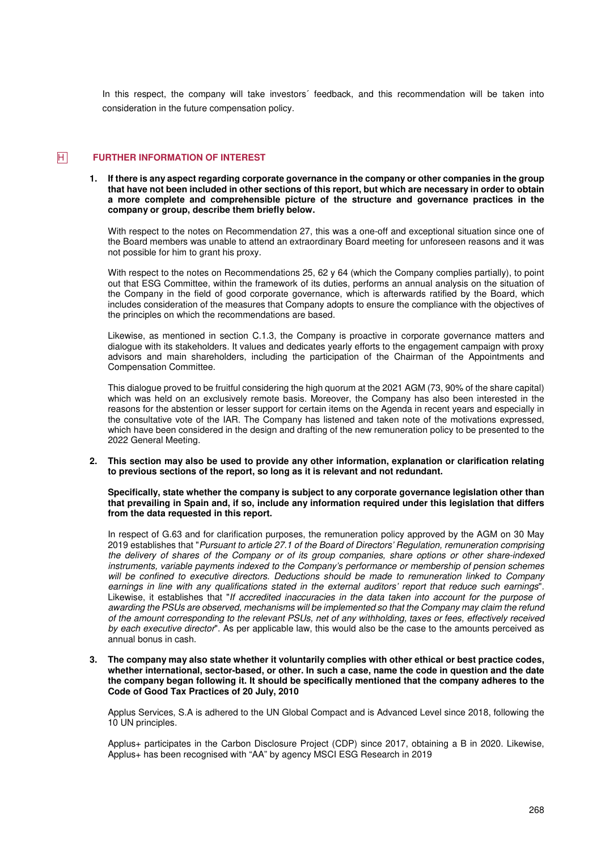In this respect, the company will take investors´ feedback, and this recommendation will be taken into consideration in the future compensation policy.

## **FURTHER INFORMATION OF INTEREST**

**1. If there is any aspect regarding corporate governance in the company or other companies in the group that have not been included in other sections of this report, but which are necessary in order to obtain a more complete and comprehensible picture of the structure and governance practices in the company or group, describe them briefly below.** 

With respect to the notes on Recommendation 27, this was a one-off and exceptional situation since one of the Board members was unable to attend an extraordinary Board meeting for unforeseen reasons and it was not possible for him to grant his proxy.

With respect to the notes on Recommendations 25, 62 y 64 (which the Company complies partially), to point out that ESG Committee, within the framework of its duties, performs an annual analysis on the situation of the Company in the field of good corporate governance, which is afterwards ratified by the Board, which includes consideration of the measures that Company adopts to ensure the compliance with the objectives of the principles on which the recommendations are based.

Likewise, as mentioned in section C.1.3, the Company is proactive in corporate governance matters and dialogue with its stakeholders. It values and dedicates yearly efforts to the engagement campaign with proxy advisors and main shareholders, including the participation of the Chairman of the Appointments and Compensation Committee.

This dialogue proved to be fruitful considering the high quorum at the 2021 AGM (73, 90% of the share capital) which was held on an exclusively remote basis. Moreover, the Company has also been interested in the reasons for the abstention or lesser support for certain items on the Agenda in recent years and especially in the consultative vote of the IAR. The Company has listened and taken note of the motivations expressed, which have been considered in the design and drafting of the new remuneration policy to be presented to the 2022 General Meeting.

**2. This section may also be used to provide any other information, explanation or clarification relating to previous sections of the report, so long as it is relevant and not redundant.** 

**Specifically, state whether the company is subject to any corporate governance legislation other than that prevailing in Spain and, if so, include any information required under this legislation that differs from the data requested in this report.** 

In respect of G.63 and for clarification purposes, the remuneration policy approved by the AGM on 30 May 2019 establishes that "Pursuant to article 27.1 of the Board of Directors' Regulation, remuneration comprising the delivery of shares of the Company or of its group companies, share options or other share-indexed instruments, variable payments indexed to the Company's performance or membership of pension schemes will be confined to executive directors. Deductions should be made to remuneration linked to Company earnings in line with any qualifications stated in the external auditors' report that reduce such earnings". Likewise, it establishes that "If accredited inaccuracies in the data taken into account for the purpose of awarding the PSUs are observed, mechanisms will be implemented so that the Company may claim the refund of the amount corresponding to the relevant PSUs, net of any withholding, taxes or fees, effectively received by each executive director". As per applicable law, this would also be the case to the amounts perceived as annual bonus in cash.

**3. The company may also state whether it voluntarily complies with other ethical or best practice codes, whether international, sector-based, or other. In such a case, name the code in question and the date the company began following it. It should be specifically mentioned that the company adheres to the Code of Good Tax Practices of 20 July, 2010** 

Applus Services, S.A is adhered to the UN Global Compact and is Advanced Level since 2018, following the 10 UN principles.

Applus+ participates in the Carbon Disclosure Project (CDP) since 2017, obtaining a B in 2020. Likewise, Applus+ has been recognised with "AA" by agency MSCI ESG Research in 2019